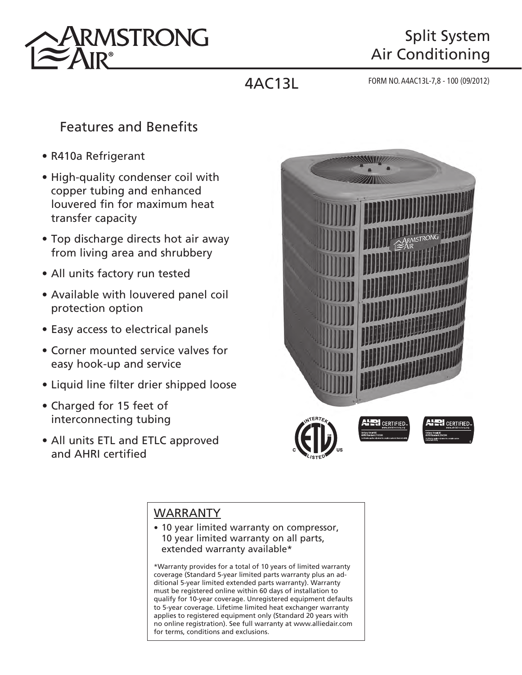

# Split System Air Conditioning

4AC13L FORM NO. A4AC13L-7,8 - 100 (09/2012)

### Features and Benefits

- R410a Refrigerant
- High-quality condenser coil with copper tubing and enhanced louvered fin for maximum heat transfer capacity
- Top discharge directs hot air away from living area and shrubbery
- All units factory run tested
- Available with louvered panel coil protection option
- Easy access to electrical panels
- Corner mounted service valves for easy hook-up and service
- Liquid line filter drier shipped loose
- Charged for 15 feet of interconnecting tubing
- All units ETL and ETLC approved and AHRI certified



#### WARRANTY

• 10 year limited warranty on compressor, 10 year limited warranty on all parts, extended warranty available\*

\*Warranty provides for a total of 10 years of limited warranty coverage (Standard 5-year limited parts warranty plus an additional 5-year limited extended parts warranty). Warranty must be registered online within 60 days of installation to qualify for 10-year coverage. Unregistered equipment defaults to 5-year coverage. Lifetime limited heat exchanger warranty applies to registered equipment only (Standard 20 years with no online registration). See full warranty at www.alliedair.com for terms, conditions and exclusions.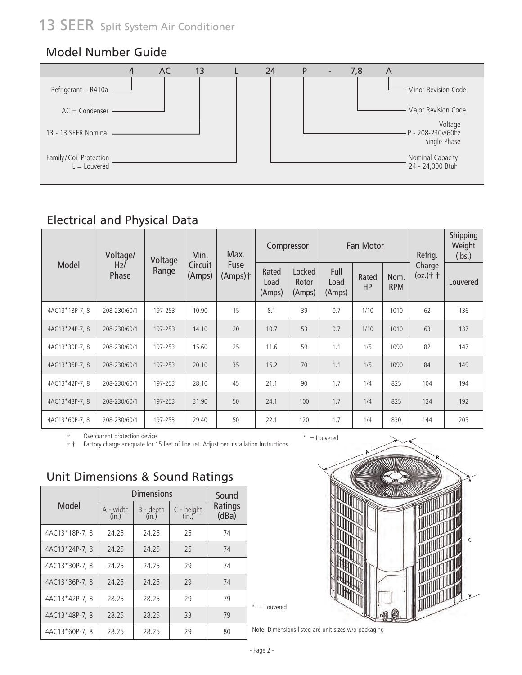#### Model Number Guide



### Electrical and Physical Data

|                | Voltage/     | Voltage | Min.              | Max.               |                         | Compressor                |                        | <b>Fan Motor</b>   |                    | Refrig.               | Shipping<br>Weight<br>(lbs.) |
|----------------|--------------|---------|-------------------|--------------------|-------------------------|---------------------------|------------------------|--------------------|--------------------|-----------------------|------------------------------|
| Model          | Hz/<br>Phase | Range   | Circuit<br>(Amps) | Fuse<br>$(Amps)$ † | Rated<br>Load<br>(Amps) | Locked<br>Rotor<br>(Amps) | Full<br>Load<br>(Amps) | Rated<br><b>HP</b> | Nom.<br><b>RPM</b> | Charge<br>$(oz.)$ † † | <b>Louvered</b>              |
| 4AC13*18P-7, 8 | 208-230/60/1 | 197-253 | 10.90             | 15                 | 8.1                     | 39                        | 0.7                    | 1/10               | 1010               | 62                    | 136                          |
| 4AC13*24P-7, 8 | 208-230/60/1 | 197-253 | 14.10             | 20                 | 10.7                    | 53                        | 0.7                    | 1/10               | 1010               | 63                    | 137                          |
| 4AC13*30P-7, 8 | 208-230/60/1 | 197-253 | 15.60             | 25                 | 11.6                    | 59                        | 1.1                    | 1/5                | 1090               | 82                    | 147                          |
| 4AC13*36P-7, 8 | 208-230/60/1 | 197-253 | 20.10             | 35                 | 15.2                    | 70                        | 1.1                    | 1/5                | 1090               | 84                    | 149                          |
| 4AC13*42P-7, 8 | 208-230/60/1 | 197-253 | 28.10             | 45                 | 21.1                    | 90                        | 1.7                    | 1/4                | 825                | 104                   | 194                          |
| 4AC13*48P-7, 8 | 208-230/60/1 | 197-253 | 31.90             | 50                 | 24.1                    | 100                       | 1.7                    | 1/4                | 825                | 124                   | 192                          |
| 4AC13*60P-7, 8 | 208-230/60/1 | 197-253 | 29.40             | 50                 | 22.1                    | 120                       | 1.7                    | 1/4                | 830                | 144                   | 205                          |

† Overcurrent protection device

† † Factory charge adequate for 15 feet of line set. Adjust per Installation Instructions.

#### Unit Dimensions & Sound Ratings

|                |                    | Dimensions         |                       | Sound            |
|----------------|--------------------|--------------------|-----------------------|------------------|
| Model          | A - width<br>(in.) | B - depth<br>(in.) | $C - height$<br>(in.) | Ratings<br>(dBa) |
| 4AC13*18P-7, 8 | 24.25              | 24.25              | 25                    | 74               |
| 4AC13*24P-7, 8 | 24.25              | 24.25              | 25                    | 74               |
| 4AC13*30P-7, 8 | 24.25              | 24.25              | 29                    | 74               |
| 4AC13*36P-7, 8 | 24.25              | 24.25              | 29                    | 74               |
| 4AC13*42P-7, 8 | 28.25              | 28.25              | 29                    | 79               |
| 4AC13*48P-7, 8 | 28.25              | 28.25              | 33                    | 79               |
| 4AC13*60P-7, 8 | 28.25              | 28.25              | 29                    | 80               |





Note: Dimensions listed are unit sizes w/o packaging

\* = Louvered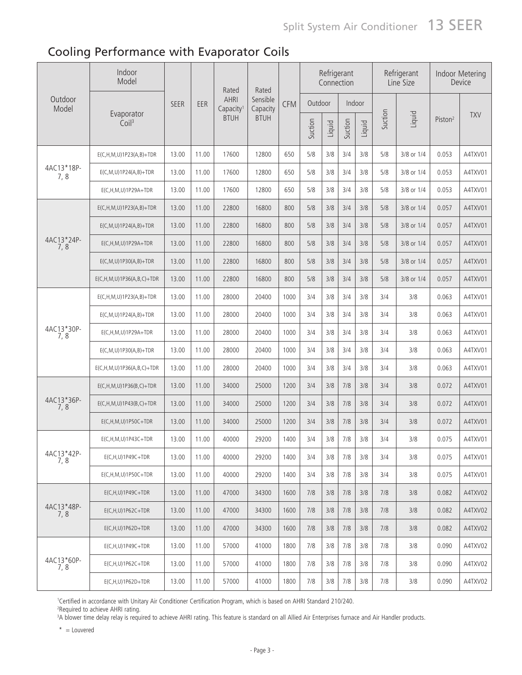### Cooling Performance with Evaporator Coils

|                    | Indoor<br>Model                     |             |       | Rated                                | Rated                |            |         | Connection | Refrigerant |        |         | Refrigerant<br>Line Size |                     | Indoor Metering<br>Device |
|--------------------|-------------------------------------|-------------|-------|--------------------------------------|----------------------|------------|---------|------------|-------------|--------|---------|--------------------------|---------------------|---------------------------|
| Outdoor<br>Model   |                                     | <b>SEER</b> | EER   | <b>AHRI</b><br>Capacity <sup>1</sup> | Sensible<br>Capacity | <b>CFM</b> | Outdoor |            |             | Indoor |         |                          |                     |                           |
|                    | Evaporator<br>Coil <sup>3</sup>     |             |       | <b>BTUH</b>                          | <b>BTUH</b>          |            | Suction | Liquid     | Suction     | Liquid | Suction | Liquid                   | Piston <sup>2</sup> | <b>TXV</b>                |
|                    | $E(C, H, M, U) 1P23(A, B) + TDR$    | 13.00       | 11.00 | 17600                                | 12800                | 650        | 5/8     | 3/8        | 3/4         | 3/8    | 5/8     | 3/8 or 1/4               | 0.053               | A4TXV01                   |
| 4AC13*18P-<br>7,8  | $E(C, M, U) 1 P24(A, B) + TDR$      | 13.00       | 11.00 | 17600                                | 12800                | 650        | 5/8     | 3/8        | 3/4         | 3/8    | 5/8     | 3/8 or 1/4               | 0.053               | A4TXV01                   |
|                    | $E(C, H, M, U) 1 P29A + TDR$        | 13.00       | 11.00 | 17600                                | 12800                | 650        | 5/8     | 3/8        | 3/4         | 3/8    | 5/8     | 3/8 or 1/4               | 0.053               | A4TXV01                   |
|                    | $E(C, H, M, U) 1P23(A, B) + TDR$    | 13.00       | 11.00 | 22800                                | 16800                | 800        | 5/8     | 3/8        | 3/4         | 3/8    | 5/8     | 3/8 or 1/4               | 0.057               | A4TXV01                   |
|                    | $E(C, M, U) 1P24(A, B) + TDR$       | 13.00       | 11.00 | 22800                                | 16800                | 800        | 5/8     | 3/8        | 3/4         | 3/8    | 5/8     | 3/8 or 1/4               | 0.057               | A4TXV01                   |
| 4AC13*24P-<br>7, 8 | $E(C, H, M, U)$ 1P29A+TDR           | 13.00       | 11.00 | 22800                                | 16800                | 800        | 5/8     | 3/8        | 3/4         | 3/8    | 5/8     | 3/8 or 1/4               | 0.057               | A4TXV01                   |
|                    | $E(C, M, U) 1P30(A, B) + TDR$       | 13.00       | 11.00 | 22800                                | 16800                | 800        | 5/8     | 3/8        | 3/4         | 3/8    | 5/8     | 3/8 or 1/4               | 0.057               | A4TXV01                   |
|                    | $E(C, H, M, U) 1P36(A, B, C) + TDR$ | 13.00       | 11.00 | 22800                                | 16800                | 800        | 5/8     | 3/8        | 3/4         | 3/8    | 5/8     | 3/8 or 1/4               | 0.057               | A4TXV01                   |
|                    | $E(C, H, M, U) 1P23(A, B) + TDR$    | 13.00       | 11.00 | 28000                                | 20400                | 1000       | 3/4     | 3/8        | 3/4         | 3/8    | 3/4     | 3/8                      | 0.063               | A4TXV01                   |
|                    | $E(C, M, U) 1 P24(A, B) + TDR$      | 13.00       | 11.00 | 28000                                | 20400                | 1000       | 3/4     | 3/8        | 3/4         | 3/8    | 3/4     | 3/8                      | 0.063               | A4TXV01                   |
| 4AC13*30P-<br>7,8  | $E(C, H, M, U)$ 1P29A+TDR           | 13.00       | 11.00 | 28000                                | 20400                | 1000       | 3/4     | 3/8        | 3/4         | 3/8    | 3/4     | 3/8                      | 0.063               | A4TXV01                   |
|                    | $E(C, M, U)$ 1P30(A,B)+TDR          | 13.00       | 11.00 | 28000                                | 20400                | 1000       | 3/4     | 3/8        | 3/4         | 3/8    | 3/4     | 3/8                      | 0.063               | A4TXV01                   |
|                    | $E(C, H, M, U) 1P36(A, B, C) + TDR$ | 13.00       | 11.00 | 28000                                | 20400                | 1000       | 3/4     | 3/8        | 3/4         | 3/8    | 3/4     | 3/8                      | 0.063               | A4TXV01                   |
|                    | $E(C, H, M, U) 1P36(B, C) + TDR$    | 13.00       | 11.00 | 34000                                | 25000                | 1200       | 3/4     | 3/8        | 7/8         | 3/8    | 3/4     | 3/8                      | 0.072               | A4TXV01                   |
| 4AC13*36P-<br>7, 8 | $E(C, H, M, U) 1P43(B, C) + TDR$    | 13.00       | 11.00 | 34000                                | 25000                | 1200       | 3/4     | 3/8        | 7/8         | 3/8    | 3/4     | 3/8                      | 0.072               | A4TXV01                   |
|                    | $E(C, H, M, U) 1 P 50C + TDR$       | 13.00       | 11.00 | 34000                                | 25000                | 1200       | 3/4     | 3/8        | 7/8         | 3/8    | 3/4     | 3/8                      | 0.072               | A4TXV01                   |
|                    | $E(C, H, M, U) 1P43C + TDR$         | 13.00       | 11.00 | 40000                                | 29200                | 1400       | 3/4     | 3/8        | 7/8         | 3/8    | 3/4     | 3/8                      | 0.075               | A4TXV01                   |
| 4AC13*42P-<br>7,8  | $E(C, H, U) 1P49C + TDR$            | 13.00       | 11.00 | 40000                                | 29200                | 1400       | 3/4     | 3/8        | 7/8         | 3/8    | 3/4     | 3/8                      | 0.075               | A4TXV01                   |
|                    | $E(C, H, M, U) 1P50C + TDR$         | 13.00       | 11.00 | 40000                                | 29200                | 1400       | 3/4     | 3/8        | 7/8         | 3/8    | 3/4     | 3/8                      | 0.075               | A4TXV01                   |
|                    | $E(C, H, U) 1P49C + TDR$            | 13.00       | 11.00 | 47000                                | 34300                | 1600       | 7/8     | 3/8        | 7/8         | 3/8    | 7/8     | 3/8                      | 0.082               | A4TXV02                   |
| 4AC13*48P-<br>7,8  | $E(C, H, U) 1 P62C + TDR$           | 13.00       | 11.00 | 47000                                | 34300                | 1600       | 7/8     | 3/8        | 7/8         | 3/8    | 7/8     | 3/8                      | 0.082               | A4TXV02                   |
|                    | $E(C, H, U) 1 P62D + TDR$           | 13.00       | 11.00 | 47000                                | 34300                | 1600       | 7/8     | 3/8        | 7/8         | 3/8    | 7/8     | 3/8                      | 0.082               | A4TXV02                   |
|                    | $E(C, H, U) 1P49C + TDR$            | 13.00       | 11.00 | 57000                                | 41000                | 1800       | 7/8     | 3/8        | 7/8         | 3/8    | 7/8     | 3/8                      | 0.090               | A4TXV02                   |
| 4AC13*60P-<br>7, 8 | $E(C, H, U) 1 P62C + TDR$           | 13.00       | 11.00 | 57000                                | 41000                | 1800       | 7/8     | 3/8        | 7/8         | 3/8    | 7/8     | 3/8                      | 0.090               | A4TXV02                   |
|                    | $E(C, H, U) 1 P62D + TDR$           | 13.00       | 11.00 | 57000                                | 41000                | 1800       | 7/8     | 3/8        | 7/8         | 3/8    | 7/8     | 3/8                      | 0.090               | A4TXV02                   |

1 Certified in accordance with Unitary Air Conditioner Certification Program, which is based on AHRI Standard 210/240.

2 Required to achieve AHRI rating.

3 A blower time delay relay is required to achieve AHRI rating. This feature is standard on all Allied Air Enterprises furnace and Air Handler products.

 $*$  = Louvered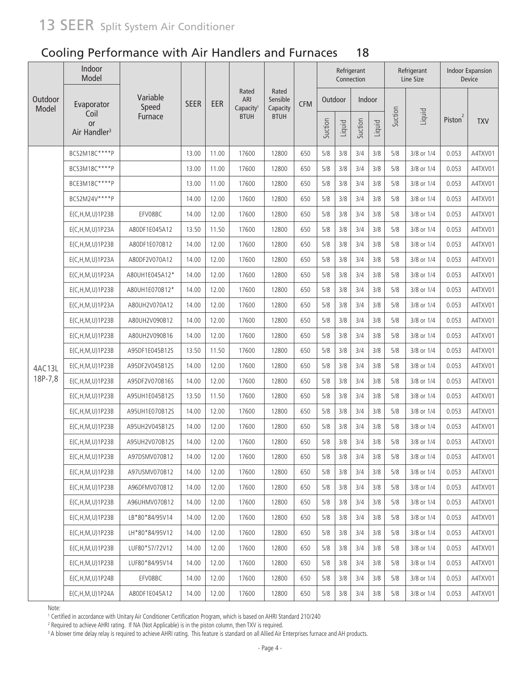|                  | Indoor<br>Model                               |                   |             |       |                                       |                               |            |         |        | Refrigerant<br>Connection |        |         | Refrigerant<br>Line Size |                     | <b>Indoor Expansion</b><br>Device |
|------------------|-----------------------------------------------|-------------------|-------------|-------|---------------------------------------|-------------------------------|------------|---------|--------|---------------------------|--------|---------|--------------------------|---------------------|-----------------------------------|
| Outdoor<br>Model | Evaporator                                    | Variable<br>Speed | <b>SEER</b> | EER   | Rated<br>ARI<br>Capacity <sup>1</sup> | Rated<br>Sensible<br>Capacity | <b>CFM</b> | Outdoor |        | Indoor                    |        |         |                          |                     |                                   |
|                  | Coil<br><b>or</b><br>Air Handler <sup>3</sup> | Furnace           |             |       | <b>BTUH</b>                           | <b>BTUH</b>                   |            | Suction | Liquid | Suction                   | Liquid | Suction | Liquid                   | Piston <sup>2</sup> | <b>TXV</b>                        |
|                  | BCS2M18C****P                                 |                   | 13.00       | 11.00 | 17600                                 | 12800                         | 650        | 5/8     | 3/8    | 3/4                       | 3/8    | 5/8     | 3/8 or 1/4               | 0.053               | A4TXV01                           |
|                  | BCS3M18C****P                                 |                   | 13.00       | 11.00 | 17600                                 | 12800                         | 650        | 5/8     | 3/8    | 3/4                       | 3/8    | 5/8     | 3/8 or 1/4               | 0.053               | A4TXV01                           |
|                  | BCE3M18C****P                                 |                   | 13.00       | 11.00 | 17600                                 | 12800                         | 650        | 5/8     | 3/8    | 3/4                       | 3/8    | 5/8     | 3/8 or 1/4               | 0.053               | A4TXV01                           |
|                  | BCS2M24V****P                                 |                   | 14.00       | 12.00 | 17600                                 | 12800                         | 650        | 5/8     | 3/8    | 3/4                       | 3/8    | 5/8     | 3/8 or 1/4               | 0.053               | A4TXV01                           |
|                  | E(C, H, M, U) 1P23B                           | EFV08BC           | 14.00       | 12.00 | 17600                                 | 12800                         | 650        | 5/8     | 3/8    | 3/4                       | 3/8    | 5/8     | 3/8 or 1/4               | 0.053               | A4TXV01                           |
|                  | E(C,H,M,U)1P23A                               | A80DF1E045A12     | 13.50       | 11.50 | 17600                                 | 12800                         | 650        | 5/8     | 3/8    | 3/4                       | 3/8    | 5/8     | 3/8 or 1/4               | 0.053               | A4TXV01                           |
|                  | E(C, H, M, U) 1P23B                           | A80DF1E070B12     | 14.00       | 12.00 | 17600                                 | 12800                         | 650        | 5/8     | 3/8    | 3/4                       | 3/8    | 5/8     | 3/8 or 1/4               | 0.053               | A4TXV01                           |
|                  | E(C, H, M, U) 1P23A                           | A80DF2V070A12     | 14.00       | 12.00 | 17600                                 | 12800                         | 650        | 5/8     | 3/8    | 3/4                       | 3/8    | 5/8     | 3/8 or 1/4               | 0.053               | A4TXV01                           |
|                  | E(C, H, M, U) 1P23A                           | A80UH1E045A12*    | 14.00       | 12.00 | 17600                                 | 12800                         | 650        | 5/8     | 3/8    | 3/4                       | 3/8    | 5/8     | 3/8 or 1/4               | 0.053               | A4TXV01                           |
|                  | E(C, H, M, U) 1 P 23 B                        | A80UH1E070B12*    | 14.00       | 12.00 | 17600                                 | 12800                         | 650        | 5/8     | 3/8    | 3/4                       | 3/8    | 5/8     | 3/8 or 1/4               | 0.053               | A4TXV01                           |
|                  | E(C, H, M, U) 1P23A                           | A80UH2V070A12     | 14.00       | 12.00 | 17600                                 | 12800                         | 650        | 5/8     | 3/8    | 3/4                       | 3/8    | 5/8     | 3/8 or 1/4               | 0.053               | A4TXV01                           |
|                  | E(C, H, M, U) 1 P 23 B                        | A80UH2V090B12     | 14.00       | 12.00 | 17600                                 | 12800                         | 650        | 5/8     | 3/8    | 3/4                       | 3/8    | 5/8     | 3/8 or 1/4               | 0.053               | A4TXV01                           |
|                  | E(C, H, M, U) 1 P 23 B                        | A80UH2V090B16     | 14.00       | 12.00 | 17600                                 | 12800                         | 650        | 5/8     | 3/8    | 3/4                       | 3/8    | 5/8     | 3/8 or 1/4               | 0.053               | A4TXV01                           |
|                  | E(C, H, M, U) 1 P 23 B                        | A95DF1E045B12S    | 13.50       | 11.50 | 17600                                 | 12800                         | 650        | 5/8     | 3/8    | 3/4                       | 3/8    | 5/8     | 3/8 or 1/4               | 0.053               | A4TXV01                           |
| 4AC13L           | E(C, H, M, U) 1 P 23 B                        | A95DF2V045B12S    | 14.00       | 12.00 | 17600                                 | 12800                         | 650        | 5/8     | 3/8    | 3/4                       | 3/8    | 5/8     | 3/8 or 1/4               | 0.053               | A4TXV01                           |
| 18P-7,8          | E(C, H, M, U) 1 P 23 B                        | A95DF2V070B16S    | 14.00       | 12.00 | 17600                                 | 12800                         | 650        | 5/8     | 3/8    | 3/4                       | 3/8    | 5/8     | 3/8 or 1/4               | 0.053               | A4TXV01                           |
|                  | E(C, H, M, U) 1 P 23 B                        | A95UH1E045B12S    | 13.50       | 11.50 | 17600                                 | 12800                         | 650        | 5/8     | 3/8    | 3/4                       | 3/8    | 5/8     | 3/8 or 1/4               | 0.053               | A4TXV01                           |
|                  | $E(C, H, M, U)$ 1P23B                         | A95UH1E070B12S    | 14.00       | 12.00 | 17600                                 | 12800                         | 650        | 5/8     | 3/8    | 3/4                       | 3/8    | 5/8     | 3/8 or 1/4               | 0.053               | A4TXV01                           |
|                  | $E(C, H, M, U)$ 1P23B                         | A95UH2V045B12S    | 14.00       | 12.00 | 17600                                 | 12800                         | 650        | 5/8     | 3/8    | 3/4                       | 3/8    | 5/8     | 3/8 or 1/4               | 0.053               | A4TXV01                           |
|                  | E(C, H, M, U) 1 P 23 B                        | A95UH2V070B12S    | 14.00       | 12.00 | 17600                                 | 12800                         | 650        | 5/8     | 3/8    | 3/4                       | 3/8    | 5/8     | 3/8 or 1/4               | 0.053               | A4TXV01                           |
|                  | E(C, H, M, U) 1 P 23 B                        | A97DSMV070B12     | 14.00       | 12.00 | 17600                                 | 12800                         | 650        | 5/8     | 3/8    | 3/4                       | 3/8    | 5/8     | 3/8 or 1/4               | 0.053               | A4TXV01                           |
|                  | E(C, H, M, U) 1P23B                           | A97USMV070B12     | 14.00       | 12.00 | 17600                                 | 12800                         | 650        | 5/8     | 3/8    | 3/4                       | 3/8    | 5/8     | 3/8 or 1/4               | 0.053               | A4TXV01                           |
|                  | $E(C, H, M, U)$ 1P23B                         | A96DFMV070B12     | 14.00       | 12.00 | 17600                                 | 12800                         | 650        | 5/8     | 3/8    | 3/4                       | 3/8    | 5/8     | 3/8 or 1/4               | 0.053               | A4TXV01                           |
|                  | E(C, H, M, U) 1P23B                           | A96UHMV070B12     | 14.00       | 12.00 | 17600                                 | 12800                         | 650        | 5/8     | 3/8    | 3/4                       | 3/8    | 5/8     | 3/8 or 1/4               | 0.053               | A4TXV01                           |
|                  | E(C, H, M, U) 1P23B                           | LB*80*84/95V14    | 14.00       | 12.00 | 17600                                 | 12800                         | 650        | 5/8     | 3/8    | 3/4                       | 3/8    | 5/8     | 3/8 or 1/4               | 0.053               | A4TXV01                           |
|                  | E(C, H, M, U) 1P23B                           | LH*80*84/95V12    | 14.00       | 12.00 | 17600                                 | 12800                         | 650        | 5/8     | 3/8    | 3/4                       | 3/8    | 5/8     | 3/8 or 1/4               | 0.053               | A4TXV01                           |
|                  | E(C, H, M, U) 1 P 23 B                        | LUF80*57/72V12    | 14.00       | 12.00 | 17600                                 | 12800                         | 650        | 5/8     | 3/8    | 3/4                       | 3/8    | 5/8     | 3/8 or 1/4               | 0.053               | A4TXV01                           |
|                  | $E(C, H, M, U)$ 1P23B                         | LUF80*84/95V14    | 14.00       | 12.00 | 17600                                 | 12800                         | 650        | 5/8     | 3/8    | 3/4                       | 3/8    | 5/8     | 3/8 or 1/4               | 0.053               | A4TXV01                           |
|                  | E(C, H, M, U) 1P24B                           | EFV08BC           | 14.00       | 12.00 | 17600                                 | 12800                         | 650        | 5/8     | 3/8    | 3/4                       | 3/8    | 5/8     | 3/8 or 1/4               | 0.053               | A4TXV01                           |
|                  | E(C,H,M,U)1P24A                               | A80DF1E045A12     | 14.00       | 12.00 | 17600                                 | 12800                         | 650        | 5/8     | 3/8    | 3/4                       | 3/8    | 5/8     | 3/8 or 1/4               | 0.053               | A4TXV01                           |

Note:

10 Certified in accordance with Unitary Air Conditioner Certification Program, which is based on AHRI Standard 210/240<br><sup>2</sup> Pequired to achieve AHRI rating 15 NA (Not Applicable) is in the piston column, then TXV is require

<sup>2</sup> Required to achieve AHRI rating. If NA (Not Applicable) is in the piston column, then TXV is required.<br><sup>3</sup> A blower time delay relay is required to achieve AHRI rating. This feature is standard on all Allied Air Enterp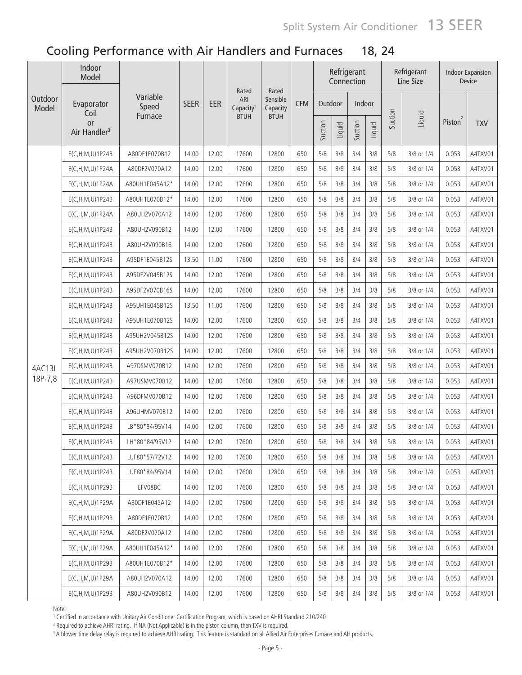|                  | Indoor<br>Model                |                   |             |       |                                       |                               |            |         |        | Refrigerant<br>Connection |        |         | Refrigerant<br>Line Size |                     | <b>Indoor Expansion</b><br>Device |
|------------------|--------------------------------|-------------------|-------------|-------|---------------------------------------|-------------------------------|------------|---------|--------|---------------------------|--------|---------|--------------------------|---------------------|-----------------------------------|
| Outdoor<br>Model | Evaporator<br>Coil             | Variable<br>Speed | <b>SEER</b> | EER   | Rated<br>ARI<br>Capacity <sup>1</sup> | Rated<br>Sensible<br>Capacity | <b>CFM</b> | Outdoor |        | Indoor                    |        |         |                          |                     |                                   |
|                  | or<br>Air Handler <sup>3</sup> | Furnace           |             |       | <b>BTUH</b>                           | <b>BTUH</b>                   |            | Suction | Liquid | Suction                   | Liquid | Suction | Liquid                   | Piston <sup>2</sup> | <b>TXV</b>                        |
|                  | E(C,H,M,U)1P24B                | A80DF1E070B12     | 14.00       | 12.00 | 17600                                 | 12800                         | 650        | 5/8     | 3/8    | 3/4                       | 3/8    | 5/8     | 3/8 or 1/4               | 0.053               | A4TXV01                           |
|                  | E(C,H,M,U)1P24A                | A80DF2V070A12     | 14.00       | 12.00 | 17600                                 | 12800                         | 650        | 5/8     | 3/8    | 3/4                       | 3/8    | 5/8     | 3/8 or 1/4               | 0.053               | A4TXV01                           |
|                  | E(C, H, M, U) 1P24A            | A80UH1E045A12*    | 14.00       | 12.00 | 17600                                 | 12800                         | 650        | 5/8     | 3/8    | 3/4                       | 3/8    | 5/8     | 3/8 or 1/4               | 0.053               | A4TXV01                           |
|                  | E(C, H, M, U) 1P24B            | A80UH1E070B12*    | 14.00       | 12.00 | 17600                                 | 12800                         | 650        | 5/8     | 3/8    | 3/4                       | 3/8    | 5/8     | 3/8 or 1/4               | 0.053               | A4TXV01                           |
|                  | E(C, H, M, U) 1P24A            | A80UH2V070A12     | 14.00       | 12.00 | 17600                                 | 12800                         | 650        | 5/8     | 3/8    | 3/4                       | 3/8    | 5/8     | 3/8 or 1/4               | 0.053               | A4TXV01                           |
|                  | E(C, H, M, U) 1P24B            | A80UH2V090B12     | 14.00       | 12.00 | 17600                                 | 12800                         | 650        | 5/8     | 3/8    | 3/4                       | 3/8    | 5/8     | 3/8 or 1/4               | 0.053               | A4TXV01                           |
|                  | E(C, H, M, U) 1P24B            | A80UH2V090B16     | 14.00       | 12.00 | 17600                                 | 12800                         | 650        | 5/8     | 3/8    | 3/4                       | 3/8    | 5/8     | 3/8 or 1/4               | 0.053               | A4TXV01                           |
|                  | E(C, H, M, U) 1P24B            | A95DF1E045B12S    | 13.50       | 11.00 | 17600                                 | 12800                         | 650        | 5/8     | 3/8    | 3/4                       | 3/8    | 5/8     | 3/8 or 1/4               | 0.053               | A4TXV01                           |
|                  | $E(C, H, M, U)$ 1P24B          | A95DF2V045B12S    | 14.00       | 12.00 | 17600                                 | 12800                         | 650        | 5/8     | 3/8    | 3/4                       | 3/8    | 5/8     | 3/8 or 1/4               | 0.053               | A4TXV01                           |
|                  | E(C, H, M, U) 1P24B            | A95DF2V070B16S    | 14.00       | 12.00 | 17600                                 | 12800                         | 650        | 5/8     | 3/8    | 3/4                       | 3/8    | 5/8     | 3/8 or 1/4               | 0.053               | A4TXV01                           |
|                  | E(C, H, M, U) 1P24B            | A95UH1E045B12S    | 13.50       | 11.00 | 17600                                 | 12800                         | 650        | 5/8     | 3/8    | 3/4                       | 3/8    | 5/8     | 3/8 or 1/4               | 0.053               | A4TXV01                           |
|                  | E(C, H, M, U) 1P24B            | A95UH1E070B12S    | 14.00       | 12.00 | 17600                                 | 12800                         | 650        | 5/8     | 3/8    | 3/4                       | 3/8    | 5/8     | 3/8 or 1/4               | 0.053               | A4TXV01                           |
|                  | $E(C, H, M, U)$ 1P24B          | A95UH2V045B12S    | 14.00       | 12.00 | 17600                                 | 12800                         | 650        | 5/8     | 3/8    | 3/4                       | 3/8    | 5/8     | 3/8 or 1/4               | 0.053               | A4TXV01                           |
|                  | E(C,H,M,U)1P24B                | A95UH2V070B12S    | 14.00       | 12.00 | 17600                                 | 12800                         | 650        | 5/8     | 3/8    | 3/4                       | 3/8    | 5/8     | 3/8 or 1/4               | 0.053               | A4TXV01                           |
| 4AC13L           | E(C, H, M, U) 1P24B            | A97DSMV070B12     | 14.00       | 12.00 | 17600                                 | 12800                         | 650        | 5/8     | 3/8    | 3/4                       | 3/8    | 5/8     | 3/8 or 1/4               | 0.053               | A4TXV01                           |
| 18P-7,8          | $E(C, H, M, U)$ 1P24B          | A97USMV070B12     | 14.00       | 12.00 | 17600                                 | 12800                         | 650        | 5/8     | 3/8    | 3/4                       | 3/8    | 5/8     | 3/8 or 1/4               | 0.053               | A4TXV01                           |
|                  | E(C, H, M, U) 1P24B            | A96DFMV070B12     | 14.00       | 12.00 | 17600                                 | 12800                         | 650        | 5/8     | 3/8    | 3/4                       | 3/8    | 5/8     | 3/8 or 1/4               | 0.053               | A4TXV01                           |
|                  | $E(C, H, M, U)$ 1P24B          | A96UHMV070B12     | 14.00       | 12.00 | 17600                                 | 12800                         | 650        | 5/8     | 3/8    | 3/4                       | 3/8    | 5/8     | 3/8 or 1/4               | 0.053               | A4TXV01                           |
|                  | E(C,H,M,U)1P24B                | LB*80*84/95V14    | 14.00       | 12.00 | 17600                                 | 12800                         | 650        | 5/8     | 3/8    | 3/4                       | 3/8    | 5/8     | 3/8 or 1/4               | 0.053               | A4TXV01                           |
|                  | E(C,H,M,U)1P24B                | LH*80*84/95V12    | 14.00       | 12.00 | 17600                                 | 12800                         | 650        | 5/8     | 3/8    | 3/4                       | 3/8    | 5/8     | 3/8 or 1/4               | 0.053               | A4TXV01                           |
|                  | E(C, H, M, U) 1P24B            | LUF80*57/72V12    | 14.00       | 12.00 | 17600                                 | 12800                         | 650        | 5/8     | 3/8    | 3/4                       | 3/8    | 5/8     | 3/8 or 1/4               | 0.053               | A4TXV01                           |
|                  | E(C, H, M, U) 1P24B            | LUF80*84/95V14    | 14.00       | 12.00 | 17600                                 | 12800                         | 650        | 5/8     | 3/8    | 3/4                       | 3/8    | 5/8     | 3/8 or 1/4               | 0.053               | A4TXV01                           |
|                  | $E(C, H, M, U)$ 1P29B          | EFV08BC           | 14.00       | 12.00 | 17600                                 | 12800                         | 650        | 5/8     | 3/8    | 3/4                       | 3/8    | 5/8     | 3/8 or 1/4               | 0.053               | A4TXV01                           |
|                  | E(C, H, M, U) 1 P 29 A         | A80DF1E045A12     | 14.00       | 12.00 | 17600                                 | 12800                         | 650        | 5/8     | 3/8    | 3/4                       | 3/8    | 5/8     | 3/8 or 1/4               | 0.053               | A4TXV01                           |
|                  | $E(C, H, M, U)$ 1P29B          | A80DF1E070B12     | 14.00       | 12.00 | 17600                                 | 12800                         | 650        | 5/8     | 3/8    | 3/4                       | 3/8    | 5/8     | 3/8 or 1/4               | 0.053               | A4TXV01                           |
|                  | E(C, H, M, U) 1 P 29A          | A80DF2V070A12     | 14.00       | 12.00 | 17600                                 | 12800                         | 650        | 5/8     | 3/8    | 3/4                       | 3/8    | 5/8     | 3/8 or 1/4               | 0.053               | A4TXV01                           |
|                  | E(C,H,M,U)1P29A                | A80UH1E045A12*    | 14.00       | 12.00 | 17600                                 | 12800                         | 650        | 5/8     | 3/8    | 3/4                       | 3/8    | 5/8     | 3/8 or 1/4               | 0.053               | A4TXV01                           |
|                  | $E(C, H, M, U)$ 1P29B          | A80UH1E070B12*    | 14.00       | 12.00 | 17600                                 | 12800                         | 650        | 5/8     | 3/8    | 3/4                       | 3/8    | 5/8     | 3/8 or 1/4               | 0.053               | A4TXV01                           |
|                  | E(C, H, M, U) 1 P 29 A         | A80UH2V070A12     | 14.00       | 12.00 | 17600                                 | 12800                         | 650        | 5/8     | 3/8    | 3/4                       | 3/8    | 5/8     | 3/8 or 1/4               | 0.053               | A4TXV01                           |
|                  | $E(C, H, M, U)$ 1P29B          | A80UH2V090B12     | 14.00       | 12.00 | 17600                                 | 12800                         | 650        | $5/8$   | 3/8    | 3/4                       | 3/8    | 5/8     | 3/8 or 1/4               | 0.053               | A4TXV01                           |

Note:

1000.<br>1 Certified in accordance with Unitary Air Conditioner Certification Program, which is based on AHRI Standard 210/240<br>2 Required to achieve AHRI rating . If NA (Not Applicable) is in the piston column, then TXV is re

 $^2$  Required to achieve AHRI rating. If NA (Not Applicable) is in the piston column, then TXV is required.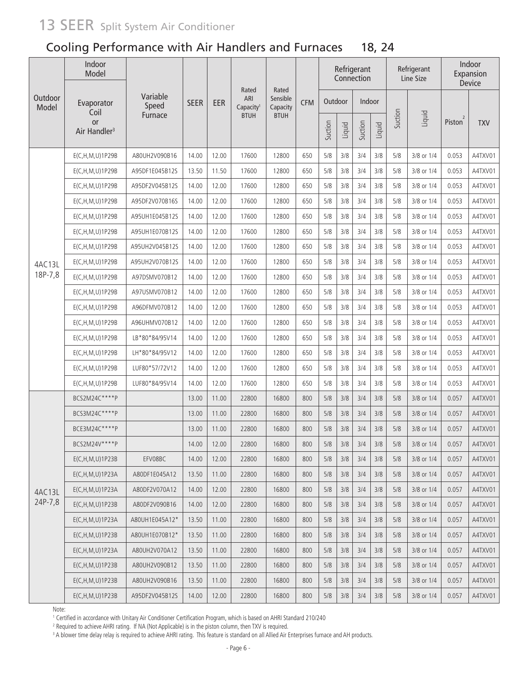|                  | Indoor<br>Model                       |                   |             |       |                                       |                               |            |         |        | Refrigerant<br>Connection |        |         | Refrigerant<br>Line Size |                     | Indoor<br>Expansion<br>Device |
|------------------|---------------------------------------|-------------------|-------------|-------|---------------------------------------|-------------------------------|------------|---------|--------|---------------------------|--------|---------|--------------------------|---------------------|-------------------------------|
| Outdoor<br>Model | Evaporator<br>Coil                    | Variable<br>Speed | <b>SEER</b> | EER   | Rated<br>ARI<br>Capacity <sup>1</sup> | Rated<br>Sensible<br>Capacity | <b>CFM</b> | Outdoor |        | Indoor                    |        |         |                          |                     |                               |
|                  | <b>or</b><br>Air Handler <sup>3</sup> | Furnace           |             |       | <b>BTUH</b>                           | <b>BTUH</b>                   |            | Suction | Liquid | Suction                   | Liquid | Suction | Liquid                   | Piston <sup>2</sup> | <b>TXV</b>                    |
|                  | E(C,H,M,U)1P29B                       | A80UH2V090B16     | 14.00       | 12.00 | 17600                                 | 12800                         | 650        | 5/8     | 3/8    | 3/4                       | 3/8    | 5/8     | 3/8 or 1/4               | 0.053               | A4TXV01                       |
|                  | E(C, H, M, U) 1P29B                   | A95DF1E045B12S    | 13.50       | 11.50 | 17600                                 | 12800                         | 650        | 5/8     | 3/8    | 3/4                       | 3/8    | 5/8     | 3/8 or 1/4               | 0.053               | A4TXV01                       |
|                  | E(C,H,M,U)1P29B                       | A95DF2V045B12S    | 14.00       | 12.00 | 17600                                 | 12800                         | 650        | 5/8     | 3/8    | 3/4                       | 3/8    | 5/8     | 3/8 or 1/4               | 0.053               | A4TXV01                       |
|                  | E(C, H, M, U) 1P29B                   | A95DF2V070B16S    | 14.00       | 12.00 | 17600                                 | 12800                         | 650        | 5/8     | 3/8    | 3/4                       | 3/8    | 5/8     | 3/8 or 1/4               | 0.053               | A4TXV01                       |
|                  | $E(C, H, M, U)$ 1P29B                 | A95UH1E045B12S    | 14.00       | 12.00 | 17600                                 | 12800                         | 650        | 5/8     | 3/8    | 3/4                       | 3/8    | 5/8     | 3/8 or 1/4               | 0.053               | A4TXV01                       |
|                  | E(C,H,M,U)1P29B                       | A95UH1E070B12S    | 14.00       | 12.00 | 17600                                 | 12800                         | 650        | 5/8     | 3/8    | 3/4                       | 3/8    | 5/8     | 3/8 or 1/4               | 0.053               | A4TXV01                       |
|                  | $E(C, H, M, U)$ 1P29B                 | A95UH2V045B12S    | 14.00       | 12.00 | 17600                                 | 12800                         | 650        | 5/8     | 3/8    | 3/4                       | 3/8    | 5/8     | 3/8 or 1/4               | 0.053               | A4TXV01                       |
| 4AC13L           | E(C, H, M, U) 1P29B                   | A95UH2V070B12S    | 14.00       | 12.00 | 17600                                 | 12800                         | 650        | 5/8     | 3/8    | 3/4                       | 3/8    | 5/8     | 3/8 or 1/4               | 0.053               | A4TXV01                       |
| 18P-7,8          | E(C,H,M,U)1P29B                       | A97DSMV070B12     | 14.00       | 12.00 | 17600                                 | 12800                         | 650        | 5/8     | 3/8    | 3/4                       | 3/8    | 5/8     | 3/8 or 1/4               | 0.053               | A4TXV01                       |
|                  | $E(C, H, M, U)$ 1P29B                 | A97USMV070B12     | 14.00       | 12.00 | 17600                                 | 12800                         | 650        | 5/8     | 3/8    | 3/4                       | 3/8    | 5/8     | 3/8 or 1/4               | 0.053               | A4TXV01                       |
|                  | $E(C, H, M, U)$ 1P29B                 | A96DFMV070B12     | 14.00       | 12.00 | 17600                                 | 12800                         | 650        | 5/8     | 3/8    | 3/4                       | 3/8    | 5/8     | 3/8 or 1/4               | 0.053               | A4TXV01                       |
|                  | E(C, H, M, U) 1P29B                   | A96UHMV070B12     | 14.00       | 12.00 | 17600                                 | 12800                         | 650        | 5/8     | 3/8    | 3/4                       | 3/8    | 5/8     | 3/8 or 1/4               | 0.053               | A4TXV01                       |
|                  | E(C,H,M,U)1P29B                       | LB*80*84/95V14    | 14.00       | 12.00 | 17600                                 | 12800                         | 650        | 5/8     | 3/8    | 3/4                       | 3/8    | 5/8     | 3/8 or 1/4               | 0.053               | A4TXV01                       |
|                  | E(C,H,M,U)1P29B                       | LH*80*84/95V12    | 14.00       | 12.00 | 17600                                 | 12800                         | 650        | 5/8     | 3/8    | 3/4                       | 3/8    | 5/8     | 3/8 or 1/4               | 0.053               | A4TXV01                       |
|                  | E(C,H,M,U)1P29B                       | LUF80*57/72V12    | 14.00       | 12.00 | 17600                                 | 12800                         | 650        | 5/8     | 3/8    | 3/4                       | 3/8    | 5/8     | 3/8 or 1/4               | 0.053               | A4TXV01                       |
|                  | E(C,H,M,U)1P29B                       | LUF80*84/95V14    | 14.00       | 12.00 | 17600                                 | 12800                         | 650        | 5/8     | 3/8    | 3/4                       | 3/8    | 5/8     | 3/8 or 1/4               | 0.053               | A4TXV01                       |
|                  | BCS2M24C****P                         |                   | 13.00       | 11.00 | 22800                                 | 16800                         | 800        | 5/8     | 3/8    | 3/4                       | 3/8    | 5/8     | 3/8 or 1/4               | 0.057               | A4TXV01                       |
|                  | BCS3M24C****P                         |                   | 13.00       | 11.00 | 22800                                 | 16800                         | 800        | 5/8     | 3/8    | 3/4                       | 3/8    | 5/8     | 3/8 or 1/4               | 0.057               | A4TXV01                       |
|                  | BCE3M24C****P                         |                   | 13.00       | 11.00 | 22800                                 | 16800                         | 800        | 5/8     | 3/8    | 3/4                       | 3/8    | 5/8     | 3/8 or 1/4               | 0.057               | A4TXV01                       |
|                  | BCS2M24V****P                         |                   | 14.00       | 12.00 | 22800                                 | 16800                         | 800        | 5/8     | 3/8    | 3/4                       | 3/8    | 5/8     | 3/8 or 1/4               | 0.057               | A4TXV01                       |
|                  | E(C, H, M, U) 1 P 23 B                | EFV08BC           | 14.00       | 12.00 | 22800                                 | 16800                         | 800        | $5/8$   | 3/8    | 3/4                       | 3/8    | 5/8     | 3/8 or 1/4               | 0.057               | A4TXV01                       |
|                  | E(C, H, M, U) 1P23A                   | A80DF1E045A12     | 13.50       | 11.00 | 22800                                 | 16800                         | 800        | 5/8     | 3/8    | 3/4                       | 3/8    | 5/8     | 3/8 or 1/4               | 0.057               | A4TXV01                       |
| 4AC13L           | E(C, H, M, U) 1 P 23 A                | A80DF2V070A12     | 14.00       | 12.00 | 22800                                 | 16800                         | 800        | 5/8     | 3/8    | 3/4                       | 3/8    | 5/8     | 3/8 or 1/4               | 0.057               | A4TXV01                       |
| 24P-7,8          | E(C, H, M, U) 1P23B                   | A80DF2V090B16     | 14.00       | 12.00 | 22800                                 | 16800                         | 800        | 5/8     | 3/8    | 3/4                       | 3/8    | 5/8     | 3/8 or 1/4               | 0.057               | A4TXV01                       |
|                  | E(C, H, M, U) 1 P 23 A                | A80UH1E045A12*    | 13.50       | 11.00 | 22800                                 | 16800                         | 800        | 5/8     | 3/8    | 3/4                       | 3/8    | 5/8     | 3/8 or 1/4               | 0.057               | A4TXV01                       |
|                  | E(C, H, M, U) 1P23B                   | A80UH1E070B12*    | 13.50       | 11.00 | 22800                                 | 16800                         | 800        | 5/8     | 3/8    | 3/4                       | 3/8    | 5/8     | 3/8 or 1/4               | 0.057               | A4TXV01                       |
|                  | E(C, H, M, U) 1 P 23 A                | A80UH2V070A12     | 13.50       | 11.00 | 22800                                 | 16800                         | 800        | 5/8     | 3/8    | 3/4                       | 3/8    | 5/8     | 3/8 or 1/4               | 0.057               | A4TXV01                       |
|                  | E(C, H, M, U) 1P23B                   | A80UH2V090B12     | 13.50       | 11.00 | 22800                                 | 16800                         | 800        | 5/8     | 3/8    | 3/4                       | 3/8    | 5/8     | 3/8 or 1/4               | 0.057               | A4TXV01                       |
|                  | E(C, H, M, U) 1P23B                   | A80UH2V090B16     | 13.50       | 11.00 | 22800                                 | 16800                         | 800        | 5/8     | 3/8    | 3/4                       | 3/8    | 5/8     | 3/8 or 1/4               | 0.057               | A4TXV01                       |
|                  | E(C, H, M, U) 1P23B                   | A95DF2V045B12S    | 14.00       | 12.00 | 22800                                 | 16800                         | 800        | 5/8     | 3/8    | 3/4                       | 3/8    | 5/8     | 3/8 or 1/4               | 0.057               | A4TXV01                       |

Note:

.......<br>1 Certified in accordance with Unitary Air Conditioner Certification Program, which is based on AHRI Standard 210/240<br>2 Beguired to achieve AHRI rating . If NA (Not Applicable) is in the piston column, then TXV is

<sup>2</sup> Required to achieve AHRI rating. If NA (Not Applicable) is in the piston column, then TXV is required.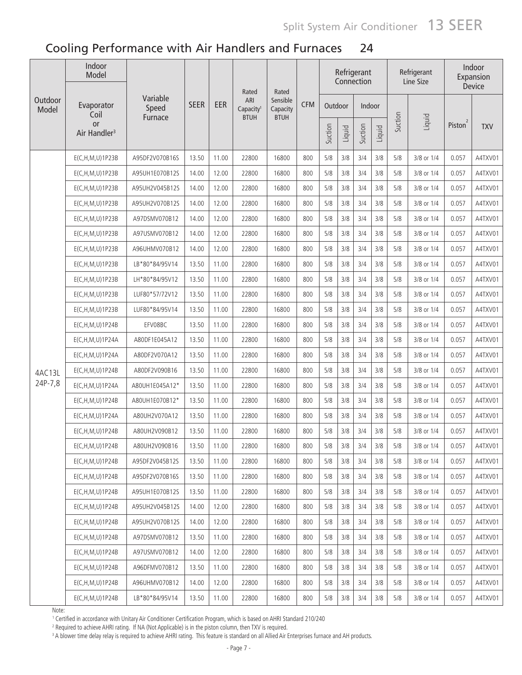|                  | Indoor<br>Model                       |                   |             |       | Rated                        | Rated                |            |         |        | Refrigerant<br>Connection |        |         | Refrigerant<br>Line Size |                     | Indoor<br>Expansion<br>Device |
|------------------|---------------------------------------|-------------------|-------------|-------|------------------------------|----------------------|------------|---------|--------|---------------------------|--------|---------|--------------------------|---------------------|-------------------------------|
| Outdoor<br>Model | Evaporator<br>Coil                    | Variable<br>Speed | <b>SEER</b> | EER   | ARI<br>Capacity <sup>1</sup> | Sensible<br>Capacity | <b>CFM</b> | Outdoor |        | Indoor                    |        |         |                          |                     |                               |
|                  | <b>or</b><br>Air Handler <sup>3</sup> | Furnace           |             |       | <b>BTUH</b>                  | <b>BTUH</b>          |            | Suction | Liquid | Suction                   | Liquid | Suction | Liquid                   | Piston <sup>2</sup> | <b>TXV</b>                    |
|                  | $E(C, H, M, U)$ 1P23B                 | A95DF2V070B16S    | 13.50       | 11.00 | 22800                        | 16800                | 800        | 5/8     | 3/8    | 3/4                       | 3/8    | 5/8     | 3/8 or 1/4               | 0.057               | A4TXV01                       |
|                  | E(C, H, M, U) 1P23B                   | A95UH1E070B12S    | 14.00       | 12.00 | 22800                        | 16800                | 800        | 5/8     | 3/8    | 3/4                       | 3/8    | 5/8     | 3/8 or 1/4               | 0.057               | A4TXV01                       |
|                  | $E(C, H, M, U)$ 1P23B                 | A95UH2V045B12S    | 14.00       | 12.00 | 22800                        | 16800                | 800        | 5/8     | 3/8    | 3/4                       | 3/8    | 5/8     | 3/8 or 1/4               | 0.057               | A4TXV01                       |
|                  | E(C, H, M, U) 1P23B                   | A95UH2V070B12S    | 14.00       | 12.00 | 22800                        | 16800                | 800        | 5/8     | 3/8    | 3/4                       | 3/8    | 5/8     | 3/8 or 1/4               | 0.057               | A4TXV01                       |
|                  | E(C, H, M, U) 1 P 23 B                | A97DSMV070B12     | 14.00       | 12.00 | 22800                        | 16800                | 800        | 5/8     | 3/8    | 3/4                       | 3/8    | 5/8     | 3/8 or 1/4               | 0.057               | A4TXV01                       |
|                  | E(C, H, M, U) 1 P 23 B                | A97USMV070B12     | 14.00       | 12.00 | 22800                        | 16800                | 800        | 5/8     | 3/8    | 3/4                       | 3/8    | 5/8     | 3/8 or 1/4               | 0.057               | A4TXV01                       |
|                  | E(C, H, M, U) 1 P 23 B                | A96UHMV070B12     | 14.00       | 12.00 | 22800                        | 16800                | 800        | 5/8     | 3/8    | 3/4                       | 3/8    | 5/8     | 3/8 or 1/4               | 0.057               | A4TXV01                       |
|                  | E(C,H,M,U)1P23B                       | LB*80*84/95V14    | 13.50       | 11.00 | 22800                        | 16800                | 800        | 5/8     | 3/8    | 3/4                       | 3/8    | 5/8     | 3/8 or 1/4               | 0.057               | A4TXV01                       |
|                  | E(C, H, M, U) 1 P 23 B                | LH*80*84/95V12    | 13.50       | 11.00 | 22800                        | 16800                | 800        | 5/8     | 3/8    | 3/4                       | 3/8    | 5/8     | 3/8 or 1/4               | 0.057               | A4TXV01                       |
|                  | E(C, H, M, U) 1 P 23 B                | LUF80*57/72V12    | 13.50       | 11.00 | 22800                        | 16800                | 800        | 5/8     | 3/8    | 3/4                       | 3/8    | 5/8     | 3/8 or 1/4               | 0.057               | A4TXV01                       |
|                  | E(C, H, M, U) 1P23B                   | LUF80*84/95V14    | 13.50       | 11.00 | 22800                        | 16800                | 800        | 5/8     | 3/8    | 3/4                       | 3/8    | 5/8     | 3/8 or 1/4               | 0.057               | A4TXV01                       |
|                  | E(C, H, M, U) 1P24B                   | EFV08BC           | 13.50       | 11.00 | 22800                        | 16800                | 800        | 5/8     | 3/8    | 3/4                       | 3/8    | 5/8     | 3/8 or 1/4               | 0.057               | A4TXV01                       |
|                  | E(C, H, M, U) 1P24A                   | A80DF1E045A12     | 13.50       | 11.00 | 22800                        | 16800                | 800        | 5/8     | 3/8    | 3/4                       | 3/8    | 5/8     | 3/8 or 1/4               | 0.057               | A4TXV01                       |
|                  | E(C, H, M, U) 1P24A                   | A80DF2V070A12     | 13.50       | 11.00 | 22800                        | 16800                | 800        | 5/8     | 3/8    | 3/4                       | 3/8    | 5/8     | 3/8 or 1/4               | 0.057               | A4TXV01                       |
| 4AC13L           | E(C,H,M,U)1P24B                       | A80DF2V090B16     | 13.50       | 11.00 | 22800                        | 16800                | 800        | 5/8     | 3/8    | 3/4                       | 3/8    | 5/8     | 3/8 or 1/4               | 0.057               | A4TXV01                       |
| 24P-7,8          | E(C, H, M, U) 1P24A                   | A80UH1E045A12*    | 13.50       | 11.00 | 22800                        | 16800                | 800        | 5/8     | 3/8    | 3/4                       | 3/8    | 5/8     | 3/8 or 1/4               | 0.057               | A4TXV01                       |
|                  | E(C,H,M,U)1P24B                       | A80UH1E070B12*    | 13.50       | 11.00 | 22800                        | 16800                | 800        | 5/8     | 3/8    | 3/4                       | 3/8    | 5/8     | 3/8 or 1/4               | 0.057               | A4TXV01                       |
|                  | E(C,H,M,U)1P24A                       | A80UH2V070A12     | 13.50       | 11.00 | 22800                        | 16800                | 800        | 5/8     | 3/8    | 3/4                       | 3/8    | 5/8     | 3/8 or 1/4               | 0.057               | A4TXV01                       |
|                  | E(C,H,M,U)1P24B                       | A80UH2V090B12     | 13.50       | 11.00 | 22800                        | 16800                | 800        | 5/8     | 3/8    | 3/4                       | 3/8    | 5/8     | 3/8 or 1/4               | 0.057               | A4TXV01                       |
|                  | E(C,H,M,U)1P24B                       | A80UH2V090B16     | 13.50       | 11.00 | 22800                        | 16800                | 800        | 5/8     | $3/8$  | 3/4                       | 3/8    | 5/8     | 3/8 or 1/4               | 0.057               | A4TXV01                       |
|                  | E(C,H,M,U)1P24B                       | A95DF2V045B12S    | 13.50       | 11.00 | 22800                        | 16800                | 800        | 5/8     | 3/8    | 3/4                       | 3/8    | 5/8     | 3/8 or 1/4               | 0.057               | A4TXV01                       |
|                  | E(C, H, M, U) 1P24B                   | A95DF2V070B16S    | 13.50       | 11.00 | 22800                        | 16800                | 800        | 5/8     | 3/8    | 3/4                       | 3/8    | 5/8     | 3/8 or 1/4               | 0.057               | A4TXV01                       |
|                  | E(C, H, M, U) 1P24B                   | A95UH1E070B12S    | 13.50       | 11.00 | 22800                        | 16800                | 800        | 5/8     | 3/8    | 3/4                       | 3/8    | 5/8     | 3/8 or 1/4               | 0.057               | A4TXV01                       |
|                  | E(C, H, M, U) 1P24B                   | A95UH2V045B12S    | 14.00       | 12.00 | 22800                        | 16800                | 800        | 5/8     | 3/8    | 3/4                       | 3/8    | 5/8     | 3/8 or 1/4               | 0.057               | A4TXV01                       |
|                  | E(C, H, M, U) 1P24B                   | A95UH2V070B12S    | 14.00       | 12.00 | 22800                        | 16800                | 800        | 5/8     | 3/8    | 3/4                       | 3/8    | 5/8     | 3/8 or 1/4               | 0.057               | A4TXV01                       |
|                  | E(C,H,M,U)1P24B                       | A97DSMV070B12     | 13.50       | 11.00 | 22800                        | 16800                | 800        | 5/8     | 3/8    | 3/4                       | 3/8    | 5/8     | 3/8 or 1/4               | 0.057               | A4TXV01                       |
|                  | $E(C, H, M, U)$ 1P24B                 | A97USMV070B12     | 14.00       | 12.00 | 22800                        | 16800                | 800        | 5/8     | 3/8    | 3/4                       | 3/8    | 5/8     | 3/8 or 1/4               | 0.057               | A4TXV01                       |
|                  | E(C, H, M, U) 1P24B                   | A96DFMV070B12     | 13.50       | 11.00 | 22800                        | 16800                | 800        | 5/8     | 3/8    | 3/4                       | 3/8    | 5/8     | 3/8 or 1/4               | 0.057               | A4TXV01                       |
|                  | E(C, H, M, U) 1P24B                   | A96UHMV070B12     | 14.00       | 12.00 | 22800                        | 16800                | 800        | 5/8     | 3/8    | 3/4                       | 3/8    | 5/8     | 3/8 or 1/4               | 0.057               | A4TXV01                       |
|                  | E(C,H,M,U)1P24B                       | LB*80*84/95V14    | 13.50       | 11.00 | 22800                        | 16800                | 800        | 5/8     | 3/8    | 3/4                       | 3/8    | 5/8     | 3/8 or 1/4               | 0.057               | A4TXV01                       |

Note:

.......<br>1 Certified in accordance with Unitary Air Conditioner Certification Program, which is based on AHRI Standard 210/240<br>2 Beguired to achieve AHRI rating . If NA (Not Applicable) is in the piston column, then TXV is

<sup>2</sup> Required to achieve AHRI rating. If NA (Not Applicable) is in the piston column, then TXV is required.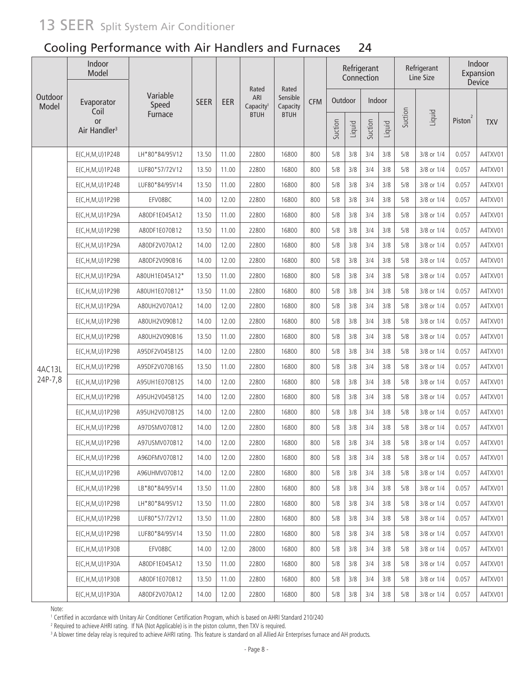|                  | Indoor<br>Model                       |                   |             |       |                                       |                               |            |         |        | Refrigerant<br>Connection |        |         | Refrigerant<br>Line Size |                     | Indoor<br>Expansion<br><b>Device</b> |
|------------------|---------------------------------------|-------------------|-------------|-------|---------------------------------------|-------------------------------|------------|---------|--------|---------------------------|--------|---------|--------------------------|---------------------|--------------------------------------|
| Outdoor<br>Model | Evaporator<br>Coil                    | Variable<br>Speed | <b>SEER</b> | EER   | Rated<br>ARI<br>Capacity <sup>1</sup> | Rated<br>Sensible<br>Capacity | <b>CFM</b> | Outdoor |        | Indoor                    |        |         |                          |                     |                                      |
|                  | <b>or</b><br>Air Handler <sup>3</sup> | Furnace           |             |       | <b>BTUH</b>                           | <b>BTUH</b>                   |            | Suction | Liquid | Suction                   | Liquid | Suction | Liquid                   | Piston <sup>2</sup> | <b>TXV</b>                           |
|                  | E(C,H,M,U)1P24B                       | LH*80*84/95V12    | 13.50       | 11.00 | 22800                                 | 16800                         | 800        | 5/8     | 3/8    | 3/4                       | 3/8    | 5/8     | 3/8 or 1/4               | 0.057               | A4TXV01                              |
|                  | E(C,H,M,U)1P24B                       | LUF80*57/72V12    | 13.50       | 11.00 | 22800                                 | 16800                         | 800        | 5/8     | 3/8    | 3/4                       | 3/8    | 5/8     | 3/8 or 1/4               | 0.057               | A4TXV01                              |
|                  | E(C, H, M, U) 1P24B                   | LUF80*84/95V14    | 13.50       | 11.00 | 22800                                 | 16800                         | 800        | 5/8     | 3/8    | 3/4                       | 3/8    | 5/8     | 3/8 or 1/4               | 0.057               | A4TXV01                              |
|                  | E(C,H,M,U)1P29B                       | EFV08BC           | 14.00       | 12.00 | 22800                                 | 16800                         | 800        | 5/8     | 3/8    | 3/4                       | 3/8    | 5/8     | 3/8 or 1/4               | 0.057               | A4TXV01                              |
|                  | E(C, H, M, U) 1P29A                   | A80DF1E045A12     | 13.50       | 11.00 | 22800                                 | 16800                         | 800        | 5/8     | 3/8    | 3/4                       | 3/8    | 5/8     | 3/8 or 1/4               | 0.057               | A4TXV01                              |
|                  | E(C,H,M,U)1P29B                       | A80DF1E070B12     | 13.50       | 11.00 | 22800                                 | 16800                         | 800        | 5/8     | 3/8    | 3/4                       | 3/8    | 5/8     | 3/8 or 1/4               | 0.057               | A4TXV01                              |
|                  | E(C,H,M,U)1P29A                       | A80DF2V070A12     | 14.00       | 12.00 | 22800                                 | 16800                         | 800        | 5/8     | 3/8    | 3/4                       | 3/8    | 5/8     | 3/8 or 1/4               | 0.057               | A4TXV01                              |
|                  | E(C,H,M,U)1P29B                       | A80DF2V090B16     | 14.00       | 12.00 | 22800                                 | 16800                         | 800        | 5/8     | 3/8    | 3/4                       | 3/8    | 5/8     | 3/8 or 1/4               | 0.057               | A4TXV01                              |
|                  | E(C,H,M,U)1P29A                       | A80UH1E045A12*    | 13.50       | 11.00 | 22800                                 | 16800                         | 800        | 5/8     | 3/8    | 3/4                       | 3/8    | 5/8     | 3/8 or 1/4               | 0.057               | A4TXV01                              |
|                  | E(C, H, M, U) 1P29B                   | A80UH1E070B12*    | 13.50       | 11.00 | 22800                                 | 16800                         | 800        | 5/8     | 3/8    | 3/4                       | 3/8    | 5/8     | 3/8 or 1/4               | 0.057               | A4TXV01                              |
|                  | E(C, H, M, U) 1P29A                   | A80UH2V070A12     | 14.00       | 12.00 | 22800                                 | 16800                         | 800        | 5/8     | 3/8    | 3/4                       | 3/8    | 5/8     | 3/8 or 1/4               | 0.057               | A4TXV01                              |
|                  | $E(C, H, M, U)$ 1P29B                 | A80UH2V090B12     | 14.00       | 12.00 | 22800                                 | 16800                         | 800        | 5/8     | 3/8    | 3/4                       | 3/8    | 5/8     | 3/8 or 1/4               | 0.057               | A4TXV01                              |
|                  | $E(C, H, M, U)$ 1P29B                 | A80UH2V090B16     | 13.50       | 11.00 | 22800                                 | 16800                         | 800        | 5/8     | 3/8    | 3/4                       | 3/8    | 5/8     | 3/8 or 1/4               | 0.057               | A4TXV01                              |
|                  | E(C,H,M,U)1P29B                       | A95DF2V045B12S    | 14.00       | 12.00 | 22800                                 | 16800                         | 800        | 5/8     | 3/8    | 3/4                       | 3/8    | 5/8     | 3/8 or 1/4               | 0.057               | A4TXV01                              |
| 4AC13L           | E(C,H,M,U)1P29B                       | A95DF2V070B16S    | 13.50       | 11.00 | 22800                                 | 16800                         | 800        | 5/8     | 3/8    | 3/4                       | 3/8    | 5/8     | 3/8 or 1/4               | 0.057               | A4TXV01                              |
| 24P-7,8          | $E(C, H, M, U)$ 1P29B                 | A95UH1E070B12S    | 14.00       | 12.00 | 22800                                 | 16800                         | 800        | 5/8     | 3/8    | 3/4                       | 3/8    | 5/8     | 3/8 or 1/4               | 0.057               | A4TXV01                              |
|                  | E(C,H,M,U)1P29B                       | A95UH2V045B12S    | 14.00       | 12.00 | 22800                                 | 16800                         | 800        | $5/8$   | 3/8    | 3/4                       | 3/8    | 5/8     | 3/8 or 1/4               | 0.057               | A4TXV01                              |
|                  | $E(C, H, M, U)$ 1P29B                 | A95UH2V070B12S    | 14.00       | 12.00 | 22800                                 | 16800                         | 800        | 5/8     | 3/8    | 3/4                       | 3/8    | 5/8     | 3/8 or 1/4               | 0.057               | A4TXV01                              |
|                  | $E(C, H, M, U)$ 1P29B                 | A97DSMV070B12     | 14.00       | 12.00 | 22800                                 | 16800                         | 800        | 5/8     | 3/8    | 3/4                       | 3/8    | 5/8     | 3/8 or 1/4               | 0.057               | A4TXV01                              |
|                  | E(C, H, M, U) 1 P 29 B                | A97USMV070B12     | 14.00       | 12.00 | 22800                                 | 16800                         | 800        | 5/8     | 3/8    | 3/4                       | 3/8    | 5/8     | 3/8 or 1/4               | 0.057               | A4TXV01                              |
|                  | $E(C, H, M, U)$ 1P29B                 | A96DFMV070B12     | 14.00       | 12.00 | 22800                                 | 16800                         | 800        | 5/8     | 3/8    | 3/4                       | 3/8    | 5/8     | 3/8 or 1/4               | 0.057               | A4TXV01                              |
|                  | E(C,H,M,U)1P29B                       | A96UHMV070B12     | 14.00       | 12.00 | 22800                                 | 16800                         | 800        | 5/8     | 3/8    | 3/4                       | 3/8    | 5/8     | 3/8 or 1/4               | 0.057               | A4TXV01                              |
|                  | $E(C, H, M, U)$ 1P29B                 | LB*80*84/95V14    | 13.50       | 11.00 | 22800                                 | 16800                         | 800        | 5/8     | 3/8    | 3/4                       | 3/8    | 5/8     | 3/8 or 1/4               | 0.057               | A4TXV01                              |
|                  | $E(C, H, M, U)$ 1P29B                 | LH*80*84/95V12    | 13.50       | 11.00 | 22800                                 | 16800                         | 800        | 5/8     | 3/8    | 3/4                       | 3/8    | 5/8     | 3/8 or 1/4               | 0.057               | A4TXV01                              |
|                  | $E(C, H, M, U)$ 1P29B                 | LUF80*57/72V12    | 13.50       | 11.00 | 22800                                 | 16800                         | 800        | 5/8     | 3/8    | 3/4                       | 3/8    | 5/8     | 3/8 or 1/4               | 0.057               | A4TXV01                              |
|                  | $E(C, H, M, U)$ 1P29B                 | LUF80*84/95V14    | 13.50       | 11.00 | 22800                                 | 16800                         | 800        | 5/8     | 3/8    | 3/4                       | 3/8    | 5/8     | 3/8 or 1/4               | 0.057               | A4TXV01                              |
|                  | E(C, H, M, U) 1 P 30 B                | EFV08BC           | 14.00       | 12.00 | 28000                                 | 16800                         | 800        | 5/8     | 3/8    | 3/4                       | 3/8    | 5/8     | 3/8 or 1/4               | 0.057               | A4TXV01                              |
|                  | E(C, H, M, U) 1 P 30 A                | A80DF1E045A12     | 13.50       | 11.00 | 22800                                 | 16800                         | 800        | 5/8     | 3/8    | 3/4                       | 3/8    | 5/8     | 3/8 or 1/4               | 0.057               | A4TXV01                              |
|                  | E(C, H, M, U) 1P30B                   | A80DF1E070B12     | 13.50       | 11.00 | 22800                                 | 16800                         | 800        | 5/8     | 3/8    | 3/4                       | 3/8    | 5/8     | 3/8 or 1/4               | 0.057               | A4TXV01                              |
|                  | E(C, H, M, U) 1P30A                   | A80DF2V070A12     | 14.00       | 12.00 | 22800                                 | 16800                         | 800        | $5/8$   | 3/8    | 3/4                       | 3/8    | 5/8     | 3/8 or 1/4               | 0.057               | A4TXV01                              |

Note:

10 Certified in accordance with Unitary Air Conditioner Certification Program, which is based on AHRI Standard 210/240<br><sup>2</sup> Bequired to achieve AHRI rating 15 NA (Not Applicable) is in the piston column, then TXV is require

<sup>2</sup> Required to achieve AHRI rating. If NA (Not Applicable) is in the piston column, then TXV is required.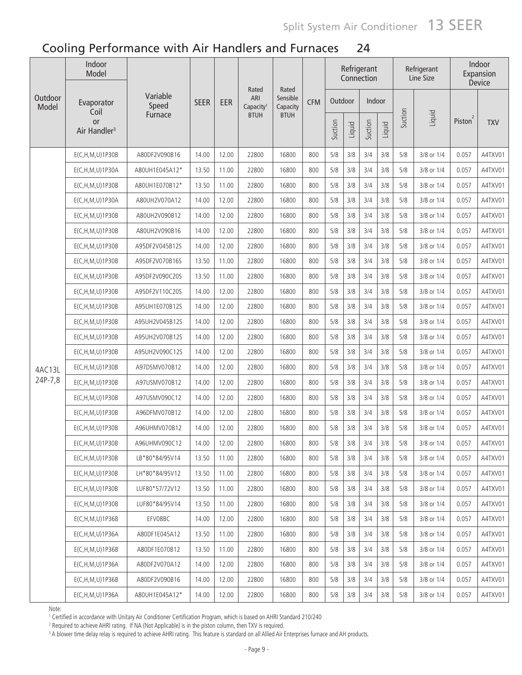|                  | Indoor<br>Model                       |                   |             |       |                                       |                               |            |         |        | Refrigerant<br>Connection |        |         | Refrigerant<br>Line Size |                     | Indoor<br>Expansion<br>Device |
|------------------|---------------------------------------|-------------------|-------------|-------|---------------------------------------|-------------------------------|------------|---------|--------|---------------------------|--------|---------|--------------------------|---------------------|-------------------------------|
| Outdoor<br>Model | Evaporator<br>Coil                    | Variable<br>Speed | <b>SEER</b> | EER   | Rated<br>ARI<br>Capacity <sup>1</sup> | Rated<br>Sensible<br>Capacity | <b>CFM</b> | Outdoor |        | Indoor                    |        |         |                          |                     |                               |
|                  | <b>or</b><br>Air Handler <sup>3</sup> | Furnace           |             |       | <b>BTUH</b>                           | <b>BTUH</b>                   |            | Suction | Liquid | Suction                   | Liquid | Suction | Liquid                   | Piston <sup>2</sup> | <b>TXV</b>                    |
|                  | E(C,H,M,U)1P30B                       | A80DF2V090B16     | 14.00       | 12.00 | 22800                                 | 16800                         | 800        | 5/8     | 3/8    | 3/4                       | 3/8    | 5/8     | 3/8 or 1/4               | 0.057               | A4TXV01                       |
|                  | E(C,H,M,U)1P30A                       | A80UH1E045A12*    | 13.50       | 11.00 | 22800                                 | 16800                         | 800        | 5/8     | 3/8    | 3/4                       | 3/8    | 5/8     | 3/8 or 1/4               | 0.057               | A4TXV01                       |
|                  | $E(C, H, M, U)$ 1P30B                 | A80UH1E070B12*    | 13.50       | 11.00 | 22800                                 | 16800                         | 800        | 5/8     | 3/8    | 3/4                       | 3/8    | 5/8     | 3/8 or 1/4               | 0.057               | A4TXV01                       |
|                  | E(C,H,M,U)1P30A                       | A80UH2V070A12     | 14.00       | 12.00 | 22800                                 | 16800                         | 800        | 5/8     | 3/8    | 3/4                       | 3/8    | 5/8     | 3/8 or 1/4               | 0.057               | A4TXV01                       |
|                  | $E(C, H, M, U)$ 1P30B                 | A80UH2V090B12     | 14.00       | 12.00 | 22800                                 | 16800                         | 800        | 5/8     | 3/8    | 3/4                       | 3/8    | 5/8     | 3/8 or 1/4               | 0.057               | A4TXV01                       |
|                  | E(C,H,M,U)1P30B                       | A80UH2V090B16     | 14.00       | 12.00 | 22800                                 | 16800                         | 800        | 5/8     | 3/8    | 3/4                       | 3/8    | 5/8     | 3/8 or 1/4               | 0.057               | A4TXV01                       |
|                  | $E(C, H, M, U)$ 1P30B                 | A95DF2V045B12S    | 14.00       | 12.00 | 22800                                 | 16800                         | 800        | 5/8     | 3/8    | 3/4                       | 3/8    | 5/8     | 3/8 or 1/4               | 0.057               | A4TXV01                       |
|                  | E(C,H,M,U)1P30B                       | A95DF2V070B16S    | 13.50       | 11.00 | 22800                                 | 16800                         | 800        | 5/8     | 3/8    | 3/4                       | 3/8    | 5/8     | 3/8 or 1/4               | 0.057               | A4TXV01                       |
|                  | E(C,H,M,U)1P30B                       | A95DF2V090C20S    | 13.50       | 11.00 | 22800                                 | 16800                         | 800        | 5/8     | 3/8    | 3/4                       | 3/8    | 5/8     | 3/8 or 1/4               | 0.057               | A4TXV01                       |
|                  | E(C,H,M,U)1P30B                       | A95DF2V110C20S    | 14.00       | 12.00 | 22800                                 | 16800                         | 800        | 5/8     | 3/8    | 3/4                       | 3/8    | 5/8     | 3/8 or 1/4               | 0.057               | A4TXV01                       |
|                  | E(C,H,M,U)1P30B                       | A95UH1E070B12S    | 14.00       | 12.00 | 22800                                 | 16800                         | 800        | 5/8     | 3/8    | 3/4                       | 3/8    | 5/8     | 3/8 or 1/4               | 0.057               | A4TXV01                       |
|                  | E(C,H,M,U)1P30B                       | A95UH2V045B12S    | 14.00       | 12.00 | 22800                                 | 16800                         | 800        | 5/8     | 3/8    | 3/4                       | 3/8    | 5/8     | 3/8 or 1/4               | 0.057               | A4TXV01                       |
|                  | E(C,H,M,U)1P30B                       | A95UH2V070B12S    | 14.00       | 12.00 | 22800                                 | 16800                         | 800        | 5/8     | 3/8    | 3/4                       | 3/8    | 5/8     | 3/8 or 1/4               | 0.057               | A4TXV01                       |
|                  | E(C,H,M,U)1P30B                       | A95UH2V090C12S    | 14.00       | 12.00 | 22800                                 | 16800                         | 800        | 5/8     | 3/8    | 3/4                       | 3/8    | 5/8     | 3/8 or 1/4               | 0.057               | A4TXV01                       |
| 4AC13L           | E(C,H,M,U)1P30B                       | A97DSMV070B12     | 14.00       | 12.00 | 22800                                 | 16800                         | 800        | 5/8     | 3/8    | 3/4                       | 3/8    | 5/8     | 3/8 or 1/4               | 0.057               | A4TXV01                       |
| 24P-7,8          | E(C,H,M,U)1P30B                       | A97USMV070B12     | 14.00       | 12.00 | 22800                                 | 16800                         | 800        | 5/8     | 3/8    | 3/4                       | 3/8    | 5/8     | 3/8 or 1/4               | 0.057               | A4TXV01                       |
|                  | E(C,H,M,U)1P30B                       | A97USMV090C12     | 14.00       | 12.00 | 22800                                 | 16800                         | 800        | 5/8     | 3/8    | 3/4                       | 3/8    | 5/8     | 3/8 or 1/4               | 0.057               | A4TXV01                       |
|                  | E(C,H,M,U)1P30B                       | A96DFMV070B12     | 14.00       | 12.00 | 22800                                 | 16800                         | 800        | 5/8     | 3/8    | 3/4                       | 3/8    | 5/8     | 3/8 or 1/4               | 0.057               | A4TXV01                       |
|                  | E(C,H,M,U)1P30B                       | A96UHMV070B12     | 14.00       | 12.00 | 22800                                 | 16800                         | 800        | 5/8     | 3/8    | 3/4                       | 3/8    | 5/8     | 3/8 or 1/4               | 0.057               | A4TXV01                       |
|                  | $E(C, H, M, U)$ 1P30B                 | A96UHMV090C12     | 14.00       | 12.00 | 22800                                 | 16800                         | 800        | 5/8     | 3/8    | 3/4                       | 3/8    | 5/8     | 3/8 or 1/4               | 0.057               | A4TXV01                       |
|                  | $E(C, H, M, U)$ 1P30B                 | LB*80*84/95V14    | 13.50       | 11.00 | 22800                                 | 16800                         | 800        | 5/8     | 3/8    | 3/4                       | 3/8    | 5/8     | 3/8 or 1/4               | 0.057               | A4TXV01                       |
|                  | E(C, H, M, U) 1P30B                   | LH*80*84/95V12    | 13.50       | 11.00 | 22800                                 | 16800                         | 800        | 5/8     | 3/8    | 3/4                       | 3/8    | 5/8     | 3/8 or 1/4               | 0.057               | A4TXV01                       |
|                  | $E(C, H, M, U)$ 1P30B                 | LUF80*57/72V12    | 13.50       | 11.00 | 22800                                 | 16800                         | 800        | 5/8     | 3/8    | 3/4                       | 3/8    | 5/8     | 3/8 or 1/4               | 0.057               | A4TXV01                       |
|                  | $E(C, H, M, U)$ 1P30B                 | LUF80*84/95V14    | 13.50       | 11.00 | 22800                                 | 16800                         | 800        | 5/8     | 3/8    | 3/4                       | 3/8    | 5/8     | 3/8 or 1/4               | 0.057               | A4TXV01                       |
|                  | $E(C, H, M, U)$ 1P36B                 | EFV08BC           | 14.00       | 12.00 | 22800                                 | 16800                         | 800        | 5/8     | 3/8    | 3/4                       | 3/8    | 5/8     | 3/8 or 1/4               | 0.057               | A4TXV01                       |
|                  | E(C, H, M, U) 1P36A                   | A80DF1E045A12     | 13.50       | 11.00 | 22800                                 | 16800                         | 800        | 5/8     | 3/8    | 3/4                       | 3/8    | 5/8     | 3/8 or 1/4               | 0.057               | A4TXV01                       |
|                  | $E(C, H, M, U)$ 1P36B                 | A80DF1E070B12     | 13.50       | 11.00 | 22800                                 | 16800                         | 800        | 5/8     | 3/8    | 3/4                       | 3/8    | 5/8     | 3/8 or 1/4               | 0.057               | A4TXV01                       |
|                  | E(C, H, M, U) 1P36A                   | A80DF2V070A12     | 14.00       | 12.00 | 22800                                 | 16800                         | 800        | 5/8     | 3/8    | 3/4                       | 3/8    | 5/8     | 3/8 or 1/4               | 0.057               | A4TXV01                       |
|                  | $E(C, H, M, U)$ 1P36B                 | A80DF2V090B16     | 14.00       | 12.00 | 22800                                 | 16800                         | 800        | 5/8     | 3/8    | 3/4                       | 3/8    | 5/8     | 3/8 or 1/4               | 0.057               | A4TXV01                       |
|                  | E(C, H, M, U) 1 P 36 A                | A80UH1E045A12*    | 14.00       | 12.00 | 22800                                 | 16800                         | 800        | 5/8     | 3/8    | 3/4                       | 3/8    | 5/8     | 3/8 or 1/4               | 0.057               | A4TXV01                       |

Note:

1996.<br>1 Certified in accordance with Unitary Air Conditioner Certification Program, which is based on AHRI Standard 210/240<br>2 Required to achieve AHRI rating . If NA (Not Anolicable) is in the piston column, then TXV is re

<sup>2</sup> Required to achieve AHRI rating. If NA (Not Applicable) is in the piston column, then TXV is required.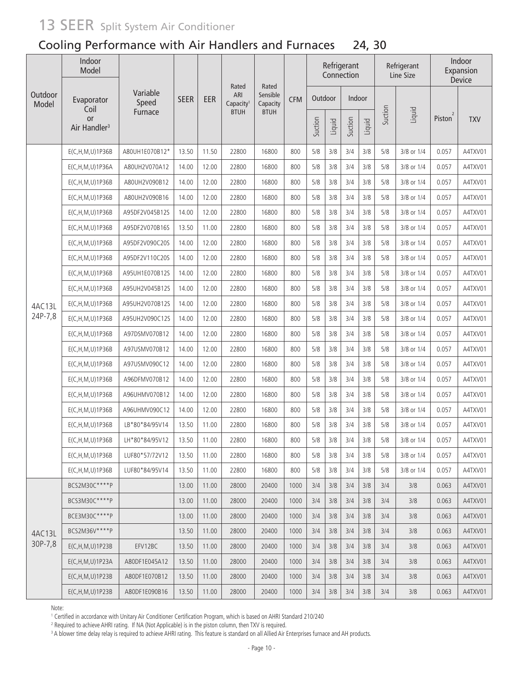### Cooling Performance with Air Handlers and Furnaces 24, 30

|                  | Indoor<br>Model                        |                   |             |       |                                       |                               |            |         |        | Refrigerant<br>Connection |        |         | Refrigerant<br>Line Size |                     | Indoor<br>Expansion<br>Device |
|------------------|----------------------------------------|-------------------|-------------|-------|---------------------------------------|-------------------------------|------------|---------|--------|---------------------------|--------|---------|--------------------------|---------------------|-------------------------------|
| Outdoor<br>Model | Evaporator                             | Variable<br>Speed | <b>SEER</b> | EER   | Rated<br>ARI<br>Capacity <sup>1</sup> | Rated<br>Sensible<br>Capacity | <b>CFM</b> | Outdoor |        | Indoor                    |        |         |                          |                     |                               |
|                  | Coil<br>or<br>Air Handler <sup>3</sup> | Furnace           |             |       | <b>BTUH</b>                           | <b>BTUH</b>                   |            | Suction | Liquid | Suction                   | Liquid | Suction | Liquid                   | Piston <sup>2</sup> | <b>TXV</b>                    |
|                  | E(C,H,M,U)1P36B                        | A80UH1E070B12*    | 13.50       | 11.50 | 22800                                 | 16800                         | 800        | 5/8     | 3/8    | 3/4                       | 3/8    | 5/8     | 3/8 or 1/4               | 0.057               | A4TXV01                       |
|                  | E(C,H,M,U)1P36A                        | A80UH2V070A12     | 14.00       | 12.00 | 22800                                 | 16800                         | 800        | 5/8     | 3/8    | 3/4                       | 3/8    | 5/8     | 3/8 or 1/4               | 0.057               | A4TXV01                       |
|                  | E(C,H,M,U)1P36B                        | A80UH2V090B12     | 14.00       | 12.00 | 22800                                 | 16800                         | 800        | 5/8     | 3/8    | 3/4                       | 3/8    | 5/8     | 3/8 or 1/4               | 0.057               | A4TXV01                       |
|                  | E(C,H,M,U)1P36B                        | A80UH2V090B16     | 14.00       | 12.00 | 22800                                 | 16800                         | 800        | 5/8     | 3/8    | 3/4                       | 3/8    | 5/8     | 3/8 or 1/4               | 0.057               | A4TXV01                       |
|                  | $E(C, H, M, U)$ 1P36B                  | A95DF2V045B12S    | 14.00       | 12.00 | 22800                                 | 16800                         | 800        | 5/8     | 3/8    | 3/4                       | 3/8    | 5/8     | 3/8 or 1/4               | 0.057               | A4TXV01                       |
|                  | E(C,H,M,U)1P36B                        | A95DF2V070B16S    | 13.50       | 11.00 | 22800                                 | 16800                         | 800        | 5/8     | 3/8    | 3/4                       | 3/8    | 5/8     | 3/8 or 1/4               | 0.057               | A4TXV01                       |
|                  | E(C,H,M,U)1P36B                        | A95DF2V090C20S    | 14.00       | 12.00 | 22800                                 | 16800                         | 800        | 5/8     | 3/8    | 3/4                       | 3/8    | 5/8     | 3/8 or 1/4               | 0.057               | A4TXV01                       |
|                  | E(C,H,M,U)1P36B                        | A95DF2V110C20S    | 14.00       | 12.00 | 22800                                 | 16800                         | 800        | 5/8     | 3/8    | 3/4                       | 3/8    | 5/8     | 3/8 or 1/4               | 0.057               | A4TXV01                       |
|                  | E(C,H,M,U)1P36B                        | A95UH1E070B12S    | 14.00       | 12.00 | 22800                                 | 16800                         | 800        | 5/8     | 3/8    | 3/4                       | 3/8    | 5/8     | 3/8 or 1/4               | 0.057               | A4TXV01                       |
|                  | E(C,H,M,U)1P36B                        | A95UH2V045B12S    | 14.00       | 12.00 | 22800                                 | 16800                         | 800        | 5/8     | 3/8    | 3/4                       | 3/8    | 5/8     | 3/8 or 1/4               | 0.057               | A4TXV01                       |
| 4AC13L           | E(C,H,M,U)1P36B                        | A95UH2V070B12S    | 14.00       | 12.00 | 22800                                 | 16800                         | 800        | 5/8     | 3/8    | 3/4                       | 3/8    | 5/8     | 3/8 or 1/4               | 0.057               | A4TXV01                       |
| 24P-7,8          | E(C, H, M, U) 1P36B                    | A95UH2V090C12S    | 14.00       | 12.00 | 22800                                 | 16800                         | 800        | 5/8     | 3/8    | 3/4                       | 3/8    | 5/8     | 3/8 or 1/4               | 0.057               | A4TXV01                       |
|                  | E(C, H, M, U) 1P36B                    | A97DSMV070B12     | 14.00       | 12.00 | 22800                                 | 16800                         | 800        | 5/8     | 3/8    | 3/4                       | 3/8    | 5/8     | 3/8 or 1/4               | 0.057               | A4TXV01                       |
|                  | E(C,H,M,U)1P36B                        | A97USMV070B12     | 14.00       | 12.00 | 22800                                 | 16800                         | 800        | 5/8     | 3/8    | 3/4                       | 3/8    | 5/8     | 3/8 or 1/4               | 0.057               | A4TXV01                       |
|                  | E(C,H,M,U)1P36B                        | A97USMV090C12     | 14.00       | 12.00 | 22800                                 | 16800                         | 800        | 5/8     | 3/8    | 3/4                       | 3/8    | 5/8     | 3/8 or 1/4               | 0.057               | A4TXV01                       |
|                  | E(C,H,M,U)1P36B                        | A96DFMV070B12     | 14.00       | 12.00 | 22800                                 | 16800                         | 800        | 5/8     | 3/8    | 3/4                       | 3/8    | 5/8     | 3/8 or 1/4               | 0.057               | A4TXV01                       |
|                  | E(C,H,M,U)1P36B                        | A96UHMV070B12     | 14.00       | 12.00 | 22800                                 | 16800                         | 800        | 5/8     | 3/8    | 3/4                       | 3/8    | 5/8     | 3/8 or 1/4               | 0.057               | A4TXV01                       |
|                  | E(C,H,M,U)1P36B                        | A96UHMV090C12     | 14.00       | 12.00 | 22800                                 | 16800                         | 800        | 5/8     | 3/8    | 3/4                       | 3/8    | 5/8     | 3/8 or 1/4               | 0.057               | A4TXV01                       |
|                  | E(C, H, M, U) 1P36B                    | LB*80*84/95V14    | 13.50       | 11.00 | 22800                                 | 16800                         | 800        | 5/8     | 3/8    | 3/4                       | 3/8    | 5/8     | 3/8 or 1/4               | 0.057               | A4TXV01                       |
|                  | E(C,H,M,U)1P36B                        | LH*80*84/95V12    | 13.50       | 11.00 | 22800                                 | 16800                         | 800        | 5/8     | 3/8    | 3/4                       | 3/8    | 5/8     | 3/8 or 1/4               | 0.057               | A4TXV01                       |
|                  | E(C, H, M, U) 1P36B                    | LUF80*57/72V12    | 13.50       | 11.00 | 22800                                 | 16800                         | 800        | 5/8     | 3/8    | 3/4                       | 3/8    | 5/8     | 3/8 or 1/4               | 0.057               | A4TXV01                       |
|                  | $E(C, H, M, U)$ 1P36B                  | LUF80*84/95V14    | 13.50       | 11.00 | 22800                                 | 16800                         | 800        | 5/8     | 3/8    | 3/4                       | 3/8    | 5/8     | 3/8 or 1/4               | 0.057               | A4TXV01                       |
|                  | BCS2M30C****P                          |                   | 13.00       | 11.00 | 28000                                 | 20400                         | 1000       | 3/4     | 3/8    | 3/4                       | 3/8    | 3/4     | 3/8                      | 0.063               | A4TXV01                       |
|                  | BCS3M30C****P                          |                   | 13.00       | 11.00 | 28000                                 | 20400                         | 1000       | 3/4     | 3/8    | 3/4                       | 3/8    | 3/4     | 3/8                      | 0.063               | A4TXV01                       |
|                  | BCE3M30C****P                          |                   | 13.00       | 11.00 | 28000                                 | 20400                         | 1000       | 3/4     | 3/8    | 3/4                       | 3/8    | 3/4     | 3/8                      | 0.063               | A4TXV01                       |
| 4AC13L           | BCS2M36V****P                          |                   | 13.50       | 11.00 | 28000                                 | 20400                         | 1000       | 3/4     | 3/8    | 3/4                       | 3/8    | 3/4     | 3/8                      | 0.063               | A4TXV01                       |
| 30P-7,8          | $E(C, H, M, U)$ 1P23B                  | EFV12BC           | 13.50       | 11.00 | 28000                                 | 20400                         | 1000       | 3/4     | 3/8    | 3/4                       | 3/8    | 3/4     | 3/8                      | 0.063               | A4TXV01                       |
|                  | E(C, H, M, U) 1 P 23 A                 | A80DF1E045A12     | 13.50       | 11.00 | 28000                                 | 20400                         | 1000       | 3/4     | 3/8    | 3/4                       | 3/8    | 3/4     | 3/8                      | 0.063               | A4TXV01                       |
|                  | $E(C, H, M, U)$ 1P23B                  | A80DF1E070B12     | 13.50       | 11.00 | 28000                                 | 20400                         | 1000       | 3/4     | 3/8    | 3/4                       | 3/8    | 3/4     | 3/8                      | 0.063               | A4TXV01                       |
|                  | E(C, H, M, U) 1P23B                    | A80DF1E090B16     | 13.50       | 11.00 | 28000                                 | 20400                         | 1000       | 3/4     | 3/8    | 3/4                       | 3/8    | 3/4     | 3/8                      | 0.063               | A4TXV01                       |

Note:

100...<br>1 Certified in accordance with Unitary Air Conditioner Certification Program, which is based on AHRI Standard 210/240<br>2 Beguired to achieve AHRI rating . If NA (Not Applicable) is in the piston column, then TXV is r

<sup>2</sup> Required to achieve AHRI rating. If NA (Not Applicable) is in the piston column, then TXV is required.<br><sup>3</sup> A blower time delay relay is required to achieve AHRI rating. This feature is standard on all Allied Air Enterp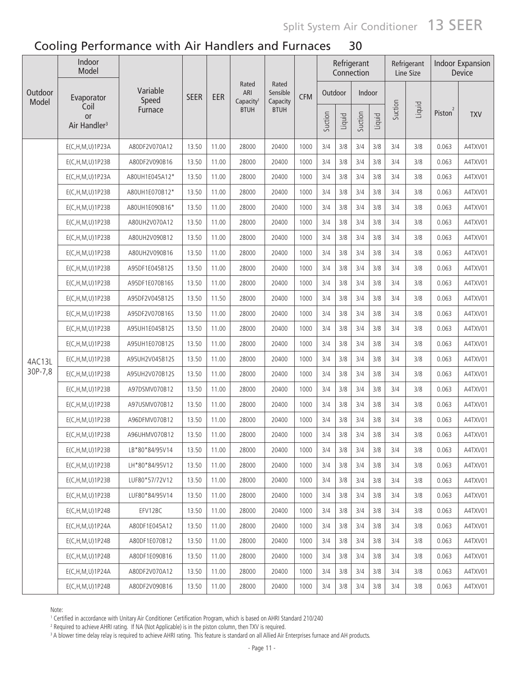|                  | Indoor<br>Model                               |                   |             |       |                                       |                               |            |         |        | Refrigerant<br>Connection |        |         | Refrigerant<br>Line Size |                                 | <b>Indoor Expansion</b><br>Device |
|------------------|-----------------------------------------------|-------------------|-------------|-------|---------------------------------------|-------------------------------|------------|---------|--------|---------------------------|--------|---------|--------------------------|---------------------------------|-----------------------------------|
| Outdoor<br>Model | Evaporator                                    | Variable<br>Speed | <b>SEER</b> | EER   | Rated<br>ARI<br>Capacity <sup>1</sup> | Rated<br>Sensible<br>Capacity | <b>CFM</b> | Outdoor |        | Indoor                    |        |         |                          |                                 |                                   |
|                  | Coil<br><b>or</b><br>Air Handler <sup>3</sup> | Furnace           |             |       | <b>BTUH</b>                           | <b>BTUH</b>                   |            | Suction | Liquid | Suction                   | Liquid | Suction | Liquid                   | $\overline{2}$<br><b>Piston</b> | <b>TXV</b>                        |
|                  | E(C,H,M,U)1P23A                               | A80DF2V070A12     | 13.50       | 11.00 | 28000                                 | 20400                         | 1000       | 3/4     | 3/8    | 3/4                       | 3/8    | 3/4     | 3/8                      | 0.063                           | A4TXV01                           |
|                  | E(C, H, M, U) 1P23B                           | A80DF2V090B16     | 13.50       | 11.00 | 28000                                 | 20400                         | 1000       | 3/4     | 3/8    | 3/4                       | 3/8    | 3/4     | 3/8                      | 0.063                           | A4TXV01                           |
|                  | E(C,H,M,U)1P23A                               | A80UH1E045A12*    | 13.50       | 11.00 | 28000                                 | 20400                         | 1000       | 3/4     | 3/8    | 3/4                       | 3/8    | 3/4     | 3/8                      | 0.063                           | A4TXV01                           |
|                  | E(C, H, M, U) 1P23B                           | A80UH1E070B12*    | 13.50       | 11.00 | 28000                                 | 20400                         | 1000       | 3/4     | 3/8    | 3/4                       | 3/8    | 3/4     | 3/8                      | 0.063                           | A4TXV01                           |
|                  | $E(C, H, M, U)$ 1P23B                         | A80UH1E090B16*    | 13.50       | 11.00 | 28000                                 | 20400                         | 1000       | 3/4     | 3/8    | 3/4                       | 3/8    | 3/4     | 3/8                      | 0.063                           | A4TXV01                           |
|                  | $E(C, H, M, U)$ 1P23B                         | A80UH2V070A12     | 13.50       | 11.00 | 28000                                 | 20400                         | 1000       | 3/4     | 3/8    | 3/4                       | 3/8    | 3/4     | 3/8                      | 0.063                           | A4TXV01                           |
|                  | E(C,H,M,U)1P23B                               | A80UH2V090B12     | 13.50       | 11.00 | 28000                                 | 20400                         | 1000       | 3/4     | 3/8    | 3/4                       | 3/8    | 3/4     | 3/8                      | 0.063                           | A4TXV01                           |
|                  | $E(C, H, M, U)$ 1P23B                         | A80UH2V090B16     | 13.50       | 11.00 | 28000                                 | 20400                         | 1000       | 3/4     | 3/8    | 3/4                       | 3/8    | 3/4     | 3/8                      | 0.063                           | A4TXV01                           |
|                  | E(C, H, M, U) 1 P 23 B                        | A95DF1E045B12S    | 13.50       | 11.00 | 28000                                 | 20400                         | 1000       | 3/4     | 3/8    | 3/4                       | 3/8    | 3/4     | 3/8                      | 0.063                           | A4TXV01                           |
|                  | E(C, H, M, U) 1 P 23 B                        | A95DF1E070B16S    | 13.50       | 11.00 | 28000                                 | 20400                         | 1000       | 3/4     | 3/8    | 3/4                       | 3/8    | 3/4     | 3/8                      | 0.063                           | A4TXV01                           |
|                  | E(C,H,M,U)1P23B                               | A95DF2V045B12S    | 13.50       | 11.50 | 28000                                 | 20400                         | 1000       | 3/4     | 3/8    | 3/4                       | 3/8    | 3/4     | 3/8                      | 0.063                           | A4TXV01                           |
|                  | E(C, H, M, U) 1 P 23 B                        | A95DF2V070B16S    | 13.50       | 11.00 | 28000                                 | 20400                         | 1000       | 3/4     | 3/8    | 3/4                       | 3/8    | 3/4     | 3/8                      | 0.063                           | A4TXV01                           |
|                  | E(C, H, M, U) 1 P 23 B                        | A95UH1E045B12S    | 13.50       | 11.00 | 28000                                 | 20400                         | 1000       | 3/4     | 3/8    | 3/4                       | 3/8    | 3/4     | 3/8                      | 0.063                           | A4TXV01                           |
|                  | E(C, H, M, U) 1 P 23 B                        | A95UH1E070B12S    | 13.50       | 11.00 | 28000                                 | 20400                         | 1000       | 3/4     | 3/8    | 3/4                       | 3/8    | 3/4     | 3/8                      | 0.063                           | A4TXV01                           |
| 4AC13L           | E(C, H, M, U) 1 P 23 B                        | A95UH2V045B12S    | 13.50       | 11.00 | 28000                                 | 20400                         | 1000       | 3/4     | 3/8    | 3/4                       | 3/8    | 3/4     | 3/8                      | 0.063                           | A4TXV01                           |
| 30P-7,8          | E(C, H, M, U) 1 P 23 B                        | A95UH2V070B12S    | 13.50       | 11.00 | 28000                                 | 20400                         | 1000       | 3/4     | 3/8    | 3/4                       | 3/8    | 3/4     | 3/8                      | 0.063                           | A4TXV01                           |
|                  | E(C, H, M, U) 1 P 23 B                        | A97DSMV070B12     | 13.50       | 11.00 | 28000                                 | 20400                         | 1000       | 3/4     | 3/8    | 3/4                       | 3/8    | 3/4     | 3/8                      | 0.063                           | A4TXV01                           |
|                  | E(C,H,M,U)1P23B                               | A97USMV070B12     | 13.50       | 11.00 | 28000                                 | 20400                         | 1000       | 3/4     | 3/8    | 3/4                       | 3/8    | 3/4     | 3/8                      | 0.063                           | A4TXV01                           |
|                  | $E(C, H, M, U)$ 1P23B                         | A96DFMV070B12     | 13.50       | 11.00 | 28000                                 | 20400                         | 1000       | 3/4     | 3/8    | 3/4                       | 3/8    | 3/4     | 3/8                      | 0.063                           | A4TXV01                           |
|                  | E(C,H,M,U)1P23B                               | A96UHMV070B12     | 13.50       | 11.00 | 28000                                 | 20400                         | 1000       | 3/4     | 3/8    | 3/4                       | 3/8    | 3/4     | 3/8                      | 0.063                           | A4TXV01                           |
|                  | E(C, H, M, U) 1P23B                           | LB*80*84/95V14    | 13.50       | 11.00 | 28000                                 | 20400                         | 1000       | 3/4     | 3/8    | 3/4                       | 3/8    | 3/4     | 3/8                      | 0.063                           | A4TXV01                           |
|                  | E(C, H, M, U) 1P23B                           | LH*80*84/95V12    | 13.50       | 11.00 | 28000                                 | 20400                         | 1000       | 3/4     | 3/8    | 3/4                       | 3/8    | 3/4     | 3/8                      | 0.063                           | A4TXV01                           |
|                  | $E(C, H, M, U)$ 1P23B                         | LUF80*57/72V12    | 13.50       | 11.00 | 28000                                 | 20400                         | 1000       | 3/4     | 3/8    | 3/4                       | 3/8    | 3/4     | 3/8                      | 0.063                           | A4TXV01                           |
|                  | E(C, H, M, U) 1 P 23 B                        | LUF80*84/95V14    | 13.50       | 11.00 | 28000                                 | 20400                         | 1000       | 3/4     | 3/8    | 3/4                       | 3/8    | 3/4     | 3/8                      | 0.063                           | A4TXV01                           |
|                  | E(C, H, M, U) 1P24B                           | EFV12BC           | 13.50       | 11.00 | 28000                                 | 20400                         | 1000       | 3/4     | 3/8    | 3/4                       | 3/8    | 3/4     | 3/8                      | 0.063                           | A4TXV01                           |
|                  | E(C, H, M, U) 1 P 24 A                        | A80DF1E045A12     | 13.50       | 11.00 | 28000                                 | 20400                         | 1000       | 3/4     | 3/8    | 3/4                       | 3/8    | 3/4     | 3/8                      | 0.063                           | A4TXV01                           |
|                  | E(C, H, M, U) 1P24B                           | A80DF1E070B12     | 13.50       | 11.00 | 28000                                 | 20400                         | 1000       | 3/4     | 3/8    | 3/4                       | 3/8    | 3/4     | 3/8                      | 0.063                           | A4TXV01                           |
|                  | E(C, H, M, U) 1P24B                           | A80DF1E090B16     | 13.50       | 11.00 | 28000                                 | 20400                         | 1000       | 3/4     | 3/8    | 3/4                       | 3/8    | 3/4     | 3/8                      | 0.063                           | A4TXV01                           |
|                  | E(C, H, M, U) 1 P 24 A                        | A80DF2V070A12     | 13.50       | 11.00 | 28000                                 | 20400                         | 1000       | 3/4     | 3/8    | 3/4                       | 3/8    | 3/4     | 3/8                      | 0.063                           | A4TXV01                           |
|                  | E(C, H, M, U) 1P24B                           | A80DF2V090B16     | 13.50       | 11.00 | 28000                                 | 20400                         | 1000       | 3/4     | 3/8    | 3/4                       | 3/8    | 3/4     | 3/8                      | 0.063                           | A4TXV01                           |

Note:

.......<br>1 Certified in accordance with Unitary Air Conditioner Certification Program, which is based on AHRI Standard 210/240<br>2 Beguired to achieve AHRI rating . If NA (Not Applicable) is in the piston column, then TXV is

<sup>2</sup> Required to achieve AHRI rating. If NA (Not Applicable) is in the piston column, then TXV is required.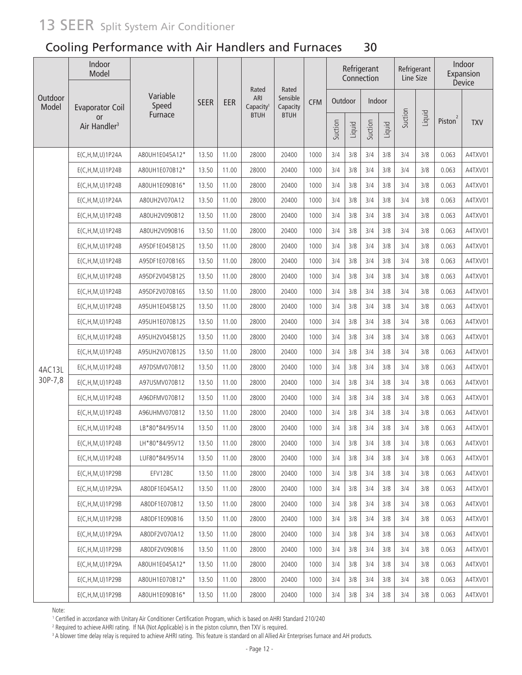|                  | Indoor<br>Model                |                   |             |       |                                       |                               |            |         |        | Refrigerant<br>Connection |        | Refrigerant<br>Line Size |        |                     | Indoor<br>Expansion<br>Device |
|------------------|--------------------------------|-------------------|-------------|-------|---------------------------------------|-------------------------------|------------|---------|--------|---------------------------|--------|--------------------------|--------|---------------------|-------------------------------|
| Outdoor<br>Model | <b>Evaporator Coil</b>         | Variable<br>Speed | <b>SEER</b> | EER   | Rated<br>ARI<br>Capacity <sup>1</sup> | Rated<br>Sensible<br>Capacity | <b>CFM</b> | Outdoor |        | Indoor                    |        |                          |        |                     |                               |
|                  | or<br>Air Handler <sup>3</sup> | Furnace           |             |       | <b>BTUH</b>                           | <b>BTUH</b>                   |            | Suction | Liquid | Suction                   | Liquid | Suction                  | Liquid | Piston <sup>2</sup> | <b>TXV</b>                    |
|                  | E(C,H,M,U)1P24A                | A80UH1E045A12*    | 13.50       | 11.00 | 28000                                 | 20400                         | 1000       | 3/4     | 3/8    | 3/4                       | 3/8    | 3/4                      | 3/8    | 0.063               | A4TXV01                       |
|                  | E(C, H, M, U) 1P24B            | A80UH1E070B12*    | 13.50       | 11.00 | 28000                                 | 20400                         | 1000       | 3/4     | 3/8    | 3/4                       | 3/8    | 3/4                      | 3/8    | 0.063               | A4TXV01                       |
|                  | E(C, H, M, U) 1P24B            | A80UH1E090B16*    | 13.50       | 11.00 | 28000                                 | 20400                         | 1000       | 3/4     | 3/8    | 3/4                       | 3/8    | 3/4                      | 3/8    | 0.063               | A4TXV01                       |
|                  | E(C,H,M,U)1P24A                | A80UH2V070A12     | 13.50       | 11.00 | 28000                                 | 20400                         | 1000       | 3/4     | 3/8    | 3/4                       | 3/8    | 3/4                      | 3/8    | 0.063               | A4TXV01                       |
|                  | E(C, H, M, U) 1P24B            | A80UH2V090B12     | 13.50       | 11.00 | 28000                                 | 20400                         | 1000       | 3/4     | 3/8    | 3/4                       | 3/8    | 3/4                      | 3/8    | 0.063               | A4TXV01                       |
|                  | E(C,H,M,U)1P24B                | A80UH2V090B16     | 13.50       | 11.00 | 28000                                 | 20400                         | 1000       | 3/4     | 3/8    | 3/4                       | 3/8    | 3/4                      | 3/8    | 0.063               | A4TXV01                       |
|                  | E(C,H,M,U)1P24B                | A95DF1E045B12S    | 13.50       | 11.00 | 28000                                 | 20400                         | 1000       | 3/4     | 3/8    | 3/4                       | 3/8    | 3/4                      | 3/8    | 0.063               | A4TXV01                       |
|                  | E(C,H,M,U)1P24B                | A95DF1E070B16S    | 13.50       | 11.00 | 28000                                 | 20400                         | 1000       | 3/4     | 3/8    | 3/4                       | 3/8    | 3/4                      | 3/8    | 0.063               | A4TXV01                       |
|                  | E(C, H, M, U) 1P24B            | A95DF2V045B12S    | 13.50       | 11.00 | 28000                                 | 20400                         | 1000       | 3/4     | 3/8    | 3/4                       | 3/8    | 3/4                      | 3/8    | 0.063               | A4TXV01                       |
|                  | E(C,H,M,U)1P24B                | A95DF2V070B16S    | 13.50       | 11.00 | 28000                                 | 20400                         | 1000       | 3/4     | 3/8    | 3/4                       | 3/8    | 3/4                      | 3/8    | 0.063               | A4TXV01                       |
|                  | E(C, H, M, U) 1P24B            | A95UH1E045B12S    | 13.50       | 11.00 | 28000                                 | 20400                         | 1000       | 3/4     | 3/8    | 3/4                       | 3/8    | 3/4                      | 3/8    | 0.063               | A4TXV01                       |
|                  | E(C, H, M, U) 1P24B            | A95UH1E070B12S    | 13.50       | 11.00 | 28000                                 | 20400                         | 1000       | 3/4     | 3/8    | 3/4                       | 3/8    | 3/4                      | 3/8    | 0.063               | A4TXV01                       |
|                  | E(C, H, M, U) 1P24B            | A95UH2V045B12S    | 13.50       | 11.00 | 28000                                 | 20400                         | 1000       | 3/4     | 3/8    | 3/4                       | 3/8    | 3/4                      | 3/8    | 0.063               | A4TXV01                       |
|                  | E(C,H,M,U)1P24B                | A95UH2V070B12S    | 13.50       | 11.00 | 28000                                 | 20400                         | 1000       | 3/4     | 3/8    | 3/4                       | 3/8    | 3/4                      | 3/8    | 0.063               | A4TXV01                       |
| 4AC13L           | E(C,H,M,U)1P24B                | A97DSMV070B12     | 13.50       | 11.00 | 28000                                 | 20400                         | 1000       | 3/4     | 3/8    | 3/4                       | 3/8    | 3/4                      | 3/8    | 0.063               | A4TXV01                       |
| 30P-7,8          | E(C, H, M, U) 1P24B            | A97USMV070B12     | 13.50       | 11.00 | 28000                                 | 20400                         | 1000       | 3/4     | 3/8    | 3/4                       | 3/8    | 3/4                      | 3/8    | 0.063               | A4TXV01                       |
|                  | E(C, H, M, U) 1P24B            | A96DFMV070B12     | 13.50       | 11.00 | 28000                                 | 20400                         | 1000       | 3/4     | 3/8    | 3/4                       | 3/8    | 3/4                      | 3/8    | 0.063               | A4TXV01                       |
|                  | E(C, H, M, U) 1P24B            | A96UHMV070B12     | 13.50       | 11.00 | 28000                                 | 20400                         | 1000       | 3/4     | 3/8    | 3/4                       | 3/8    | 3/4                      | 3/8    | 0.063               | A4TXV01                       |
|                  | E(C,H,M,U)1P24B                | LB*80*84/95V14    | 13.50       | 11.00 | 28000                                 | 20400                         | 1000       | 3/4     | 3/8    | 3/4                       | 3/8    | 3/4                      | 3/8    | 0.063               | A4TXV01                       |
|                  | E(C, H, M, U) 1P24B            | LH*80*84/95V12    | 13.50       | 11.00 | 28000                                 | 20400                         | 1000       | 3/4     | 3/8    | 3/4                       | 3/8    | 3/4                      | 3/8    | 0.063               | A4TXV01                       |
|                  | E(C,H,M,U)1P24B                | LUF80*84/95V14    | 13.50       | 11.00 | 28000                                 | 20400                         | 1000       | 3/4     | 3/8    | 3/4                       | 3/8    | 3/4                      | 3/8    | 0.063               | A4TXV01                       |
|                  | $E(C, H, M, U)$ 1P29B          | EFV12BC           | 13.50       | 11.00 | 28000                                 | 20400                         | 1000       | 3/4     | 3/8    | 3/4                       | 3/8    | 3/4                      | 3/8    | 0.063               | A4TXV01                       |
|                  | E(C, H, M, U) 1 P 29 A         | A80DF1E045A12     | 13.50       | 11.00 | 28000                                 | 20400                         | 1000       | 3/4     | 3/8    | 3/4                       | 3/8    | 3/4                      | 3/8    | 0.063               | A4TXV01                       |
|                  | $E(C, H, M, U)$ 1P29B          | A80DF1E070B12     | 13.50       | 11.00 | 28000                                 | 20400                         | 1000       | 3/4     | 3/8    | 3/4                       | 3/8    | 3/4                      | 3/8    | 0.063               | A4TXV01                       |
|                  | $E(C, H, M, U)$ 1P29B          | A80DF1E090B16     | 13.50       | 11.00 | 28000                                 | 20400                         | 1000       | 3/4     | 3/8    | 3/4                       | 3/8    | 3/4                      | 3/8    | 0.063               | A4TXV01                       |
|                  | E(C, H, M, U) 1 P 29 A         | A80DF2V070A12     | 13.50       | 11.00 | 28000                                 | 20400                         | 1000       | 3/4     | 3/8    | 3/4                       | 3/8    | 3/4                      | 3/8    | 0.063               | A4TXV01                       |
|                  | $E(C, H, M, U)$ 1P29B          | A80DF2V090B16     | 13.50       | 11.00 | 28000                                 | 20400                         | 1000       | 3/4     | 3/8    | 3/4                       | 3/8    | 3/4                      | 3/8    | 0.063               | A4TXV01                       |
|                  | E(C, H, M, U) 1P29A            | A80UH1E045A12*    | 13.50       | 11.00 | 28000                                 | 20400                         | 1000       | 3/4     | 3/8    | 3/4                       | 3/8    | 3/4                      | 3/8    | 0.063               | A4TXV01                       |
|                  | $E(C, H, M, U)$ 1P29B          | A80UH1E070B12*    | 13.50       | 11.00 | 28000                                 | 20400                         | 1000       | 3/4     | 3/8    | 3/4                       | 3/8    | 3/4                      | 3/8    | 0.063               | A4TXV01                       |
|                  | $E(C, H, M, U)$ 1P29B          | A80UH1E090B16*    | 13.50       | 11.00 | 28000                                 | 20400                         | 1000       | 3/4     | 3/8    | 3/4                       | 3/8    | 3/4                      | 3/8    | 0.063               | A4TXV01                       |

Note:

.......<br>1 Certified in accordance with Unitary Air Conditioner Certification Program, which is based on AHRI Standard 210/240<br>2 Beguired to achieve AHRI rating . If NA (Not Applicable) is in the piston column, then TXV is

<sup>2</sup> Required to achieve AHRI rating. If NA (Not Applicable) is in the piston column, then TXV is required.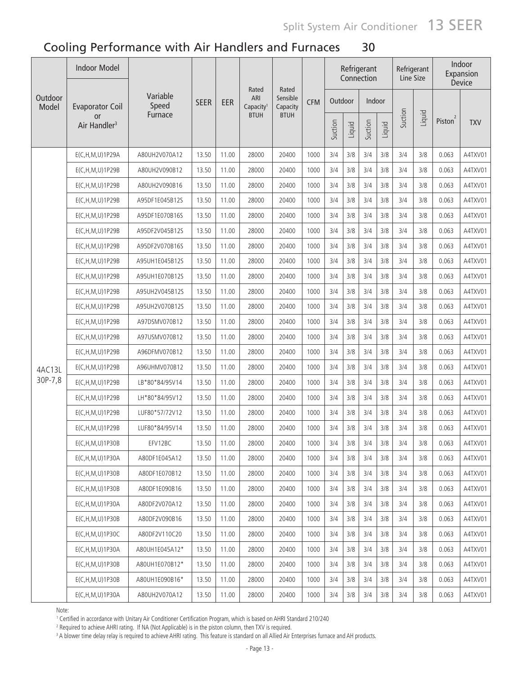| Outdoor | <b>Indoor Model</b>                   |                   |             |       |                                       |                               |            |         |        | Refrigerant<br>Connection |        | Refrigerant<br>Line Size |        |                          | Indoor<br>Expansion<br>Device |
|---------|---------------------------------------|-------------------|-------------|-------|---------------------------------------|-------------------------------|------------|---------|--------|---------------------------|--------|--------------------------|--------|--------------------------|-------------------------------|
| Model   | <b>Evaporator Coil</b>                | Variable<br>Speed | <b>SEER</b> | EER   | Rated<br>ARI<br>Capacity <sup>1</sup> | Rated<br>Sensible<br>Capacity | <b>CFM</b> | Outdoor |        | Indoor                    |        |                          |        |                          |                               |
|         | <b>or</b><br>Air Handler <sup>3</sup> | Furnace           |             |       | <b>BTUH</b>                           | <b>BTUH</b>                   |            | Suction | Liquid | Suction                   | Liquid | Suction                  | Liquid | $\overline{2}$<br>Piston | <b>TXV</b>                    |
|         | E(C,H,M,U)1P29A                       | A80UH2V070A12     | 13.50       | 11.00 | 28000                                 | 20400                         | 1000       | 3/4     | 3/8    | 3/4                       | 3/8    | 3/4                      | 3/8    | 0.063                    | A4TXV01                       |
|         | $E(C, H, M, U)$ 1P29B                 | A80UH2V090B12     | 13.50       | 11.00 | 28000                                 | 20400                         | 1000       | 3/4     | 3/8    | 3/4                       | 3/8    | 3/4                      | 3/8    | 0.063                    | A4TXV01                       |
|         | $E(C, H, M, U)$ 1P29B                 | A80UH2V090B16     | 13.50       | 11.00 | 28000                                 | 20400                         | 1000       | 3/4     | 3/8    | 3/4                       | 3/8    | 3/4                      | 3/8    | 0.063                    | A4TXV01                       |
|         | E(C,H,M,U)1P29B                       | A95DF1E045B12S    | 13.50       | 11.00 | 28000                                 | 20400                         | 1000       | 3/4     | 3/8    | 3/4                       | 3/8    | 3/4                      | 3/8    | 0.063                    | A4TXV01                       |
|         | E(C,H,M,U)1P29B                       | A95DF1E070B16S    | 13.50       | 11.00 | 28000                                 | 20400                         | 1000       | 3/4     | 3/8    | 3/4                       | 3/8    | 3/4                      | 3/8    | 0.063                    | A4TXV01                       |
|         | E(C,H,M,U)1P29B                       | A95DF2V045B12S    | 13.50       | 11.00 | 28000                                 | 20400                         | 1000       | 3/4     | 3/8    | 3/4                       | 3/8    | 3/4                      | 3/8    | 0.063                    | A4TXV01                       |
|         | $E(C, H, M, U)$ 1P29B                 | A95DF2V070B16S    | 13.50       | 11.00 | 28000                                 | 20400                         | 1000       | 3/4     | 3/8    | 3/4                       | 3/8    | 3/4                      | 3/8    | 0.063                    | A4TXV01                       |
|         | E(C,H,M,U)1P29B                       | A95UH1E045B12S    | 13.50       | 11.00 | 28000                                 | 20400                         | 1000       | 3/4     | 3/8    | 3/4                       | 3/8    | 3/4                      | 3/8    | 0.063                    | A4TXV01                       |
|         | E(C,H,M,U)1P29B                       | A95UH1E070B12S    | 13.50       | 11.00 | 28000                                 | 20400                         | 1000       | 3/4     | 3/8    | 3/4                       | 3/8    | 3/4                      | 3/8    | 0.063                    | A4TXV01                       |
|         | $E(C, H, M, U)$ 1P29B                 | A95UH2V045B12S    | 13.50       | 11.00 | 28000                                 | 20400                         | 1000       | 3/4     | 3/8    | 3/4                       | 3/8    | 3/4                      | 3/8    | 0.063                    | A4TXV01                       |
|         | $E(C, H, M, U)$ 1P29B                 | A95UH2V070B12S    | 13.50       | 11.00 | 28000                                 | 20400                         | 1000       | 3/4     | 3/8    | 3/4                       | 3/8    | 3/4                      | 3/8    | 0.063                    | A4TXV01                       |
|         | $E(C, H, M, U)$ 1P29B                 | A97DSMV070B12     | 13.50       | 11.00 | 28000                                 | 20400                         | 1000       | 3/4     | 3/8    | 3/4                       | 3/8    | 3/4                      | 3/8    | 0.063                    | A4TXV01                       |
|         | $E(C, H, M, U)$ 1P29B                 | A97USMV070B12     | 13.50       | 11.00 | 28000                                 | 20400                         | 1000       | 3/4     | 3/8    | 3/4                       | 3/8    | 3/4                      | 3/8    | 0.063                    | A4TXV01                       |
|         | E(C, H, M, U) 1P29B                   | A96DFMV070B12     | 13.50       | 11.00 | 28000                                 | 20400                         | 1000       | 3/4     | 3/8    | 3/4                       | 3/8    | 3/4                      | 3/8    | 0.063                    | A4TXV01                       |
| 4AC13L  | E(C,H,M,U)1P29B                       | A96UHMV070B12     | 13.50       | 11.00 | 28000                                 | 20400                         | 1000       | 3/4     | 3/8    | 3/4                       | 3/8    | 3/4                      | 3/8    | 0.063                    | A4TXV01                       |
| 30P-7,8 | E(C,H,M,U)1P29B                       | LB*80*84/95V14    | 13.50       | 11.00 | 28000                                 | 20400                         | 1000       | 3/4     | 3/8    | 3/4                       | 3/8    | 3/4                      | 3/8    | 0.063                    | A4TXV01                       |
|         | E(C,H,M,U)1P29B                       | LH*80*84/95V12    | 13.50       | 11.00 | 28000                                 | 20400                         | 1000       | 3/4     | 3/8    | 3/4                       | 3/8    | 3/4                      | 3/8    | 0.063                    | A4TXV01                       |
|         | E(C,H,M,U)1P29B                       | LUF80*57/72V12    | 13.50       | 11.00 | 28000                                 | 20400                         | 1000       | 3/4     | 3/8    | 3/4                       | 3/8    | 3/4                      | 3/8    | 0.063                    | A4TXV01                       |
|         | $E(C, H, M, U)$ 1P29B                 | LUF80*84/95V14    | 13.50       | 11.00 | 28000                                 | 20400                         | 1000       | 3/4     | 3/8    | 3/4                       | 3/8    | 3/4                      | 3/8    | 0.063                    | A4TXV01                       |
|         | E(C, H, M, U) 1P30B                   | EFV12BC           | 13.50       | 11.00 | 28000                                 | 20400                         | 1000       | 3/4     | 3/8    | 3/4                       | 3/8    | 3/4                      | 3/8    | 0.063                    | A4TXV01                       |
|         | E(C, H, M, U) 1P30A                   | A80DF1E045A12     | 13.50       | 11.00 | 28000                                 | 20400                         | 1000       | 3/4     | 3/8    | 3/4                       | 3/8    | 3/4                      | 3/8    | 0.063                    | A4TXV01                       |
|         | $E(C, H, M, U)$ 1P30B                 | A80DF1E070B12     | 13.50       | 11.00 | 28000                                 | 20400                         | 1000       | 3/4     | 3/8    | 3/4                       | 3/8    | 3/4                      | 3/8    | 0.063                    | A4TXV01                       |
|         | $E(C, H, M, U)$ 1P30B                 | A80DF1E090B16     | 13.50       | 11.00 | 28000                                 | 20400                         | 1000       | 3/4     | 3/8    | 3/4                       | 3/8    | 3/4                      | 3/8    | 0.063                    | A4TXV01                       |
|         | E(C, H, M, U) 1 P 30 A                | A80DF2V070A12     | 13.50       | 11.00 | 28000                                 | 20400                         | 1000       | 3/4     | 3/8    | 3/4                       | 3/8    | 3/4                      | 3/8    | 0.063                    | A4TXV01                       |
|         | $E(C, H, M, U)$ 1P30B                 | A80DF2V090B16     | 13.50       | 11.00 | 28000                                 | 20400                         | 1000       | 3/4     | 3/8    | 3/4                       | 3/8    | 3/4                      | 3/8    | 0.063                    | A4TXV01                       |
|         | E(C, H, M, U) 1 P 30C                 | A80DF2V110C20     | 13.50       | 11.00 | 28000                                 | 20400                         | 1000       | 3/4     | 3/8    | 3/4                       | 3/8    | 3/4                      | 3/8    | 0.063                    | A4TXV01                       |
|         | E(C, H, M, U) 1 P 30 A                | A80UH1E045A12*    | 13.50       | 11.00 | 28000                                 | 20400                         | 1000       | 3/4     | 3/8    | 3/4                       | 3/8    | 3/4                      | 3/8    | 0.063                    | A4TXV01                       |
|         | $E(C, H, M, U)$ 1P30B                 | A80UH1E070B12*    | 13.50       | 11.00 | 28000                                 | 20400                         | 1000       | 3/4     | 3/8    | 3/4                       | 3/8    | 3/4                      | 3/8    | 0.063                    | A4TXV01                       |
|         | $E(C, H, M, U)$ 1P30B                 | A80UH1E090B16*    | 13.50       | 11.00 | 28000                                 | 20400                         | 1000       | 3/4     | 3/8    | 3/4                       | 3/8    | 3/4                      | 3/8    | 0.063                    | A4TXV01                       |
|         | E(C,H,M,U)1P30A                       | A80UH2V070A12     | 13.50       | 11.00 | 28000                                 | 20400                         | 1000       | 3/4     | 3/8    | 3/4                       | 3/8    | 3/4                      | 3/8    | 0.063                    | A4TXV01                       |

Note:

.......<br>1 Certified in accordance with Unitary Air Conditioner Certification Program, which is based on AHRI Standard 210/240<br>2 Bequired to achieve AHRI rating . If NA (Not Annlicable) is in the piston column, then TXV is

<sup>2</sup> Required to achieve AHRI rating. If NA (Not Applicable) is in the piston column, then TXV is required.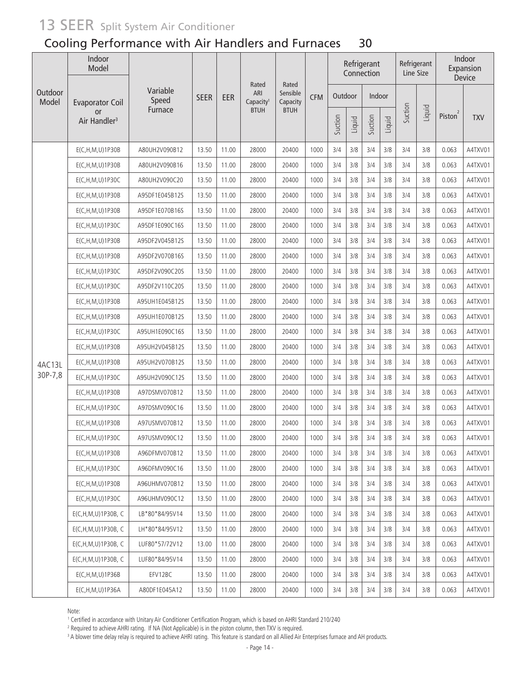### Cooling Performance with Air Handlers and Furnaces 30

|                  | Indoor<br>Model<br>Rated<br>Rated<br>Variable |                |             | Refrigerant<br>Connection |                              | Refrigerant<br>Line Size |            |         | Indoor<br>Expansion<br>Device |         |        |         |        |                     |            |
|------------------|-----------------------------------------------|----------------|-------------|---------------------------|------------------------------|--------------------------|------------|---------|-------------------------------|---------|--------|---------|--------|---------------------|------------|
| Outdoor<br>Model | <b>Evaporator Coil</b>                        | Speed          | <b>SEER</b> | EER                       | ARI<br>Capacity <sup>1</sup> | Sensible<br>Capacity     | <b>CFM</b> | Outdoor |                               | Indoor  |        |         |        |                     |            |
|                  | <b>or</b><br>Air Handler <sup>3</sup>         | Furnace        |             |                           | <b>BTUH</b>                  | <b>BTUH</b>              |            | Suction | Liquid                        | Suction | Liquid | Suction | Liquid | Piston <sup>2</sup> | <b>TXV</b> |
|                  | E(C, H, M, U) 1P30B                           | A80UH2V090B12  | 13.50       | 11.00                     | 28000                        | 20400                    | 1000       | 3/4     | 3/8                           | 3/4     | 3/8    | 3/4     | 3/8    | 0.063               | A4TXV01    |
|                  | E(C, H, M, U) 1P30B                           | A80UH2V090B16  | 13.50       | 11.00                     | 28000                        | 20400                    | 1000       | 3/4     | 3/8                           | 3/4     | 3/8    | 3/4     | 3/8    | 0.063               | A4TXV01    |
|                  | E(C,H,M,U)1P30C                               | A80UH2V090C20  | 13.50       | 11.00                     | 28000                        | 20400                    | 1000       | 3/4     | 3/8                           | 3/4     | 3/8    | 3/4     | 3/8    | 0.063               | A4TXV01    |
|                  | E(C,H,M,U)1P30B                               | A95DF1E045B12S | 13.50       | 11.00                     | 28000                        | 20400                    | 1000       | 3/4     | 3/8                           | 3/4     | 3/8    | 3/4     | 3/8    | 0.063               | A4TXV01    |
|                  | E(C,H,M,U)1P30B                               | A95DF1E070B16S | 13.50       | 11.00                     | 28000                        | 20400                    | 1000       | 3/4     | 3/8                           | 3/4     | 3/8    | 3/4     | 3/8    | 0.063               | A4TXV01    |
|                  | E(C, H, M, U) 1P30C                           | A95DF1E090C16S | 13.50       | 11.00                     | 28000                        | 20400                    | 1000       | 3/4     | 3/8                           | 3/4     | 3/8    | 3/4     | 3/8    | 0.063               | A4TXV01    |
|                  | E(C,H,M,U)1P30B                               | A95DF2V045B12S | 13.50       | 11.00                     | 28000                        | 20400                    | 1000       | 3/4     | 3/8                           | 3/4     | 3/8    | 3/4     | 3/8    | 0.063               | A4TXV01    |
|                  | E(C, H, M, U) 1P30B                           | A95DF2V070B16S | 13.50       | 11.00                     | 28000                        | 20400                    | 1000       | 3/4     | 3/8                           | 3/4     | 3/8    | 3/4     | 3/8    | 0.063               | A4TXV01    |
|                  | E(C, H, M, U) 1 P 30C                         | A95DF2V090C20S | 13.50       | 11.00                     | 28000                        | 20400                    | 1000       | 3/4     | 3/8                           | 3/4     | 3/8    | 3/4     | 3/8    | 0.063               | A4TXV01    |
|                  | E(C, H, M, U) 1 P 30C                         | A95DF2V110C20S | 13.50       | 11.00                     | 28000                        | 20400                    | 1000       | 3/4     | 3/8                           | 3/4     | 3/8    | 3/4     | 3/8    | 0.063               | A4TXV01    |
|                  | E(C, H, M, U) 1P30B                           | A95UH1E045B12S | 13.50       | 11.00                     | 28000                        | 20400                    | 1000       | 3/4     | 3/8                           | 3/4     | 3/8    | 3/4     | 3/8    | 0.063               | A4TXV01    |
|                  | E(C, H, M, U) 1P30B                           | A95UH1E070B12S | 13.50       | 11.00                     | 28000                        | 20400                    | 1000       | 3/4     | 3/8                           | 3/4     | 3/8    | 3/4     | 3/8    | 0.063               | A4TXV01    |
|                  | E(C,H,M,U)1P30C                               | A95UH1E090C16S | 13.50       | 11.00                     | 28000                        | 20400                    | 1000       | 3/4     | 3/8                           | 3/4     | 3/8    | 3/4     | 3/8    | 0.063               | A4TXV01    |
|                  | E(C,H,M,U)1P30B                               | A95UH2V045B12S | 13.50       | 11.00                     | 28000                        | 20400                    | 1000       | 3/4     | 3/8                           | 3/4     | 3/8    | 3/4     | 3/8    | 0.063               | A4TXV01    |
| 4AC13L           | E(C,H,M,U)1P30B                               | A95UH2V070B12S | 13.50       | 11.00                     | 28000                        | 20400                    | 1000       | 3/4     | 3/8                           | 3/4     | 3/8    | 3/4     | 3/8    | 0.063               | A4TXV01    |
| 30P-7,8          | E(C,H,M,U)1P30C                               | A95UH2V090C12S | 13.50       | 11.00                     | 28000                        | 20400                    | 1000       | 3/4     | 3/8                           | 3/4     | 3/8    | 3/4     | 3/8    | 0.063               | A4TXV01    |
|                  | E(C,H,M,U)1P30B                               | A97DSMV070B12  | 13.50       | 11.00                     | 28000                        | 20400                    | 1000       | 3/4     | 3/8                           | 3/4     | 3/8    | 3/4     | 3/8    | 0.063               | A4TXV01    |
|                  | E(C, H, M, U) 1P30C                           | A97DSMV090C16  | 13.50       | 11.00                     | 28000                        | 20400                    | 1000       | 3/4     | 3/8                           | 3/4     | 3/8    | 3/4     | 3/8    | 0.063               | A4TXV01    |
|                  | E(C, H, M, U) 1P30B                           | A97USMV070B12  | 13.50       | 11.00                     | 28000                        | 20400                    | 1000       | 3/4     | 3/8                           | 3/4     | 3/8    | 3/4     | 3/8    | 0.063               | A4TXV01    |
|                  | E(C,H,M,U)1P30C                               | A97USMV090C12  | 13.50       | 11.00                     | 28000                        | 20400                    | 1000       | 3/4     | 3/8                           | 3/4     | 3/8    | 3/4     | 3/8    | 0.063               | A4TXV01    |
|                  | E(C, H, M, U) 1P30B                           | A96DFMV070B12  | 13.50       | 11.00                     | 28000                        | 20400                    | 1000       | 3/4     | 3/8                           | 3/4     | 3/8    | 3/4     | 3/8    | 0.063               | A4TXV01    |
|                  | E(C, H, M, U) 1 P 30C                         | A96DFMV090C16  | 13.50       | 11.00                     | 28000                        | 20400                    | 1000       | 3/4     | 3/8                           | 3/4     | 3/8    | 3/4     | 3/8    | 0.063               | A4TXV01    |
|                  | $E(C, H, M, U)$ 1P30B                         | A96UHMV070B12  | 13.50       | 11.00                     | 28000                        | 20400                    | 1000       | 3/4     | 3/8                           | 3/4     | 3/8    | 3/4     | 3/8    | 0.063               | A4TXV01    |
|                  | E(C, H, M, U) 1 P 30C                         | A96UHMV090C12  | 13.50       | 11.00                     | 28000                        | 20400                    | 1000       | 3/4     | 3/8                           | 3/4     | 3/8    | 3/4     | 3/8    | 0.063               | A4TXV01    |
|                  | $E(C, H, M, U)$ 1P30B, C                      | LB*80*84/95V14 | 13.50       | 11.00                     | 28000                        | 20400                    | 1000       | 3/4     | 3/8                           | 3/4     | 3/8    | 3/4     | 3/8    | 0.063               | A4TXV01    |
|                  | $E(C, H, M, U)$ 1P30B, C                      | LH*80*84/95V12 | 13.50       | 11.00                     | 28000                        | 20400                    | 1000       | 3/4     | 3/8                           | 3/4     | 3/8    | 3/4     | 3/8    | 0.063               | A4TXV01    |
|                  | $E(C, H, M, U)$ 1P30B, C                      | LUF80*57/72V12 | 13.00       | 11.00                     | 28000                        | 20400                    | 1000       | 3/4     | 3/8                           | 3/4     | 3/8    | 3/4     | 3/8    | 0.063               | A4TXV01    |
|                  | $E(C, H, M, U)$ 1P30B, C                      | LUF80*84/95V14 | 13.50       | 11.00                     | 28000                        | 20400                    | 1000       | 3/4     | 3/8                           | 3/4     | 3/8    | 3/4     | 3/8    | 0.063               | A4TXV01    |
|                  | $E(C, H, M, U)$ 1P36B                         | EFV12BC        | 13.50       | 11.00                     | 28000                        | 20400                    | 1000       | 3/4     | 3/8                           | 3/4     | 3/8    | 3/4     | 3/8    | 0.063               | A4TXV01    |
|                  | E(C, H, M, U) 1P36A                           | A80DF1E045A12  | 13.50       | 11.00                     | 28000                        | 20400                    | 1000       | 3/4     | 3/8                           | 3/4     | 3/8    | 3/4     | 3/8    | 0.063               | A4TXV01    |

Note:

.......<br>1 Certified in accordance with Unitary Air Conditioner Certification Program, which is based on AHRI Standard 210/240<br>2 Bequired to achieve AHRI rating . If NA (Not Annlicable) is in the piston column, then TXV is

<sup>2</sup> Required to achieve AHRI rating. If NA (Not Applicable) is in the piston column, then TXV is required.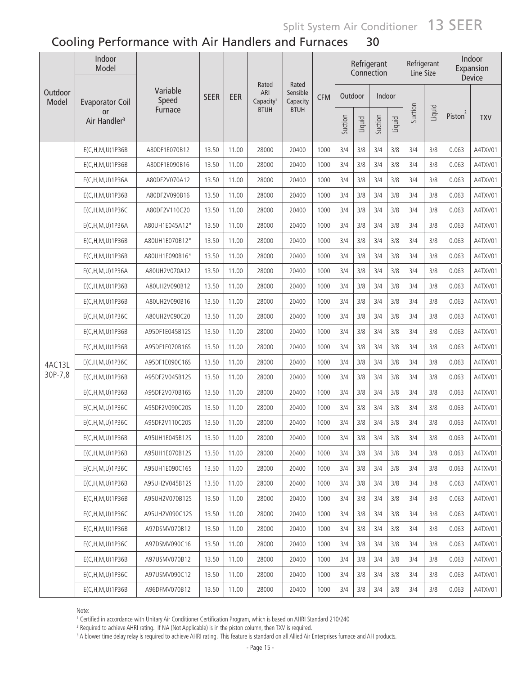|                  | Indoor<br>Model                       | Rated<br>Rated<br>Variable<br>Sensible<br>ARI |             |       |                       | Refrigerant<br>Connection |            | Refrigerant<br>Line Size |        |         | Indoor<br>Expansion<br>Device |         |        |                     |            |
|------------------|---------------------------------------|-----------------------------------------------|-------------|-------|-----------------------|---------------------------|------------|--------------------------|--------|---------|-------------------------------|---------|--------|---------------------|------------|
| Outdoor<br>Model | <b>Evaporator Coil</b>                | Speed                                         | <b>SEER</b> | EER   | Capacity <sup>1</sup> | Capacity                  | <b>CFM</b> | Outdoor                  |        | Indoor  |                               |         |        |                     |            |
|                  | <b>or</b><br>Air Handler <sup>3</sup> | Furnace                                       |             |       | <b>BTUH</b>           | <b>BTUH</b>               |            | Suction                  | Liquid | Suction | Liquid                        | Suction | Liquid | Piston <sup>2</sup> | <b>TXV</b> |
|                  | E(C, H, M, U) 1P36B                   | A80DF1E070B12                                 | 13.50       | 11.00 | 28000                 | 20400                     | 1000       | 3/4                      | 3/8    | 3/4     | 3/8                           | 3/4     | 3/8    | 0.063               | A4TXV01    |
|                  | E(C, H, M, U) 1P36B                   | A80DF1E090B16                                 | 13.50       | 11.00 | 28000                 | 20400                     | 1000       | 3/4                      | 3/8    | 3/4     | 3/8                           | 3/4     | 3/8    | 0.063               | A4TXV01    |
|                  | E(C, H, M, U) 1P36A                   | A80DF2V070A12                                 | 13.50       | 11.00 | 28000                 | 20400                     | 1000       | 3/4                      | 3/8    | 3/4     | 3/8                           | 3/4     | 3/8    | 0.063               | A4TXV01    |
|                  | E(C, H, M, U) 1P36B                   | A80DF2V090B16                                 | 13.50       | 11.00 | 28000                 | 20400                     | 1000       | 3/4                      | 3/8    | 3/4     | 3/8                           | 3/4     | 3/8    | 0.063               | A4TXV01    |
|                  | E(C, H, M, U) 1P36C                   | A80DF2V110C20                                 | 13.50       | 11.00 | 28000                 | 20400                     | 1000       | 3/4                      | 3/8    | 3/4     | 3/8                           | 3/4     | 3/8    | 0.063               | A4TXV01    |
|                  | E(C,H,M,U)1P36A                       | A80UH1E045A12*                                | 13.50       | 11.00 | 28000                 | 20400                     | 1000       | 3/4                      | 3/8    | 3/4     | 3/8                           | 3/4     | 3/8    | 0.063               | A4TXV01    |
|                  | E(C,H,M,U)1P36B                       | A80UH1E070B12*                                | 13.50       | 11.00 | 28000                 | 20400                     | 1000       | 3/4                      | 3/8    | 3/4     | 3/8                           | 3/4     | 3/8    | 0.063               | A4TXV01    |
|                  | E(C,H,M,U)1P36B                       | A80UH1E090B16*                                | 13.50       | 11.00 | 28000                 | 20400                     | 1000       | 3/4                      | 3/8    | 3/4     | 3/8                           | 3/4     | 3/8    | 0.063               | A4TXV01    |
|                  | E(C,H,M,U)1P36A                       | A80UH2V070A12                                 | 13.50       | 11.00 | 28000                 | 20400                     | 1000       | 3/4                      | 3/8    | 3/4     | 3/8                           | 3/4     | 3/8    | 0.063               | A4TXV01    |
|                  | E(C,H,M,U)1P36B                       | A80UH2V090B12                                 | 13.50       | 11.00 | 28000                 | 20400                     | 1000       | 3/4                      | 3/8    | 3/4     | 3/8                           | 3/4     | 3/8    | 0.063               | A4TXV01    |
|                  | E(C,H,M,U)1P36B                       | A80UH2V090B16                                 | 13.50       | 11.00 | 28000                 | 20400                     | 1000       | 3/4                      | 3/8    | 3/4     | 3/8                           | 3/4     | 3/8    | 0.063               | A4TXV01    |
|                  | E(C, H, M, U) 1P36C                   | A80UH2V090C20                                 | 13.50       | 11.00 | 28000                 | 20400                     | 1000       | 3/4                      | 3/8    | 3/4     | 3/8                           | 3/4     | 3/8    | 0.063               | A4TXV01    |
|                  | E(C, H, M, U) 1P36B                   | A95DF1E045B12S                                | 13.50       | 11.00 | 28000                 | 20400                     | 1000       | 3/4                      | 3/8    | 3/4     | 3/8                           | 3/4     | 3/8    | 0.063               | A4TXV01    |
|                  | E(C, H, M, U) 1P36B                   | A95DF1E070B16S                                | 13.50       | 11.00 | 28000                 | 20400                     | 1000       | 3/4                      | 3/8    | 3/4     | 3/8                           | 3/4     | 3/8    | 0.063               | A4TXV01    |
| 4AC13L           | E(C, H, M, U) 1P36C                   | A95DF1E090C16S                                | 13.50       | 11.00 | 28000                 | 20400                     | 1000       | 3/4                      | 3/8    | 3/4     | 3/8                           | 3/4     | 3/8    | 0.063               | A4TXV01    |
| 30P-7,8          | E(C, H, M, U) 1P36B                   | A95DF2V045B12S                                | 13.50       | 11.00 | 28000                 | 20400                     | 1000       | 3/4                      | 3/8    | 3/4     | 3/8                           | 3/4     | 3/8    | 0.063               | A4TXV01    |
|                  | E(C, H, M, U) 1P36B                   | A95DF2V070B16S                                | 13.50       | 11.00 | 28000                 | 20400                     | 1000       | 3/4                      | 3/8    | 3/4     | 3/8                           | 3/4     | 3/8    | 0.063               | A4TXV01    |
|                  | E(C,H,M,U)1P36C                       | A95DF2V090C20S                                | 13.50       | 11.00 | 28000                 | 20400                     | 1000       | 3/4                      | 3/8    | 3/4     | 3/8                           | 3/4     | 3/8    | 0.063               | A4TXV01    |
|                  | E(C, H, M, U) 1P36C                   | A95DF2V110C20S                                | 13.50       | 11.00 | 28000                 | 20400                     | 1000       | 3/4                      | 3/8    | 3/4     | 3/8                           | 3/4     | 3/8    | 0.063               | A4TXV01    |
|                  | $E(C, H, M, U)$ 1P36B                 | A95UH1E045B12S                                | 13.50       | 11.00 | 28000                 | 20400                     | 1000       | 3/4                      | 3/8    | 3/4     | 3/8                           | 3/4     | 3/8    | 0.063               | A4TXV01    |
|                  | E(C, H, M, U) 1P36B                   | A95UH1E070B12S                                | 13.50       | 11.00 | 28000                 | 20400                     | 1000       | 3/4                      | 3/8    | 3/4     | 3/8                           | 3/4     | 3/8    | 0.063               | A4TXV01    |
|                  | E(C, H, M, U) 1P36C                   | A95UH1E090C16S                                | 13.50       | 11.00 | 28000                 | 20400                     | 1000       | 3/4                      | 3/8    | 3/4     | 3/8                           | 3/4     | 3/8    | 0.063               | A4TXV01    |
|                  | $E(C, H, M, U)$ 1P36B                 | A95UH2V045B12S                                | 13.50       | 11.00 | 28000                 | 20400                     | 1000       | 3/4                      | 3/8    | 3/4     | 3/8                           | 3/4     | 3/8    | 0.063               | A4TXV01    |
|                  | $E(C, H, M, U)$ 1P36B                 | A95UH2V070B12S                                | 13.50       | 11.00 | 28000                 | 20400                     | 1000       | 3/4                      | 3/8    | 3/4     | 3/8                           | 3/4     | 3/8    | 0.063               | A4TXV01    |
|                  | E(C, H, M, U) 1P36C                   | A95UH2V090C12S                                | 13.50       | 11.00 | 28000                 | 20400                     | 1000       | 3/4                      | 3/8    | 3/4     | 3/8                           | 3/4     | 3/8    | 0.063               | A4TXV01    |
|                  | E(C, H, M, U) 1P36B                   | A97DSMV070B12                                 | 13.50       | 11.00 | 28000                 | 20400                     | 1000       | 3/4                      | 3/8    | 3/4     | 3/8                           | 3/4     | 3/8    | 0.063               | A4TXV01    |
|                  | E(C, H, M, U) 1P36C                   | A97DSMV090C16                                 | 13.50       | 11.00 | 28000                 | 20400                     | 1000       | 3/4                      | 3/8    | 3/4     | 3/8                           | 3/4     | 3/8    | 0.063               | A4TXV01    |
|                  | E(C, H, M, U) 1P36B                   | A97USMV070B12                                 | 13.50       | 11.00 | 28000                 | 20400                     | 1000       | 3/4                      | 3/8    | 3/4     | 3/8                           | 3/4     | 3/8    | 0.063               | A4TXV01    |
|                  | E(C, H, M, U) 1P36C                   | A97USMV090C12                                 | 13.50       | 11.00 | 28000                 | 20400                     | 1000       | 3/4                      | 3/8    | 3/4     | 3/8                           | 3/4     | 3/8    | 0.063               | A4TXV01    |
|                  | E(C, H, M, U) 1 P 36 B                | A96DFMV070B12                                 | 13.50       | 11.00 | 28000                 | 20400                     | 1000       | 3/4                      | 3/8    | 3/4     | 3/8                           | 3/4     | 3/8    | 0.063               | A4TXV01    |

Note:

.......<br>1 Certified in accordance with Unitary Air Conditioner Certification Program, which is based on AHRI Standard 210/240<br>2 Beguired to achieve AHRI rating . If NA (Not Anglicable) is in the piston column, then TXV is

<sup>2</sup> Required to achieve AHRI rating. If NA (Not Applicable) is in the piston column, then TXV is required.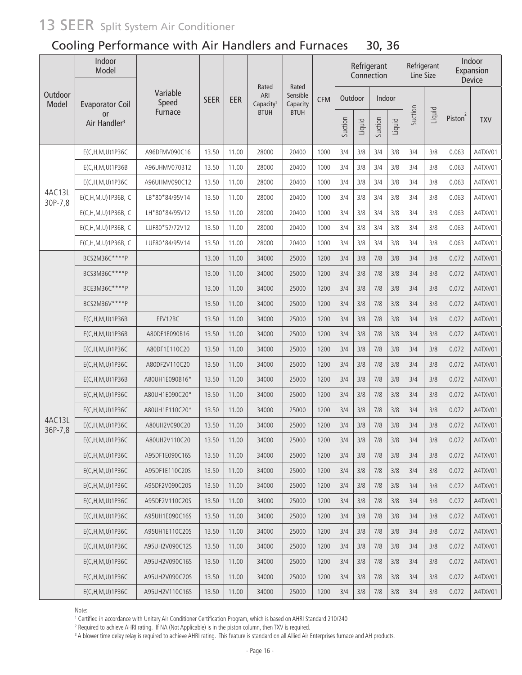### Cooling Performance with Air Handlers and Furnaces 30, 36

|                   | Indoor<br>Model                       | Rated<br>Rated<br>Variable |             |       |                              | Refrigerant<br>Connection |            | Refrigerant<br>Line Size |        |         | Indoor<br>Expansion<br>Device |         |        |                     |            |
|-------------------|---------------------------------------|----------------------------|-------------|-------|------------------------------|---------------------------|------------|--------------------------|--------|---------|-------------------------------|---------|--------|---------------------|------------|
| Outdoor<br>Model  | <b>Evaporator Coil</b>                | Speed                      | <b>SEER</b> | EER   | ARI<br>Capacity <sup>1</sup> | Sensible<br>Capacity      | <b>CFM</b> | Outdoor                  |        | Indoor  |                               |         |        |                     |            |
|                   | <b>or</b><br>Air Handler <sup>3</sup> | Furnace                    |             |       | <b>BTUH</b>                  | <b>BTUH</b>               |            | Suction                  | Liquid | Suction | Liquid                        | Suction | Liquid | Piston <sup>2</sup> | <b>TXV</b> |
|                   | E(C, H, M, U) 1P36C                   | A96DFMV090C16              | 13.50       | 11.00 | 28000                        | 20400                     | 1000       | 3/4                      | 3/8    | 3/4     | 3/8                           | 3/4     | 3/8    | 0.063               | A4TXV01    |
|                   | E(C, H, M, U) 1P36B                   | A96UHMV070B12              | 13.50       | 11.00 | 28000                        | 20400                     | 1000       | 3/4                      | 3/8    | 3/4     | 3/8                           | 3/4     | 3/8    | 0.063               | A4TXV01    |
|                   | E(C, H, M, U) 1P36C                   | A96UHMV090C12              | 13.50       | 11.00 | 28000                        | 20400                     | 1000       | 3/4                      | 3/8    | 3/4     | 3/8                           | 3/4     | 3/8    | 0.063               | A4TXV01    |
| 4AC13L<br>30P-7,8 | E(C,H,M,U)1P36B, C                    | LB*80*84/95V14             | 13.50       | 11.00 | 28000                        | 20400                     | 1000       | 3/4                      | 3/8    | 3/4     | 3/8                           | 3/4     | 3/8    | 0.063               | A4TXV01    |
|                   | E(C,H,M,U)1P36B, C                    | LH*80*84/95V12             | 13.50       | 11.00 | 28000                        | 20400                     | 1000       | 3/4                      | 3/8    | 3/4     | 3/8                           | 3/4     | 3/8    | 0.063               | A4TXV01    |
|                   | E(C,H,M,U)1P36B, C                    | LUF80*57/72V12             | 13.50       | 11.00 | 28000                        | 20400                     | 1000       | 3/4                      | 3/8    | 3/4     | 3/8                           | 3/4     | 3/8    | 0.063               | A4TXV01    |
|                   | E(C,H,M,U)1P36B, C                    | LUF80*84/95V14             | 13.50       | 11.00 | 28000                        | 20400                     | 1000       | 3/4                      | 3/8    | 3/4     | 3/8                           | 3/4     | 3/8    | 0.063               | A4TXV01    |
|                   | BCS2M36C****P                         |                            | 13.00       | 11.00 | 34000                        | 25000                     | 1200       | 3/4                      | 3/8    | 7/8     | 3/8                           | 3/4     | 3/8    | 0.072               | A4TXV01    |
|                   | BCS3M36C****P                         |                            | 13.00       | 11.00 | 34000                        | 25000                     | 1200       | 3/4                      | 3/8    | 7/8     | 3/8                           | 3/4     | 3/8    | 0.072               | A4TXV01    |
|                   | BCE3M36C****P                         |                            | 13.00       | 11.00 | 34000                        | 25000                     | 1200       | 3/4                      | 3/8    | 7/8     | 3/8                           | 3/4     | 3/8    | 0.072               | A4TXV01    |
|                   | BCS2M36V****P                         |                            | 13.50       | 11.00 | 34000                        | 25000                     | 1200       | 3/4                      | 3/8    | 7/8     | 3/8                           | 3/4     | 3/8    | 0.072               | A4TXV01    |
|                   | E(C, H, M, U) 1P36B                   | EFV12BC                    | 13.50       | 11.00 | 34000                        | 25000                     | 1200       | 3/4                      | 3/8    | 7/8     | 3/8                           | 3/4     | 3/8    | 0.072               | A4TXV01    |
|                   | E(C, H, M, U) 1P36B                   | A80DF1E090B16              | 13.50       | 11.00 | 34000                        | 25000                     | 1200       | 3/4                      | 3/8    | 7/8     | 3/8                           | 3/4     | 3/8    | 0.072               | A4TXV01    |
|                   | E(C, H, M, U) 1P36C                   | A80DF1E110C20              | 13.50       | 11.00 | 34000                        | 25000                     | 1200       | 3/4                      | 3/8    | 7/8     | 3/8                           | 3/4     | 3/8    | 0.072               | A4TXV01    |
|                   | E(C, H, M, U) 1P36C                   | A80DF2V110C20              | 13.50       | 11.00 | 34000                        | 25000                     | 1200       | 3/4                      | 3/8    | 7/8     | 3/8                           | 3/4     | 3/8    | 0.072               | A4TXV01    |
|                   | E(C, H, M, U) 1P36B                   | A80UH1E090B16*             | 13.50       | 11.00 | 34000                        | 25000                     | 1200       | 3/4                      | 3/8    | 7/8     | 3/8                           | 3/4     | 3/8    | 0.072               | A4TXV01    |
|                   | E(C, H, M, U) 1P36C                   | A80UH1E090C20*             | 13.50       | 11.00 | 34000                        | 25000                     | 1200       | 3/4                      | 3/8    | 7/8     | 3/8                           | 3/4     | 3/8    | 0.072               | A4TXV01    |
|                   | E(C, H, M, U) 1P36C                   | A80UH1E110C20*             | 13.50       | 11.00 | 34000                        | 25000                     | 1200       | 3/4                      | 3/8    | 7/8     | 3/8                           | 3/4     | 3/8    | 0.072               | A4TXV01    |
| 4AC13L<br>36P-7,8 | E(C,H,M,U)1P36C                       | A80UH2V090C20              | 13.50       | 11.00 | 34000                        | 25000                     | 1200       | 3/4                      | 3/8    | 7/8     | 3/8                           | 3/4     | 3/8    | 0.072               | A4TXV01    |
|                   | E(C, H, M, U) 1P36C                   | A80UH2V110C20              | 13.50       | 11.00 | 34000                        | 25000                     | 1200       | 3/4                      | 3/8    | 7/8     | 3/8                           | 3/4     | 3/8    | 0.072               | A4TXV01    |
|                   | E(C, H, M, U) 1P36C                   | A95DF1E090C16S             | 13.50       | 11.00 | 34000                        | 25000                     | 1200       | 3/4                      | 3/8    | 7/8     | 3/8                           | 3/4     | 3/8    | 0.072               | A4TXV01    |
|                   | E(C, H, M, U) 1P36C                   | A95DF1E110C20S             | 13.50       | 11.00 | 34000                        | 25000                     | 1200       | 3/4                      | 3/8    | 7/8     | 3/8                           | 3/4     | 3/8    | 0.072               | A4TXV01    |
|                   | E(C, H, M, U) 1P36C                   | A95DF2V090C20S             | 13.50       | 11.00 | 34000                        | 25000                     | 1200       | 3/4                      | 3/8    | 7/8     | 3/8                           | 3/4     | 3/8    | 0.072               | A4TXV01    |
|                   | E(C, H, M, U) 1P36C                   | A95DF2V110C20S             | 13.50       | 11.00 | 34000                        | 25000                     | 1200       | 3/4                      | 3/8    | 7/8     | 3/8                           | 3/4     | 3/8    | 0.072               | A4TXV01    |
|                   | E(C, H, M, U) 1P36C                   | A95UH1E090C16S             | 13.50       | 11.00 | 34000                        | 25000                     | 1200       | 3/4                      | 3/8    | 7/8     | 3/8                           | 3/4     | 3/8    | 0.072               | A4TXV01    |
|                   | E(C, H, M, U) 1P36C                   | A95UH1E110C20S             | 13.50       | 11.00 | 34000                        | 25000                     | 1200       | 3/4                      | 3/8    | 7/8     | 3/8                           | 3/4     | 3/8    | 0.072               | A4TXV01    |
|                   | E(C, H, M, U) 1 P 36C                 | A95UH2V090C12S             | 13.50       | 11.00 | 34000                        | 25000                     | 1200       | 3/4                      | 3/8    | 7/8     | 3/8                           | 3/4     | 3/8    | 0.072               | A4TXV01    |
|                   | E(C, H, M, U) 1 P 36C                 | A95UH2V090C16S             | 13.50       | 11.00 | 34000                        | 25000                     | 1200       | 3/4                      | 3/8    | 7/8     | 3/8                           | 3/4     | 3/8    | 0.072               | A4TXV01    |
|                   | E(C, H, M, U) 1 P 36C                 | A95UH2V090C20S             | 13.50       | 11.00 | 34000                        | 25000                     | 1200       | 3/4                      | 3/8    | 7/8     | 3/8                           | 3/4     | 3/8    | 0.072               | A4TXV01    |
|                   | E(C, H, M, U) 1 P 36C                 | A95UH2V110C16S             | 13.50       | 11.00 | 34000                        | 25000                     | 1200       | 3/4                      | $3/8$  | $7/8$   | 3/8                           | 3/4     | 3/8    | 0.072               | A4TXV01    |

Note:

100...<br>1 Certified in accordance with Unitary Air Conditioner Certification Program, which is based on AHRI Standard 210/240<br>2 Beguired to achieve AHRI rating . If NA (Not Anglicable) is in the piston column, then TXV is r

<sup>2</sup> Required to achieve AHRI rating. If NA (Not Applicable) is in the piston column, then TXV is required.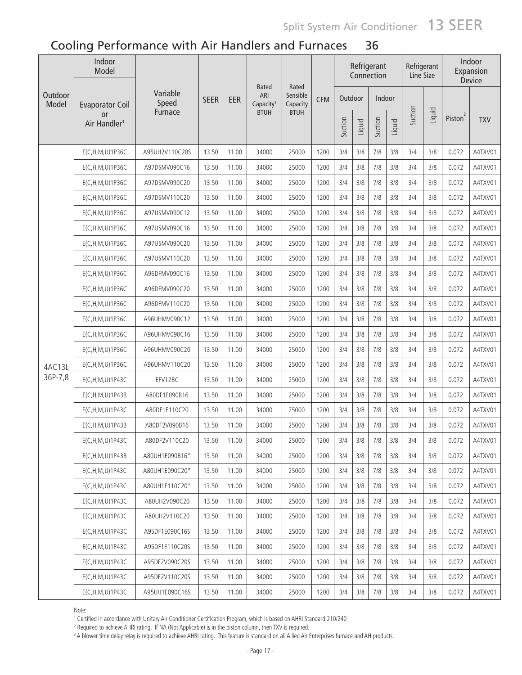| Outdoor | Indoor<br>Model                       |                   |             |       |                                       |                               |            |         |        | Refrigerant<br>Connection |        | Line Size | Refrigerant |                     | Indoor<br>Expansion<br>Device |
|---------|---------------------------------------|-------------------|-------------|-------|---------------------------------------|-------------------------------|------------|---------|--------|---------------------------|--------|-----------|-------------|---------------------|-------------------------------|
| Model   | <b>Evaporator Coil</b>                | Variable<br>Speed | <b>SEER</b> | EER   | Rated<br>ARI<br>Capacity <sup>1</sup> | Rated<br>Sensible<br>Capacity | <b>CFM</b> | Outdoor |        | Indoor                    |        |           |             |                     |                               |
|         | <b>or</b><br>Air Handler <sup>3</sup> | Furnace           |             |       | <b>BTUH</b>                           | <b>BTUH</b>                   |            | Suction | Liquid | Suction                   | Liquid | Suction   | Liquid      | Piston <sup>2</sup> | <b>TXV</b>                    |
|         | E(C, H, M, U) 1P36C                   | A95UH2V110C20S    | 13.50       | 11.00 | 34000                                 | 25000                         | 1200       | 3/4     | 3/8    | 7/8                       | 3/8    | 3/4       | 3/8         | 0.072               | A4TXV01                       |
|         | E(C, H, M, U) 1P36C                   | A97DSMV090C16     | 13.50       | 11.00 | 34000                                 | 25000                         | 1200       | 3/4     | 3/8    | 7/8                       | 3/8    | 3/4       | 3/8         | 0.072               | A4TXV01                       |
|         | E(C, H, M, U) 1P36C                   | A97DSMV090C20     | 13.50       | 11.00 | 34000                                 | 25000                         | 1200       | 3/4     | 3/8    | 7/8                       | 3/8    | 3/4       | 3/8         | 0.072               | A4TXV01                       |
|         | E(C, H, M, U) 1P36C                   | A97DSMV110C20     | 13.50       | 11.00 | 34000                                 | 25000                         | 1200       | 3/4     | 3/8    | 7/8                       | 3/8    | 3/4       | 3/8         | 0.072               | A4TXV01                       |
|         | E(C, H, M, U) 1P36C                   | A97USMV090C12     | 13.50       | 11.00 | 34000                                 | 25000                         | 1200       | 3/4     | 3/8    | 7/8                       | 3/8    | 3/4       | 3/8         | 0.072               | A4TXV01                       |
|         | E(C, H, M, U) 1P36C                   | A97USMV090C16     | 13.50       | 11.00 | 34000                                 | 25000                         | 1200       | 3/4     | 3/8    | 7/8                       | 3/8    | 3/4       | 3/8         | 0.072               | A4TXV01                       |
|         | E(C, H, M, U) 1P36C                   | A97USMV090C20     | 13.50       | 11.00 | 34000                                 | 25000                         | 1200       | 3/4     | 3/8    | 7/8                       | 3/8    | 3/4       | 3/8         | 0.072               | A4TXV01                       |
|         | E(C, H, M, U) 1P36C                   | A97USMV110C20     | 13.50       | 11.00 | 34000                                 | 25000                         | 1200       | 3/4     | 3/8    | 7/8                       | 3/8    | 3/4       | 3/8         | 0.072               | A4TXV01                       |
|         | E(C, H, M, U) 1P36C                   | A96DFMV090C16     | 13.50       | 11.00 | 34000                                 | 25000                         | 1200       | 3/4     | 3/8    | 7/8                       | 3/8    | 3/4       | 3/8         | 0.072               | A4TXV01                       |
|         | E(C, H, M, U) 1P36C                   | A96DFMV090C20     | 13.50       | 11.00 | 34000                                 | 25000                         | 1200       | 3/4     | 3/8    | 7/8                       | 3/8    | 3/4       | 3/8         | 0.072               | A4TXV01                       |
|         | E(C, H, M, U) 1P36C                   | A96DFMV110C20     | 13.50       | 11.00 | 34000                                 | 25000                         | 1200       | 3/4     | 3/8    | 7/8                       | 3/8    | 3/4       | 3/8         | 0.072               | A4TXV01                       |
|         | E(C, H, M, U) 1P36C                   | A96UHMV090C12     | 13.50       | 11.00 | 34000                                 | 25000                         | 1200       | 3/4     | 3/8    | 7/8                       | 3/8    | 3/4       | 3/8         | 0.072               | A4TXV01                       |
|         | E(C, H, M, U) 1P36C                   | A96UHMV090C16     | 13.50       | 11.00 | 34000                                 | 25000                         | 1200       | 3/4     | 3/8    | $7/8$                     | 3/8    | 3/4       | 3/8         | 0.072               | A4TXV01                       |
|         | E(C, H, M, U) 1P36C                   | A96UHMV090C20     | 13.50       | 11.00 | 34000                                 | 25000                         | 1200       | 3/4     | 3/8    | 7/8                       | 3/8    | 3/4       | 3/8         | 0.072               | A4TXV01                       |
| 4AC13L  | E(C, H, M, U) 1P36C                   | A96UHMV110C20     | 13.50       | 11.00 | 34000                                 | 25000                         | 1200       | 3/4     | 3/8    | 7/8                       | 3/8    | 3/4       | 3/8         | 0.072               | A4TXV01                       |
| 36P-7,8 | E(C, H, M, U) 1P43C                   | EFV12BC           | 13.50       | 11.00 | 34000                                 | 25000                         | 1200       | 3/4     | 3/8    | 7/8                       | 3/8    | 3/4       | 3/8         | 0.072               | A4TXV01                       |
|         | E(C, H, M, U) 1P43B                   | A80DF1E090B16     | 13.50       | 11.00 | 34000                                 | 25000                         | 1200       | 3/4     | 3/8    | 7/8                       | 3/8    | 3/4       | 3/8         | 0.072               | A4TXV01                       |
|         | E(C, H, M, U) 1P43C                   | A80DF1E110C20     | 13.50       | 11.00 | 34000                                 | 25000                         | 1200       | 3/4     | 3/8    | 7/8                       | 3/8    | 3/4       | 3/8         | 0.072               | A4TXV01                       |
|         | $E(C, H, M, U)$ 1P43B                 | A80DF2V090B16     | 13.50       | 11.00 | 34000                                 | 25000                         | 1200       | 3/4     | 3/8    | 7/8                       | 3/8    | 3/4       | 3/8         | 0.072               | A4TXV01                       |
|         | E(C, H, M, U) 1P43C                   | A80DF2V110C20     | 13.50       | 11.00 | 34000                                 | 25000                         | 1200       | 3/4     | 3/8    | 7/8                       | 3/8    | 3/4       | 3/8         | 0.072               | A4TXV01                       |
|         | $E(C, H, M, U)$ 1P43B                 | A80UH1E090B16*    | 13.50       | 11.00 | 34000                                 | 25000                         | 1200       | 3/4     | 3/8    | 7/8                       | 3/8    | 3/4       | 3/8         | 0.072               | A4TXV01                       |
|         | E(C, H, M, U) 1P43C                   | A80UH1E090C20*    | 13.50       | 11.00 | 34000                                 | 25000                         | 1200       | 3/4     | 3/8    | 7/8                       | 3/8    | 3/4       | 3/8         | 0.072               | A4TXV01                       |
|         | E(C, H, M, U) 1P43C                   | A80UH1E110C20*    | 13.50       | 11.00 | 34000                                 | 25000                         | 1200       | 3/4     | 3/8    | 7/8                       | 3/8    | 3/4       | 3/8         | 0.072               | A4TXV01                       |
|         | E(C, H, M, U) 1P43C                   | A80UH2V090C20     | 13.50       | 11.00 | 34000                                 | 25000                         | 1200       | 3/4     | 3/8    | 7/8                       | 3/8    | 3/4       | 3/8         | 0.072               | A4TXV01                       |
|         | E(C, H, M, U) 1P43C                   | A80UH2V110C20     | 13.50       | 11.00 | 34000                                 | 25000                         | 1200       | 3/4     | 3/8    | 7/8                       | 3/8    | 3/4       | 3/8         | 0.072               | A4TXV01                       |
|         | E(C, H, M, U) 1P43C                   | A95DF1E090C16S    | 13.50       | 11.00 | 34000                                 | 25000                         | 1200       | 3/4     | 3/8    | 7/8                       | 3/8    | 3/4       | 3/8         | 0.072               | A4TXV01                       |
|         | E(C, H, M, U) 1P43C                   | A95DF1E110C20S    | 13.50       | 11.00 | 34000                                 | 25000                         | 1200       | 3/4     | 3/8    | 7/8                       | 3/8    | 3/4       | 3/8         | 0.072               | A4TXV01                       |
|         | E(C, H, M, U) 1P43C                   | A95DF2V090C20S    | 13.50       | 11.00 | 34000                                 | 25000                         | 1200       | 3/4     | 3/8    | 7/8                       | 3/8    | 3/4       | 3/8         | 0.072               | A4TXV01                       |
|         | E(C, H, M, U) 1P43C                   | A95DF2V110C20S    | 13.50       | 11.00 | 34000                                 | 25000                         | 1200       | 3/4     | 3/8    | 7/8                       | 3/8    | 3/4       | 3/8         | 0.072               | A4TXV01                       |
|         | E(C, H, M, U) 1P43C                   | A95UH1E090C16S    | 13.50       | 11.00 | 34000                                 | 25000                         | 1200       | 3/4     | 3/8    | 7/8                       | 3/8    | 3/4       | 3/8         | 0.072               | A4TXV01                       |

Note:

.......<br>1 Certified in accordance with Unitary Air Conditioner Certification Program, which is based on AHRI Standard 210/240<br>2 Beguired to achieve AHRI rating . If NA (Not Applicable) is in the piston column, then TXV is

<sup>2</sup> Required to achieve AHRI rating. If NA (Not Applicable) is in the piston column, then TXV is required.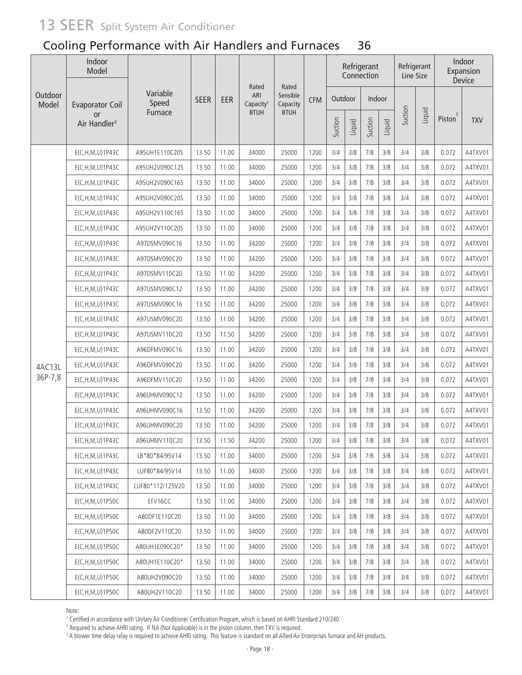### Cooling Performance with Air Handlers and Furnaces 36

| Outdoor | Indoor<br>Model                       |                   |             |       |                                       |                               |            |         |        | Refrigerant<br>Connection |        | Refrigerant<br>Line Size |        |                     | Indoor<br>Expansion<br>Device |
|---------|---------------------------------------|-------------------|-------------|-------|---------------------------------------|-------------------------------|------------|---------|--------|---------------------------|--------|--------------------------|--------|---------------------|-------------------------------|
| Model   | <b>Evaporator Coil</b>                | Variable<br>Speed | <b>SEER</b> | EER   | Rated<br>ARI<br>Capacity <sup>1</sup> | Rated<br>Sensible<br>Capacity | <b>CFM</b> | Outdoor |        | Indoor                    |        |                          |        |                     |                               |
|         | <b>or</b><br>Air Handler <sup>3</sup> | Furnace           |             |       | <b>BTUH</b>                           | <b>BTUH</b>                   |            | Suction | Liquid | Suction                   | Liquid | Suction                  | Liquid | Piston <sup>2</sup> | <b>TXV</b>                    |
|         | E(C, H, M, U) 1P43C                   | A95UH1E110C20S    | 13.50       | 11.00 | 34000                                 | 25000                         | 1200       | 3/4     | 3/8    | 7/8                       | 3/8    | 3/4                      | 3/8    | 0.072               | A4TXV01                       |
|         | E(C, H, M, U) 1P43C                   | A95UH2V090C12S    | 13.50       | 11.00 | 34000                                 | 25000                         | 1200       | 3/4     | 3/8    | 7/8                       | 3/8    | 3/4                      | 3/8    | 0.072               | A4TXV01                       |
|         | E(C, H, M, U) 1P43C                   | A95UH2V090C16S    | 13.50       | 11.00 | 34000                                 | 25000                         | 1200       | 3/4     | 3/8    | 7/8                       | 3/8    | 3/4                      | 3/8    | 0.072               | A4TXV01                       |
|         | E(C, H, M, U) 1P43C                   | A95UH2V090C20S    | 13.50       | 11.00 | 34000                                 | 25000                         | 1200       | 3/4     | 3/8    | 7/8                       | 3/8    | 3/4                      | 3/8    | 0.072               | A4TXV01                       |
|         | E(C, H, M, U) 1P43C                   | A95UH2V110C16S    | 13.50       | 11.00 | 34000                                 | 25000                         | 1200       | 3/4     | 3/8    | 7/8                       | 3/8    | 3/4                      | 3/8    | 0.072               | A4TXV01                       |
|         | E(C, H, M, U) 1P43C                   | A95UH2V110C20S    | 13.50       | 11.00 | 34000                                 | 25000                         | 1200       | 3/4     | 3/8    | 7/8                       | 3/8    | 3/4                      | 3/8    | 0.072               | A4TXV01                       |
|         | E(C, H, M, U) 1P43C                   | A97DSMV090C16     | 13.50       | 11.00 | 34200                                 | 25000                         | 1200       | 3/4     | 3/8    | 7/8                       | 3/8    | 3/4                      | 3/8    | 0.072               | A4TXV01                       |
|         | E(C, H, M, U) 1P43C                   | A97DSMV090C20     | 13.50       | 11.00 | 34200                                 | 25000                         | 1200       | 3/4     | 3/8    | 7/8                       | 3/8    | 3/4                      | 3/8    | 0.072               | A4TXV01                       |
|         | E(C, H, M, U) 1P43C                   | A97DSMV110C20     | 13.50       | 11.00 | 34200                                 | 25000                         | 1200       | 3/4     | 3/8    | 7/8                       | 3/8    | 3/4                      | 3/8    | 0.072               | A4TXV01                       |
|         | E(C, H, M, U) 1P43C                   | A97USMV090C12     | 13.50       | 11.00 | 34200                                 | 25000                         | 1200       | 3/4     | 3/8    | 7/8                       | 3/8    | 3/4                      | 3/8    | 0.072               | A4TXV01                       |
|         | E(C, H, M, U) 1P43C                   | A97USMV090C16     | 13.50       | 11.00 | 34200                                 | 25000                         | 1200       | 3/4     | 3/8    | 7/8                       | 3/8    | 3/4                      | 3/8    | 0.072               | A4TXV01                       |
|         | E(C, H, M, U) 1P43C                   | A97USMV090C20     | 13.50       | 11.00 | 34200                                 | 25000                         | 1200       | 3/4     | 3/8    | 7/8                       | 3/8    | 3/4                      | 3/8    | 0.072               | A4TXV01                       |
|         | E(C, H, M, U) 1P43C                   | A97USMV110C20     | 13.50       | 11.50 | 34200                                 | 25000                         | 1200       | 3/4     | 3/8    | 7/8                       | 3/8    | 3/4                      | 3/8    | 0.072               | A4TXV01                       |
|         | E(C, H, M, U) 1P43C                   | A96DFMV090C16     | 13.50       | 11.00 | 34200                                 | 25000                         | 1200       | 3/4     | 3/8    | 7/8                       | 3/8    | 3/4                      | 3/8    | 0.072               | A4TXV01                       |
| 4AC13L  | E(C, H, M, U) 1P43C                   | A96DFMV090C20     | 13.50       | 11.00 | 34200                                 | 25000                         | 1200       | 3/4     | 3/8    | 7/8                       | 3/8    | 3/4                      | 3/8    | 0.072               | A4TXV01                       |
| 36P-7,8 | E(C, H, M, U) 1P43C                   | A96DFMV110C20     | 13.50       | 11.00 | 34200                                 | 25000                         | 1200       | 3/4     | 3/8    | 7/8                       | 3/8    | 3/4                      | 3/8    | 0.072               | A4TXV01                       |
|         | E(C, H, M, U) 1P43C                   | A96UHMV090C12     | 13.50       | 11.00 | 34200                                 | 25000                         | 1200       | 3/4     | 3/8    | 7/8                       | 3/8    | 3/4                      | 3/8    | 0.072               | A4TXV01                       |
|         | E(C, H, M, U) 1P43C                   | A96UHMV090C16     | 13.50       | 11.00 | 34200                                 | 25000                         | 1200       | 3/4     | 3/8    | 7/8                       | 3/8    | 3/4                      | 3/8    | 0.072               | A4TXV01                       |
|         | E(C, H, M, U) 1P43C                   | A96UHMV090C20     | 13.50       | 11.00 | 34200                                 | 25000                         | 1200       | 3/4     | 3/8    | 7/8                       | 3/8    | 3/4                      | 3/8    | 0.072               | A4TXV01                       |
|         | E(C, H, M, U) 1P43C                   | A96UHMV110C20     | 13.50       | 11.50 | 34200                                 | 25000                         | 1200       | 3/4     | 3/8    | 7/8                       | 3/8    | 3/4                      | 3/8    | 0.072               | A4TXV01                       |
|         | E(C, H, M, U) 1P43C                   | LB*80*84/95V14    | 13.50       | 11.00 | 34000                                 | 25000                         | 1200       | 3/4     | 3/8    | 7/8                       | 3/8    | 3/4                      | 3/8    | 0.072               | A4TXV01                       |
|         | E(C, H, M, U) 1P43C                   | LUF80*84/95V14    | 13.50       | 11.00 | 34000                                 | 25000                         | 1200       | 3/4     | 3/8    | 7/8                       | 3/8    | 3/4                      | 3/8    | 0.072               | A4TXV01                       |
|         | E(C, H, M, U) 1P43C                   | LUF80*112/125V20  | 13.50       | 11.00 | 34000                                 | 25000                         | 1200       | 3/4     | 3/8    | 7/8                       | 3/8    | 3/4                      | 3/8    | 0.072               | A4TXV01                       |
|         | E(C, H, M, U) 1 P 50C                 | EFV16CC           | 13.50       | 11.00 | 34000                                 | 25000                         | 1200       | 3/4     | 3/8    | 7/8                       | 3/8    | 3/4                      | 3/8    | 0.072               | A4TXV01                       |
|         | E(C, H, M, U) 1 P 50C                 | A80DF1E110C20     | 13.50       | 11.00 | 34000                                 | 25000                         | 1200       | 3/4     | 3/8    | 7/8                       | 3/8    | 3/4                      | 3/8    | 0.072               | A4TXV01                       |
|         | E(C, H, M, U) 1 P 50C                 | A80DF2V110C20     | 13.50       | 11.00 | 34000                                 | 25000                         | 1200       | 3/4     | 3/8    | 7/8                       | 3/8    | 3/4                      | 3/8    | 0.072               | A4TXV01                       |
|         | E(C, H, M, U) 1 P 50C                 | A80UH1E090C20*    | 13.50       | 11.00 | 34000                                 | 25000                         | 1200       | 3/4     | 3/8    | 7/8                       | 3/8    | 3/4                      | 3/8    | 0.072               | A4TXV01                       |
|         | E(C, H, M, U) 1 P 50C                 | A80UH1E110C20*    | 13.50       | 11.00 | 34000                                 | 25000                         | 1200       | 3/4     | 3/8    | 7/8                       | 3/8    | 3/4                      | 3/8    | 0.072               | A4TXV01                       |
|         | E(C, H, M, U) 1 P 50C                 | A80UH2V090C20     | 13.50       | 11.00 | 34000                                 | 25000                         | 1200       | 3/4     | 3/8    | 7/8                       | 3/8    | 3/4                      | 3/8    | 0.072               | A4TXV01                       |
|         | E(C, H, M, U) 1 P 50C                 | A80UH2V110C20     | 13.50       | 11.00 | 34000                                 | 25000                         | 1200       | 3/4     | 3/8    | 7/8                       | 3/8    | 3/4                      | 3/8    | 0.072               | A4TXV01                       |

Note:

10.<br>1 Certified in accordance with Unitary Air Conditioner Certification Program, which is based on AHRI Standard 210/240<br>2 Required to achieve AHRI rating . If NA (Not Applicable) is in the piston column, then TXV is requ

<sup>2</sup> Required to achieve AHRI rating. If NA (Not Applicable) is in the piston column, then TXV is required.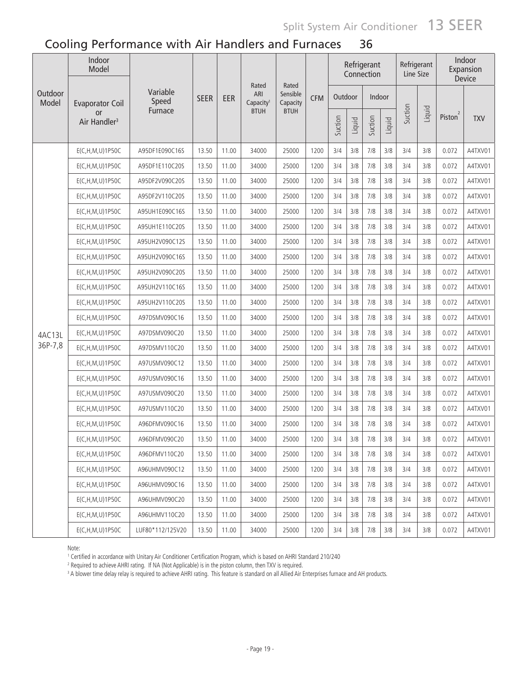| Outdoor | Indoor<br>Model                |                   |             |       |                                       |                               |            |         |        | Refrigerant<br>Connection |        | Refrigerant<br>Line Size |        |                     | Indoor<br>Expansion<br>Device |
|---------|--------------------------------|-------------------|-------------|-------|---------------------------------------|-------------------------------|------------|---------|--------|---------------------------|--------|--------------------------|--------|---------------------|-------------------------------|
| Model   | <b>Evaporator Coil</b>         | Variable<br>Speed | <b>SEER</b> | EER   | Rated<br>ARI<br>Capacity <sup>1</sup> | Rated<br>Sensible<br>Capacity | <b>CFM</b> | Outdoor |        | Indoor                    |        |                          |        |                     |                               |
|         | or<br>Air Handler <sup>3</sup> | Furnace           |             |       | <b>BTUH</b>                           | <b>BTUH</b>                   |            | Suction | Liquid | Suction                   | Liquid | Suction                  | Liquid | Piston <sup>2</sup> | <b>TXV</b>                    |
|         | E(C,H,M,U)1P50C                | A95DF1E090C16S    | 13.50       | 11.00 | 34000                                 | 25000                         | 1200       | 3/4     | 3/8    | 7/8                       | 3/8    | 3/4                      | 3/8    | 0.072               | A4TXV01                       |
|         | E(C, H, M, U) 1 P 50C          | A95DF1E110C20S    | 13.50       | 11.00 | 34000                                 | 25000                         | 1200       | 3/4     | 3/8    | 7/8                       | 3/8    | 3/4                      | 3/8    | 0.072               | A4TXV01                       |
|         | E(C, H, M, U) 1 P 50C          | A95DF2V090C20S    | 13.50       | 11.00 | 34000                                 | 25000                         | 1200       | 3/4     | 3/8    | 7/8                       | 3/8    | 3/4                      | 3/8    | 0.072               | A4TXV01                       |
|         | E(C, H, M, U) 1 P 50C          | A95DF2V110C20S    | 13.50       | 11.00 | 34000                                 | 25000                         | 1200       | 3/4     | 3/8    | 7/8                       | 3/8    | 3/4                      | 3/8    | 0.072               | A4TXV01                       |
|         | E(C, H, M, U) 1 P 50C          | A95UH1E090C16S    | 13.50       | 11.00 | 34000                                 | 25000                         | 1200       | 3/4     | 3/8    | 7/8                       | 3/8    | 3/4                      | 3/8    | 0.072               | A4TXV01                       |
|         | E(C,H,M,U)1P50C                | A95UH1E110C20S    | 13.50       | 11.00 | 34000                                 | 25000                         | 1200       | 3/4     | 3/8    | 7/8                       | 3/8    | 3/4                      | 3/8    | 0.072               | A4TXV01                       |
|         | E(C, H, M, U) 1 P 50C          | A95UH2V090C12S    | 13.50       | 11.00 | 34000                                 | 25000                         | 1200       | 3/4     | 3/8    | 7/8                       | 3/8    | 3/4                      | 3/8    | 0.072               | A4TXV01                       |
|         | E(C,H,M,U)1P50C                | A95UH2V090C16S    | 13.50       | 11.00 | 34000                                 | 25000                         | 1200       | 3/4     | 3/8    | 7/8                       | 3/8    | 3/4                      | 3/8    | 0.072               | A4TXV01                       |
|         | E(C,H,M,U)1P50C                | A95UH2V090C20S    | 13.50       | 11.00 | 34000                                 | 25000                         | 1200       | 3/4     | 3/8    | 7/8                       | 3/8    | 3/4                      | 3/8    | 0.072               | A4TXV01                       |
|         | E(C, H, M, U) 1P50C            | A95UH2V110C16S    | 13.50       | 11.00 | 34000                                 | 25000                         | 1200       | 3/4     | 3/8    | 7/8                       | 3/8    | 3/4                      | 3/8    | 0.072               | A4TXV01                       |
|         | E(C, H, M, U) 1P50C            | A95UH2V110C20S    | 13.50       | 11.00 | 34000                                 | 25000                         | 1200       | 3/4     | 3/8    | 7/8                       | 3/8    | 3/4                      | 3/8    | 0.072               | A4TXV01                       |
|         | E(C, H, M, U) 1P50C            | A97DSMV090C16     | 13.50       | 11.00 | 34000                                 | 25000                         | 1200       | 3/4     | 3/8    | 7/8                       | 3/8    | 3/4                      | 3/8    | 0.072               | A4TXV01                       |
| 4AC13L  | E(C, H, M, U) 1P50C            | A97DSMV090C20     | 13.50       | 11.00 | 34000                                 | 25000                         | 1200       | 3/4     | 3/8    | 7/8                       | 3/8    | 3/4                      | 3/8    | 0.072               | A4TXV01                       |
| 36P-7,8 | E(C, H, M, U) 1P50C            | A97DSMV110C20     | 13.50       | 11.00 | 34000                                 | 25000                         | 1200       | 3/4     | 3/8    | 7/8                       | 3/8    | 3/4                      | 3/8    | 0.072               | A4TXV01                       |
|         | E(C, H, M, U) 1P50C            | A97USMV090C12     | 13.50       | 11.00 | 34000                                 | 25000                         | 1200       | 3/4     | 3/8    | 7/8                       | 3/8    | 3/4                      | 3/8    | 0.072               | A4TXV01                       |
|         | E(C, H, M, U) 1P50C            | A97USMV090C16     | 13.50       | 11.00 | 34000                                 | 25000                         | 1200       | 3/4     | 3/8    | 7/8                       | 3/8    | 3/4                      | 3/8    | 0.072               | A4TXV01                       |
|         | E(C, H, M, U) 1P50C            | A97USMV090C20     | 13.50       | 11.00 | 34000                                 | 25000                         | 1200       | 3/4     | 3/8    | 7/8                       | 3/8    | 3/4                      | 3/8    | 0.072               | A4TXV01                       |
|         | E(C, H, M, U) 1P50C            | A97USMV110C20     | 13.50       | 11.00 | 34000                                 | 25000                         | 1200       | 3/4     | 3/8    | 7/8                       | 3/8    | 3/4                      | 3/8    | 0.072               | A4TXV01                       |
|         | E(C,H,M,U)1P50C                | A96DFMV090C16     | 13.50       | 11.00 | 34000                                 | 25000                         | 1200       | 3/4     | 3/8    | 7/8                       | 3/8    | 3/4                      | 3/8    | 0.072               | A4TXV01                       |
|         | E(C, H, M, U) 1 P 50C          | A96DFMV090C20     | 13.50       | 11.00 | 34000                                 | 25000                         | 1200       | 3/4     | 3/8    | 7/8                       | 3/8    | 3/4                      | 3/8    | 0.072               | A4TXV01                       |
|         | E(C,H,M,U)1P50C                | A96DFMV110C20     | 13.50       | 11.00 | 34000                                 | 25000                         | 1200       | 3/4     | 3/8    | 7/8                       | 3/8    | 3/4                      | 3/8    | 0.072               | A4TXV01                       |
|         | E(C, H, M, U) 1P50C            | A96UHMV090C12     | 13.50       | 11.00 | 34000                                 | 25000                         | 1200       | 3/4     | 3/8    | 7/8                       | 3/8    | 3/4                      | 3/8    | 0.072               | A4TXV01                       |
|         | E(C, H, M, U) 1P50C            | A96UHMV090C16     | 13.50       | 11.00 | 34000                                 | 25000                         | 1200       | 3/4     | 3/8    | 7/8                       | 3/8    | 3/4                      | 3/8    | 0.072               | A4TXV01                       |
|         | E(C, H, M, U) 1 P 50C          | A96UHMV090C20     | 13.50       | 11.00 | 34000                                 | 25000                         | 1200       | 3/4     | 3/8    | 7/8                       | 3/8    | 3/4                      | 3/8    | 0.072               | A4TXV01                       |
|         | E(C, H, M, U) 1 P 50C          | A96UHMV110C20     | 13.50       | 11.00 | 34000                                 | 25000                         | 1200       | 3/4     | 3/8    | 7/8                       | 3/8    | 3/4                      | 3/8    | 0.072               | A4TXV01                       |
|         | E(C,H,M,U)1P50C                | LUF80*112/125V20  | 13.50       | 11.00 | 34000                                 | 25000                         | 1200       | 3/4     | 3/8    | 7/8                       | 3/8    | 3/4                      | 3/8    | 0.072               | A4TXV01                       |

Note:

100...<br>1 Certified in accordance with Unitary Air Conditioner Certification Program, which is based on AHRI Standard 210/240<br>2 Required to achieve AHRI rating . If NA (Not Annlicable) is in the piston column, then TXV is r

<sup>2</sup> Required to achieve AHRI rating. If NA (Not Applicable) is in the piston column, then TXV is required.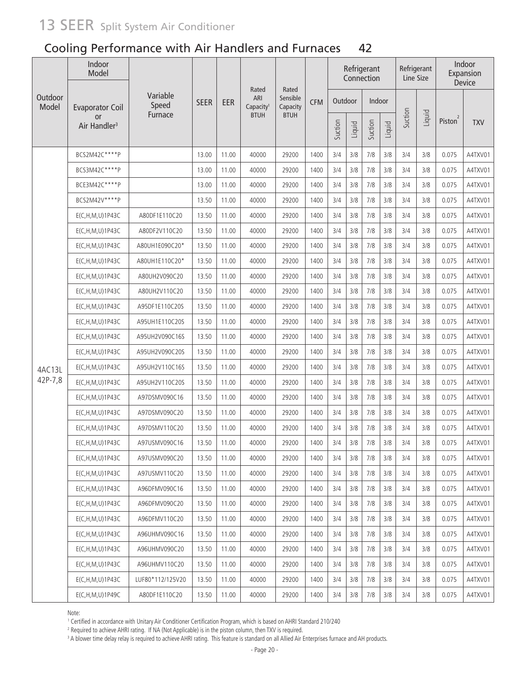### Cooling Performance with Air Handlers and Furnaces 42

|                  | Indoor<br>Model                       |                   |             |       |                                       |                               |            |         |        | Refrigerant<br>Connection |        | Refrigerant<br>Line Size |        |                     | Indoor<br>Expansion<br>Device |
|------------------|---------------------------------------|-------------------|-------------|-------|---------------------------------------|-------------------------------|------------|---------|--------|---------------------------|--------|--------------------------|--------|---------------------|-------------------------------|
| Outdoor<br>Model | <b>Evaporator Coil</b>                | Variable<br>Speed | <b>SEER</b> | EER   | Rated<br>ARI<br>Capacity <sup>1</sup> | Rated<br>Sensible<br>Capacity | <b>CFM</b> | Outdoor |        | Indoor                    |        |                          |        |                     |                               |
|                  | <b>or</b><br>Air Handler <sup>3</sup> | Furnace           |             |       | <b>BTUH</b>                           | <b>BTUH</b>                   |            | Suction | Liquid | Suction                   | Liquid | Suction                  | Liquid | Piston <sup>2</sup> | <b>TXV</b>                    |
|                  | BCS2M42C****P                         |                   | 13.00       | 11.00 | 40000                                 | 29200                         | 1400       | 3/4     | 3/8    | 7/8                       | 3/8    | 3/4                      | 3/8    | 0.075               | A4TXV01                       |
|                  | BCS3M42C****P                         |                   | 13.00       | 11.00 | 40000                                 | 29200                         | 1400       | 3/4     | 3/8    | 7/8                       | 3/8    | 3/4                      | 3/8    | 0.075               | A4TXV01                       |
|                  | BCE3M42C****P                         |                   | 13.00       | 11.00 | 40000                                 | 29200                         | 1400       | 3/4     | 3/8    | $7/8$                     | 3/8    | 3/4                      | 3/8    | 0.075               | A4TXV01                       |
|                  | BCS2M42V****P                         |                   | 13.50       | 11.00 | 40000                                 | 29200                         | 1400       | 3/4     | 3/8    | $7/8$                     | 3/8    | 3/4                      | 3/8    | 0.075               | A4TXV01                       |
|                  | E(C, H, M, U) 1P43C                   | A80DF1E110C20     | 13.50       | 11.00 | 40000                                 | 29200                         | 1400       | 3/4     | 3/8    | $7/8$                     | 3/8    | 3/4                      | 3/8    | 0.075               | A4TXV01                       |
|                  | E(C, H, M, U) 1P43C                   | A80DF2V110C20     | 13.50       | 11.00 | 40000                                 | 29200                         | 1400       | 3/4     | 3/8    | $7/8$                     | 3/8    | 3/4                      | 3/8    | 0.075               | A4TXV01                       |
|                  | E(C, H, M, U) 1P43C                   | A80UH1E090C20*    | 13.50       | 11.00 | 40000                                 | 29200                         | 1400       | 3/4     | 3/8    | $7/8$                     | 3/8    | 3/4                      | 3/8    | 0.075               | A4TXV01                       |
|                  | E(C, H, M, U) 1P43C                   | A80UH1E110C20*    | 13.50       | 11.00 | 40000                                 | 29200                         | 1400       | 3/4     | 3/8    | $7/8$                     | 3/8    | 3/4                      | 3/8    | 0.075               | A4TXV01                       |
|                  | E(C, H, M, U) 1P43C                   | A80UH2V090C20     | 13.50       | 11.00 | 40000                                 | 29200                         | 1400       | 3/4     | 3/8    | 7/8                       | 3/8    | 3/4                      | 3/8    | 0.075               | A4TXV01                       |
|                  | E(C, H, M, U) 1P43C                   | A80UH2V110C20     | 13.50       | 11.00 | 40000                                 | 29200                         | 1400       | 3/4     | 3/8    | $7/8$                     | 3/8    | 3/4                      | 3/8    | 0.075               | A4TXV01                       |
|                  | E(C, H, M, U) 1P43C                   | A95DF1E110C20S    | 13.50       | 11.00 | 40000                                 | 29200                         | 1400       | 3/4     | 3/8    | 7/8                       | 3/8    | 3/4                      | 3/8    | 0.075               | A4TXV01                       |
|                  | E(C, H, M, U) 1P43C                   | A95UH1E110C20S    | 13.50       | 11.00 | 40000                                 | 29200                         | 1400       | 3/4     | 3/8    | 7/8                       | 3/8    | 3/4                      | 3/8    | 0.075               | A4TXV01                       |
|                  | E(C, H, M, U) 1P43C                   | A95UH2V090C16S    | 13.50       | 11.00 | 40000                                 | 29200                         | 1400       | 3/4     | 3/8    | 7/8                       | 3/8    | 3/4                      | 3/8    | 0.075               | A4TXV01                       |
|                  | E(C, H, M, U) 1P43C                   | A95UH2V090C20S    | 13.50       | 11.00 | 40000                                 | 29200                         | 1400       | 3/4     | 3/8    | $7/8$                     | 3/8    | 3/4                      | 3/8    | 0.075               | A4TXV01                       |
| 4AC13L           | E(C, H, M, U) 1P43C                   | A95UH2V110C16S    | 13.50       | 11.00 | 40000                                 | 29200                         | 1400       | 3/4     | 3/8    | 7/8                       | 3/8    | 3/4                      | 3/8    | 0.075               | A4TXV01                       |
| 42P-7,8          | E(C, H, M, U) 1P43C                   | A95UH2V110C20S    | 13.50       | 11.00 | 40000                                 | 29200                         | 1400       | 3/4     | 3/8    | 7/8                       | 3/8    | 3/4                      | 3/8    | 0.075               | A4TXV01                       |
|                  | E(C, H, M, U) 1P43C                   | A97DSMV090C16     | 13.50       | 11.00 | 40000                                 | 29200                         | 1400       | 3/4     | 3/8    | 7/8                       | 3/8    | 3/4                      | 3/8    | 0.075               | A4TXV01                       |
|                  | E(C, H, M, U) 1P43C                   | A97DSMV090C20     | 13.50       | 11.00 | 40000                                 | 29200                         | 1400       | 3/4     | 3/8    | 7/8                       | 3/8    | 3/4                      | 3/8    | 0.075               | A4TXV01                       |
|                  | E(C, H, M, U) 1P43C                   | A97DSMV110C20     | 13.50       | 11.00 | 40000                                 | 29200                         | 1400       | 3/4     | 3/8    | 7/8                       | 3/8    | 3/4                      | 3/8    | 0.075               | A4TXV01                       |
|                  | E(C, H, M, U) 1P43C                   | A97USMV090C16     | 13.50       | 11.00 | 40000                                 | 29200                         | 1400       | 3/4     | 3/8    | 7/8                       | 3/8    | 3/4                      | 3/8    | 0.075               | A4TXV01                       |
|                  | E(C, H, M, U) 1P43C                   | A97USMV090C20     | 13.50       | 11.00 | 40000                                 | 29200                         | 1400       | 3/4     | 3/8    | 7/8                       | 3/8    | 3/4                      | 3/8    | 0.075               | A4TXV01                       |
|                  | E(C, H, M, U) 1P43C                   | A97USMV110C20     | 13.50       | 11.00 | 40000                                 | 29200                         | 1400       | 3/4     | 3/8    | 7/8                       | 3/8    | 3/4                      | 3/8    | 0.075               | A4TXV01                       |
|                  | E(C, H, M, U) 1P43C                   | A96DFMV090C16     | 13.50       | 11.00 | 40000                                 | 29200                         | 1400       | 3/4     | 3/8    | 7/8                       | 3/8    | 3/4                      | 3/8    | 0.075               | A4TXV01                       |
|                  | E(C, H, M, U) 1P43C                   | A96DFMV090C20     | 13.50       | 11.00 | 40000                                 | 29200                         | 1400       | 3/4     | 3/8    | 7/8                       | 3/8    | 3/4                      | 3/8    | 0.075               | A4TXV01                       |
|                  | E(C, H, M, U) 1P43C                   | A96DFMV110C20     | 13.50       | 11.00 | 40000                                 | 29200                         | 1400       | 3/4     | 3/8    | 7/8                       | 3/8    | 3/4                      | 3/8    | 0.075               | A4TXV01                       |
|                  | E(C, H, M, U) 1P43C                   | A96UHMV090C16     | 13.50       | 11.00 | 40000                                 | 29200                         | 1400       | 3/4     | 3/8    | 7/8                       | 3/8    | 3/4                      | 3/8    | 0.075               | A4TXV01                       |
|                  | E(C, H, M, U) 1P43C                   | A96UHMV090C20     | 13.50       | 11.00 | 40000                                 | 29200                         | 1400       | 3/4     | 3/8    | 7/8                       | 3/8    | 3/4                      | 3/8    | 0.075               | A4TXV01                       |
|                  | E(C, H, M, U) 1P43C                   | A96UHMV110C20     | 13.50       | 11.00 | 40000                                 | 29200                         | 1400       | 3/4     | 3/8    | 7/8                       | 3/8    | 3/4                      | 3/8    | 0.075               | A4TXV01                       |
|                  | E(C, H, M, U) 1P43C                   | LUF80*112/125V20  | 13.50       | 11.00 | 40000                                 | 29200                         | 1400       | 3/4     | 3/8    | 7/8                       | 3/8    | 3/4                      | 3/8    | 0.075               | A4TXV01                       |
|                  | E(C,H,M,U)1P49C                       | A80DF1E110C20     | 13.50       | 11.00 | 40000                                 | 29200                         | 1400       | 3/4     | 3/8    | 7/8                       | 3/8    | 3/4                      | 3/8    | 0.075               | A4TXV01                       |

Note:

.......<br>1 Certified in accordance with Unitary Air Conditioner Certification Program, which is based on AHRI Standard 210/240<br>2 Beguired to achieve AHRI rating . If NA (Not Applicable) is in the piston column, then TXV is

<sup>2</sup> Required to achieve AHRI rating. If NA (Not Applicable) is in the piston column, then TXV is required.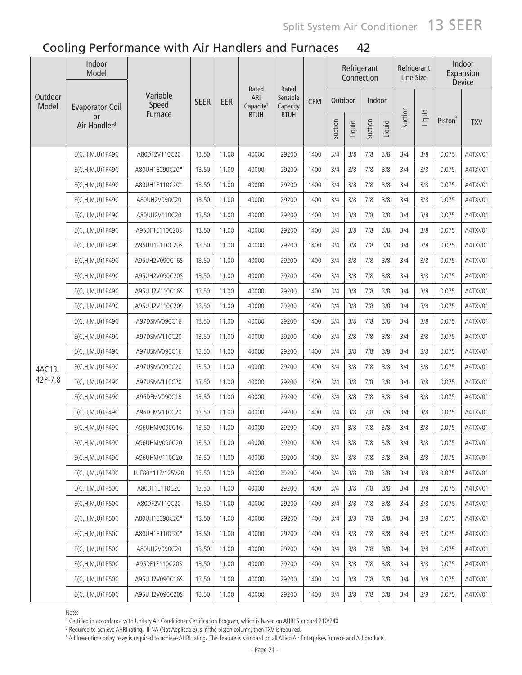| Outdoor | Indoor<br>Model                       |                   |             |       |                                       |                               |            |         |        | Refrigerant<br>Connection |        | Refrigerant<br>Line Size |        |                     | Indoor<br>Expansion<br>Device |
|---------|---------------------------------------|-------------------|-------------|-------|---------------------------------------|-------------------------------|------------|---------|--------|---------------------------|--------|--------------------------|--------|---------------------|-------------------------------|
| Model   | <b>Evaporator Coil</b>                | Variable<br>Speed | <b>SEER</b> | EER   | Rated<br>ARI<br>Capacity <sup>1</sup> | Rated<br>Sensible<br>Capacity | <b>CFM</b> | Outdoor |        | Indoor                    |        |                          |        |                     |                               |
|         | <b>or</b><br>Air Handler <sup>3</sup> | Furnace           |             |       | <b>BTUH</b>                           | <b>BTUH</b>                   |            | Suction | Liquid | Suction                   | Liquid | Suction                  | Liquid | Piston <sup>2</sup> | <b>TXV</b>                    |
|         | E(C,H,M,U)1P49C                       | A80DF2V110C20     | 13.50       | 11.00 | 40000                                 | 29200                         | 1400       | 3/4     | 3/8    | 7/8                       | 3/8    | 3/4                      | 3/8    | 0.075               | A4TXV01                       |
|         | E(C,H,M,U)1P49C                       | A80UH1E090C20*    | 13.50       | 11.00 | 40000                                 | 29200                         | 1400       | 3/4     | 3/8    | 7/8                       | 3/8    | 3/4                      | 3/8    | 0.075               | A4TXV01                       |
|         | E(C,H,M,U)1P49C                       | A80UH1E110C20*    | 13.50       | 11.00 | 40000                                 | 29200                         | 1400       | 3/4     | 3/8    | 7/8                       | 3/8    | 3/4                      | 3/8    | 0.075               | A4TXV01                       |
|         | E(C,H,M,U)1P49C                       | A80UH2V090C20     | 13.50       | 11.00 | 40000                                 | 29200                         | 1400       | 3/4     | 3/8    | 7/8                       | 3/8    | 3/4                      | 3/8    | 0.075               | A4TXV01                       |
|         | E(C, H, M, U) 1P49C                   | A80UH2V110C20     | 13.50       | 11.00 | 40000                                 | 29200                         | 1400       | 3/4     | 3/8    | 7/8                       | 3/8    | 3/4                      | 3/8    | 0.075               | A4TXV01                       |
|         | E(C, H, M, U) 1P49C                   | A95DF1E110C20S    | 13.50       | 11.00 | 40000                                 | 29200                         | 1400       | 3/4     | 3/8    | 7/8                       | 3/8    | 3/4                      | 3/8    | 0.075               | A4TXV01                       |
|         | E(C, H, M, U) 1P49C                   | A95UH1E110C20S    | 13.50       | 11.00 | 40000                                 | 29200                         | 1400       | 3/4     | 3/8    | 7/8                       | 3/8    | 3/4                      | 3/8    | 0.075               | A4TXV01                       |
|         | E(C,H,M,U)1P49C                       | A95UH2V090C16S    | 13.50       | 11.00 | 40000                                 | 29200                         | 1400       | 3/4     | 3/8    | 7/8                       | 3/8    | 3/4                      | 3/8    | 0.075               | A4TXV01                       |
|         | E(C,H,M,U)1P49C                       | A95UH2V090C20S    | 13.50       | 11.00 | 40000                                 | 29200                         | 1400       | 3/4     | 3/8    | 7/8                       | 3/8    | 3/4                      | 3/8    | 0.075               | A4TXV01                       |
|         | E(C,H,M,U)1P49C                       | A95UH2V110C16S    | 13.50       | 11.00 | 40000                                 | 29200                         | 1400       | 3/4     | 3/8    | 7/8                       | 3/8    | 3/4                      | 3/8    | 0.075               | A4TXV01                       |
|         | E(C,H,M,U)1P49C                       | A95UH2V110C20S    | 13.50       | 11.00 | 40000                                 | 29200                         | 1400       | 3/4     | 3/8    | 7/8                       | 3/8    | 3/4                      | 3/8    | 0.075               | A4TXV01                       |
|         | E(C,H,M,U)1P49C                       | A97DSMV090C16     | 13.50       | 11.00 | 40000                                 | 29200                         | 1400       | 3/4     | 3/8    | 7/8                       | 3/8    | 3/4                      | 3/8    | 0.075               | A4TXV01                       |
|         | E(C,H,M,U)1P49C                       | A97DSMV110C20     | 13.50       | 11.00 | 40000                                 | 29200                         | 1400       | 3/4     | 3/8    | 7/8                       | 3/8    | 3/4                      | 3/8    | 0.075               | A4TXV01                       |
|         | E(C,H,M,U)1P49C                       | A97USMV090C16     | 13.50       | 11.00 | 40000                                 | 29200                         | 1400       | 3/4     | 3/8    | 7/8                       | 3/8    | 3/4                      | 3/8    | 0.075               | A4TXV01                       |
| 4AC13L  | E(C,H,M,U)1P49C                       | A97USMV090C20     | 13.50       | 11.00 | 40000                                 | 29200                         | 1400       | 3/4     | 3/8    | 7/8                       | 3/8    | 3/4                      | 3/8    | 0.075               | A4TXV01                       |
| 42P-7,8 | E(C,H,M,U)1P49C                       | A97USMV110C20     | 13.50       | 11.00 | 40000                                 | 29200                         | 1400       | 3/4     | 3/8    | 7/8                       | 3/8    | 3/4                      | 3/8    | 0.075               | A4TXV01                       |
|         | E(C,H,M,U)1P49C                       | A96DFMV090C16     | 13.50       | 11.00 | 40000                                 | 29200                         | 1400       | 3/4     | 3/8    | 7/8                       | 3/8    | 3/4                      | 3/8    | 0.075               | A4TXV01                       |
|         | E(C,H,M,U)1P49C                       | A96DFMV110C20     | 13.50       | 11.00 | 40000                                 | 29200                         | 1400       | 3/4     | 3/8    | 7/8                       | 3/8    | 3/4                      | 3/8    | 0.075               | A4TXV01                       |
|         | E(C, H, M, U) 1P49C                   | A96UHMV090C16     | 13.50       | 11.00 | 40000                                 | 29200                         | 1400       | 3/4     | 3/8    | 7/8                       | 3/8    | 3/4                      | 3/8    | 0.075               | A4TXV01                       |
|         | E(C,H,M,U)1P49C                       | A96UHMV090C20     | 13.50       | 11.00 | 40000                                 | 29200                         | 1400       | 3/4     | 3/8    | 7/8                       | 3/8    | 3/4                      | 3/8    | 0.075               | A4TXV01                       |
|         | E(C, H, M, U) 1P49C                   | A96UHMV110C20     | 13.50       | 11.00 | 40000                                 | 29200                         | 1400       | 3/4     | 3/8    | 7/8                       | 3/8    | 3/4                      | 3/8    | 0.075               | A4TXV01                       |
|         | E(C, H, M, U) 1P49C                   | LUF80*112/125V20  | 13.50       | 11.00 | 40000                                 | 29200                         | 1400       | 3/4     | 3/8    | 7/8                       | 3/8    | 3/4                      | 3/8    | 0.075               | A4TXV01                       |
|         | E(C, H, M, U) 1 P 50C                 | A80DF1E110C20     | 13.50       | 11.00 | 40000                                 | 29200                         | 1400       | 3/4     | 3/8    | 7/8                       | 3/8    | 3/4                      | 3/8    | 0.075               | A4TXV01                       |
|         | E(C, H, M, U) 1 P 50 C                | A80DF2V110C20     | 13.50       | 11.00 | 40000                                 | 29200                         | 1400       | 3/4     | 3/8    | 7/8                       | 3/8    | 3/4                      | 3/8    | 0.075               | A4TXV01                       |
|         | E(C, H, M, U) 1 P 50C                 | A80UH1E090C20*    | 13.50       | 11.00 | 40000                                 | 29200                         | 1400       | 3/4     | 3/8    | 7/8                       | 3/8    | 3/4                      | 3/8    | 0.075               | A4TXV01                       |
|         | E(C, H, M, U) 1 P 50C                 | A80UH1E110C20*    | 13.50       | 11.00 | 40000                                 | 29200                         | 1400       | 3/4     | 3/8    | 7/8                       | 3/8    | 3/4                      | 3/8    | 0.075               | A4TXV01                       |
|         | E(C, H, M, U) 1P50C                   | A80UH2V090C20     | 13.50       | 11.00 | 40000                                 | 29200                         | 1400       | 3/4     | 3/8    | 7/8                       | 3/8    | 3/4                      | 3/8    | 0.075               | A4TXV01                       |
|         | E(C, H, M, U) 1P50C                   | A95DF1E110C20S    | 13.50       | 11.00 | 40000                                 | 29200                         | 1400       | 3/4     | 3/8    | 7/8                       | 3/8    | 3/4                      | 3/8    | 0.075               | A4TXV01                       |
|         | E(C, H, M, U) 1P50C                   | A95UH2V090C16S    | 13.50       | 11.00 | 40000                                 | 29200                         | 1400       | 3/4     | 3/8    | 7/8                       | 3/8    | 3/4                      | 3/8    | 0.075               | A4TXV01                       |
|         | E(C, H, M, U) 1P50C                   | A95UH2V090C20S    | 13.50       | 11.00 | 40000                                 | 29200                         | 1400       | 3/4     | 3/8    | 7/8                       | 3/8    | 3/4                      | 3/8    | 0.075               | A4TXV01                       |

Note:

.......<br>1 Certified in accordance with Unitary Air Conditioner Certification Program, which is based on AHRI Standard 210/240<br>2 Required to achieve AHRI rating . If NA (Not Applicable) is in the piston column, then TXV is

<sup>2</sup> Required to achieve AHRI rating. If NA (Not Applicable) is in the piston column, then TXV is required.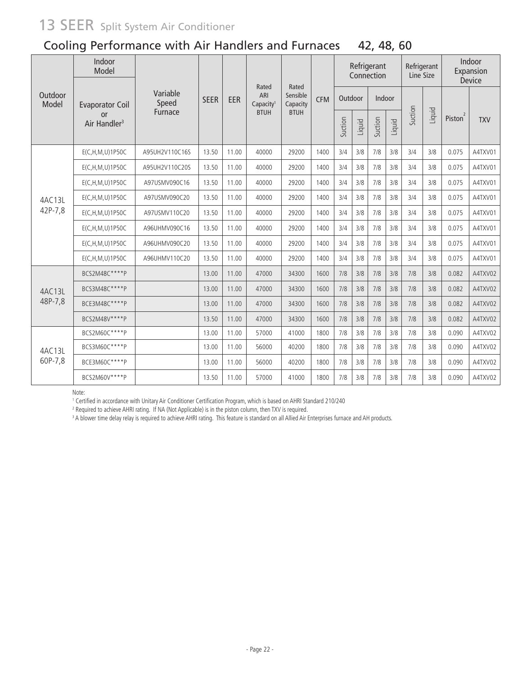### Cooling Performance with Air Handlers and Furnaces 42, 48, 60

|                  | Indoor<br>Model                |                   |             |       |                                       |                               |            |         |        | Refrigerant<br>Connection |        | Refrigerant<br>Line Size |        |                     | Indoor<br>Expansion<br>Device |
|------------------|--------------------------------|-------------------|-------------|-------|---------------------------------------|-------------------------------|------------|---------|--------|---------------------------|--------|--------------------------|--------|---------------------|-------------------------------|
| Outdoor<br>Model | <b>Evaporator Coil</b>         | Variable<br>Speed | <b>SEER</b> | EER   | Rated<br>ARI<br>Capacity <sup>1</sup> | Rated<br>Sensible<br>Capacity | <b>CFM</b> | Outdoor |        | Indoor                    |        |                          |        |                     |                               |
|                  | or<br>Air Handler <sup>3</sup> | Furnace           |             |       | <b>BTUH</b>                           | <b>BTUH</b>                   |            | Suction | Liquid | Suction                   | Liquid | Suction                  | Liquid | Piston <sup>2</sup> | <b>TXV</b>                    |
|                  | E(C, H, M, U) 1 P 50C          | A95UH2V110C16S    | 13.50       | 11.00 | 40000                                 | 29200                         | 1400       | 3/4     | 3/8    | 7/8                       | 3/8    | 3/4                      | 3/8    | 0.075               | A4TXV01                       |
|                  | E(C, H, M, U) 1P50C            | A95UH2V110C20S    | 13.50       | 11.00 | 40000                                 | 29200                         | 1400       | 3/4     | 3/8    | 7/8                       | 3/8    | 3/4                      | 3/8    | 0.075               | A4TXV01                       |
|                  | E(C, H, M, U) 1 P 50 C         | A97USMV090C16     | 13.50       | 11.00 | 40000                                 | 29200                         | 1400       | 3/4     | 3/8    | 7/8                       | 3/8    | 3/4                      | 3/8    | 0.075               | A4TXV01                       |
| 4AC13L           | E(C, H, M, U) 1 P 50C          | A97USMV090C20     | 13.50       | 11.00 | 40000                                 | 29200                         | 1400       | 3/4     | 3/8    | 7/8                       | 3/8    | 3/4                      | 3/8    | 0.075               | A4TXV01                       |
| 42P-7,8          | E(C, H, M, U) 1 P 50C          | A97USMV110C20     | 13.50       | 11.00 | 40000                                 | 29200                         | 1400       | 3/4     | 3/8    | 7/8                       | 3/8    | 3/4                      | 3/8    | 0.075               | A4TXV01                       |
|                  | E(C,H,M,U)1P50C                | A96UHMV090C16     | 13.50       | 11.00 | 40000                                 | 29200                         | 1400       | 3/4     | 3/8    | 7/8                       | 3/8    | 3/4                      | 3/8    | 0.075               | A4TXV01                       |
|                  | E(C, H, M, U) 1P50C            | A96UHMV090C20     | 13.50       | 11.00 | 40000                                 | 29200                         | 1400       | 3/4     | 3/8    | 7/8                       | 3/8    | 3/4                      | 3/8    | 0.075               | A4TXV01                       |
|                  | E(C, H, M, U) 1P50C            | A96UHMV110C20     | 13.50       | 11.00 | 40000                                 | 29200                         | 1400       | 3/4     | 3/8    | 7/8                       | 3/8    | 3/4                      | 3/8    | 0.075               | A4TXV01                       |
|                  | BCS2M48C****P                  |                   | 13.00       | 11.00 | 47000                                 | 34300                         | 1600       | 7/8     | 3/8    | 7/8                       | 3/8    | 7/8                      | 3/8    | 0.082               | A4TXV02                       |
| 4AC13L           | BCS3M48C****P                  |                   | 13.00       | 11.00 | 47000                                 | 34300                         | 1600       | 7/8     | 3/8    | 7/8                       | 3/8    | 7/8                      | 3/8    | 0.082               | A4TXV02                       |
| 48P-7,8          | BCE3M48C****P                  |                   | 13.00       | 11.00 | 47000                                 | 34300                         | 1600       | 7/8     | 3/8    | 7/8                       | 3/8    | 7/8                      | 3/8    | 0.082               | A4TXV02                       |
|                  | BCS2M48V****P                  |                   | 13.50       | 11.00 | 47000                                 | 34300                         | 1600       | 7/8     | 3/8    | 7/8                       | 3/8    | 7/8                      | 3/8    | 0.082               | A4TXV02                       |
|                  | BCS2M60C****P                  |                   | 13.00       | 11.00 | 57000                                 | 41000                         | 1800       | 7/8     | 3/8    | 7/8                       | 3/8    | 7/8                      | 3/8    | 0.090               | A4TXV02                       |
| 4AC13L           | BCS3M60C****P                  |                   | 13.00       | 11.00 | 56000                                 | 40200                         | 1800       | 7/8     | 3/8    | 7/8                       | 3/8    | 7/8                      | 3/8    | 0.090               | A4TXV02                       |
| 60P-7,8          | BCE3M60C****P                  |                   | 13.00       | 11.00 | 56000                                 | 40200                         | 1800       | 7/8     | 3/8    | 7/8                       | 3/8    | 7/8                      | 3/8    | 0.090               | A4TXV02                       |
|                  | BCS2M60V **** P                |                   | 13.50       | 11.00 | 57000                                 | 41000                         | 1800       | 7/8     | 3/8    | 7/8                       | 3/8    | 7/8                      | 3/8    | 0.090               | A4TXV02                       |

Note:

10 Certified in accordance with Unitary Air Conditioner Certification Program, which is based on AHRI Standard 210/240<br><sup>2</sup> Bequired to achieve AHRI rating 15 NA (Not Applicable) is in the piston column, then TXV is require

<sup>2</sup> Required to achieve AHRI rating. If NA (Not Applicable) is in the piston column, then TXV is required.<br><sup>3</sup> A blower time delay relay is required to achieve AHRI rating. This feature is standard on all Allied Air Enterp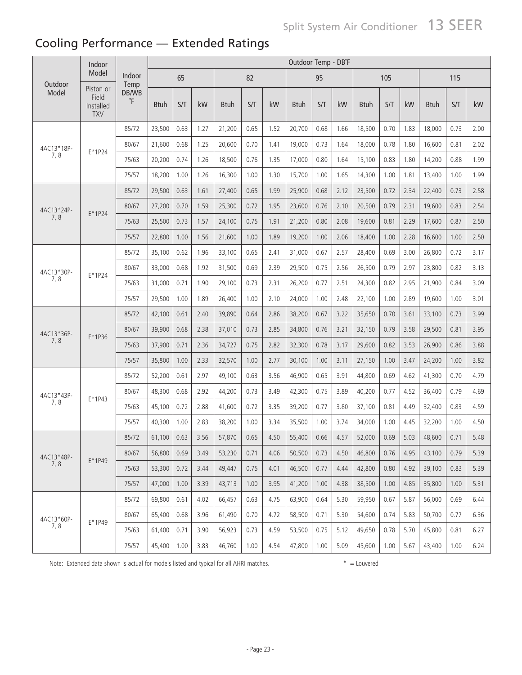### Cooling Performance — Extended Ratings

|            | Indoor                                        |                                               |               |      |      |              |      |      | Outdoor Temp - DB°F |      |      |              |      |      |             |      |      |
|------------|-----------------------------------------------|-----------------------------------------------|---------------|------|------|--------------|------|------|---------------------|------|------|--------------|------|------|-------------|------|------|
| Outdoor    | Model                                         | Indoor<br>Temp                                |               | 65   |      |              | 82   |      |                     | 95   |      |              | 105  |      |             | 115  |      |
| Model      | Piston or<br>Field<br>Installed<br><b>TXV</b> | DB/WB<br>$\,{}^\circ \hskip -1pt {\mathsf F}$ | <b>Btuh</b>   | S/T  | kW   | <b>B</b> tuh | S/T  | kW   | <b>Btuh</b>         | S/T  | kW   | <b>B</b> tuh | S/T  | kW   | <b>Btuh</b> | S/T  | kW   |
|            |                                               | 85/72                                         | 23,500        | 0.63 | 1.27 | 21,200       | 0.65 | 1.52 | 20,700              | 0.68 | 1.66 | 18,500       | 0.70 | 1.83 | 18,000      | 0.73 | 2.00 |
| 4AC13*18P- | $E*1P24$                                      | 80/67                                         | 21,600        | 0.68 | 1.25 | 20,600       | 0.70 | 1.41 | 19,000              | 0.73 | 1.64 | 18,000       | 0.78 | 1.80 | 16,600      | 0.81 | 2.02 |
| 7,8        |                                               | 75/63                                         | 20,200        | 0.74 | 1.26 | 18,500       | 0.76 | 1.35 | 17,000              | 0.80 | 1.64 | 15,100       | 0.83 | 1.80 | 14,200      | 0.88 | 1.99 |
|            |                                               | 75/57                                         | 18,200        | 1.00 | 1.26 | 16,300       | 1.00 | 1.30 | 15,700              | 1.00 | 1.65 | 14,300       | 1.00 | 1.81 | 13,400      | 1.00 | 1.99 |
|            |                                               | 85/72                                         | 29,500        | 0.63 | 1.61 | 27,400       | 0.65 | 1.99 | 25,900              | 0.68 | 2.12 | 23,500       | 0.72 | 2.34 | 22,400      | 0.73 | 2.58 |
| 4AC13*24P- | $E*1P24$                                      | 80/67                                         | 27,200        | 0.70 | 1.59 | 25,300       | 0.72 | 1.95 | 23,600              | 0.76 | 2.10 | 20,500       | 0.79 | 2.31 | 19,600      | 0.83 | 2.54 |
| 7,8        |                                               | 75/63                                         | 25,500        | 0.73 | 1.57 | 24,100       | 0.75 | 1.91 | 21,200              | 0.80 | 2.08 | 19,600       | 0.81 | 2.29 | 17,600      | 0.87 | 2.50 |
|            |                                               | 75/57                                         | 22,800        | 1.00 | 1.56 | 21,600       | 1.00 | 1.89 | 19,200              | 1.00 | 2.06 | 18,400       | 1.00 | 2.28 | 16,600      | 1.00 | 2.50 |
|            |                                               | 85/72                                         | 35,100        | 0.62 | 1.96 | 33,100       | 0.65 | 2.41 | 31,000              | 0.67 | 2.57 | 28,400       | 0.69 | 3.00 | 26,800      | 0.72 | 3.17 |
| 4AC13*30P- | E*1P24                                        | 80/67                                         | 33,000        | 0.68 | 1.92 | 31,500       | 0.69 | 2.39 | 29,500              | 0.75 | 2.56 | 26,500       | 0.79 | 2.97 | 23,800      | 0.82 | 3.13 |
| 7,8        |                                               | 75/63                                         | 31,000        | 0.71 | 1.90 | 29,100       | 0.73 | 2.31 | 26,200              | 0.77 | 2.51 | 24,300       | 0.82 | 2.95 | 21,900      | 0.84 | 3.09 |
|            |                                               | 75/57                                         | 29,500        | 1.00 | 1.89 | 26,400       | 1.00 | 2.10 | 24,000              | 1.00 | 2.48 | 22,100       | 1.00 | 2.89 | 19,600      | 1.00 | 3.01 |
|            |                                               | 85/72                                         | 42,100        | 0.61 | 2.40 | 39,890       | 0.64 | 2.86 | 38,200              | 0.67 | 3.22 | 35,650       | 0.70 | 3.61 | 33,100      | 0.73 | 3.99 |
| 4AC13*36P- |                                               | 80/67                                         | 39,900        | 0.68 | 2.38 | 37,010       | 0.73 | 2.85 | 34,800              | 0.76 | 3.21 | 32,150       | 0.79 | 3.58 | 29,500      | 0.81 | 3.95 |
| 7,8        | $E*1P36$                                      | 75/63                                         | 37,900        | 0.71 | 2.36 | 34,727       | 0.75 | 2.82 | 32,300              | 0.78 | 3.17 | 29,600       | 0.82 | 3.53 | 26,900      | 0.86 | 3.88 |
|            |                                               | 75/57                                         | 35,800        | 1.00 | 2.33 | 32,570       | 1.00 | 2.77 | 30,100              | 1.00 | 3.11 | 27,150       | 1.00 | 3.47 | 24,200      | 1.00 | 3.82 |
|            |                                               | 85/72                                         | 52,200        | 0.61 | 2.97 | 49,100       | 0.63 | 3.56 | 46,900              | 0.65 | 3.91 | 44,800       | 0.69 | 4.62 | 41,300      | 0.70 | 4.79 |
| 4AC13*43P- | $E*1P43$                                      | 80/67                                         | 48,300        | 0.68 | 2.92 | 44,200       | 0.73 | 3.49 | 42,300              | 0.75 | 3.89 | 40,200       | 0.77 | 4.52 | 36,400      | 0.79 | 4.69 |
| 7,8        |                                               | 75/63                                         | 45,100        | 0.72 | 2.88 | 41,600       | 0.72 | 3.35 | 39,200              | 0.77 | 3.80 | 37,100       | 0.81 | 4.49 | 32,400      | 0.83 | 4.59 |
|            |                                               | 75/57                                         | 40,300        | 1.00 | 2.83 | 38,200       | 1.00 | 3.34 | 35,500              | 1.00 | 3.74 | 34,000       | 1.00 | 4.45 | 32,200      | 1.00 | 4.50 |
|            |                                               | 85/72                                         | $61,100$ 0.63 |      | 3.56 | 57,870       | 0.65 | 4.50 | 55,400              | 0.66 | 4.57 | 52,000       | 0.69 | 5.03 | 48,600      | 0.71 | 5.48 |
| 4AC13*48P- | $E*1P49$                                      | 80/67                                         | 56,800        | 0.69 | 3.49 | 53,230       | 0.71 | 4.06 | 50,500              | 0.73 | 4.50 | 46,800       | 0.76 | 4.95 | 43,100      | 0.79 | 5.39 |
| 7, 8       |                                               | 75/63                                         | 53,300        | 0.72 | 3.44 | 49,447       | 0.75 | 4.01 | 46,500              | 0.77 | 4.44 | 42,800       | 0.80 | 4.92 | 39,100      | 0.83 | 5.39 |
|            |                                               | 75/57                                         | 47,000        | 1.00 | 3.39 | 43,713       | 1.00 | 3.95 | 41,200              | 1.00 | 4.38 | 38,500       | 1.00 | 4.85 | 35,800      | 1.00 | 5.31 |
|            |                                               | 85/72                                         | 69,800        | 0.61 | 4.02 | 66,457       | 0.63 | 4.75 | 63,900              | 0.64 | 5.30 | 59,950       | 0.67 | 5.87 | 56,000      | 0.69 | 6.44 |
| 4AC13*60P- |                                               | 80/67                                         | 65,400        | 0.68 | 3.96 | 61,490       | 0.70 | 4.72 | 58,500              | 0.71 | 5.30 | 54,600       | 0.74 | 5.83 | 50,700      | 0.77 | 6.36 |
| 7,8        | $E*1P49$                                      | 75/63                                         | 61,400        | 0.71 | 3.90 | 56,923       | 0.73 | 4.59 | 53,500              | 0.75 | 5.12 | 49,650       | 0.78 | 5.70 | 45,800      | 0.81 | 6.27 |
|            |                                               | 75/57                                         | 45,400        | 1.00 | 3.83 | 46,760       | 1.00 | 4.54 | 47,800              | 1.00 | 5.09 | 45,600       | 1.00 | 5.67 | 43,400      | 1.00 | 6.24 |

Note: Extended data shown is actual for models listed and typical for all AHRI matches. \* \* = Louvered